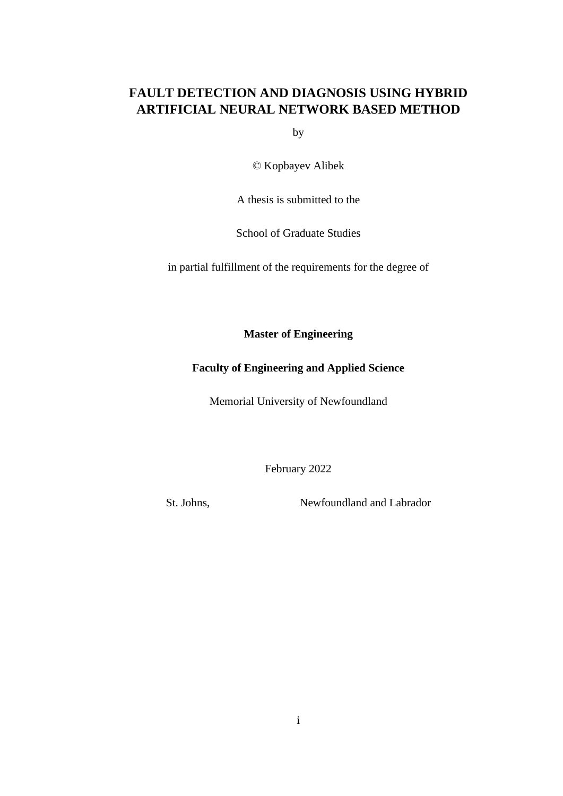# **FAULT DETECTION AND DIAGNOSIS USING HYBRID ARTIFICIAL NEURAL NETWORK BASED METHOD**

by

© Kopbayev Alibek

A thesis is submitted to the

School of Graduate Studies

in partial fulfillment of the requirements for the degree of

**Master of Engineering**

# **Faculty of Engineering and Applied Science**

Memorial University of Newfoundland

February 2022

St. Johns. Newfoundland and Labrador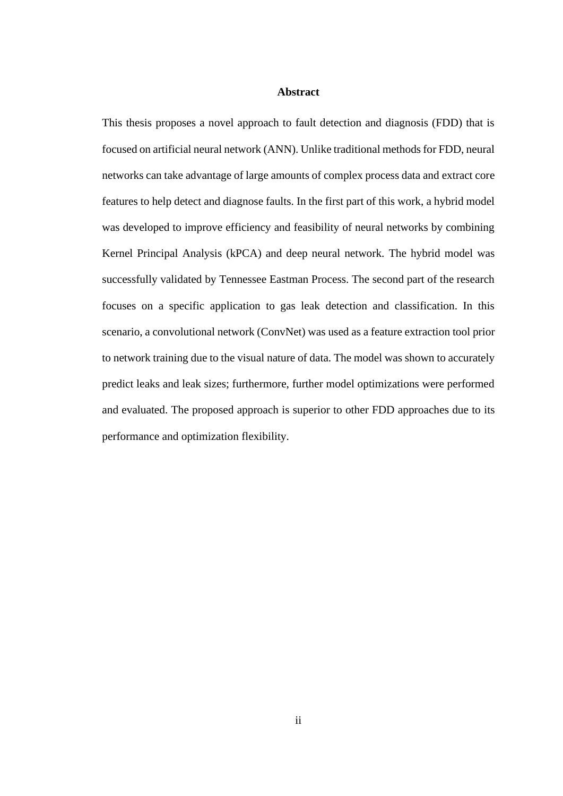#### **Abstract**

<span id="page-1-0"></span>This thesis proposes a novel approach to fault detection and diagnosis (FDD) that is focused on artificial neural network (ANN). Unlike traditional methods for FDD, neural networks can take advantage of large amounts of complex process data and extract core features to help detect and diagnose faults. In the first part of this work, a hybrid model was developed to improve efficiency and feasibility of neural networks by combining Kernel Principal Analysis (kPCA) and deep neural network. The hybrid model was successfully validated by Tennessee Eastman Process. The second part of the research focuses on a specific application to gas leak detection and classification. In this scenario, a convolutional network (ConvNet) was used as a feature extraction tool prior to network training due to the visual nature of data. The model was shown to accurately predict leaks and leak sizes; furthermore, further model optimizations were performed and evaluated. The proposed approach is superior to other FDD approaches due to its performance and optimization flexibility.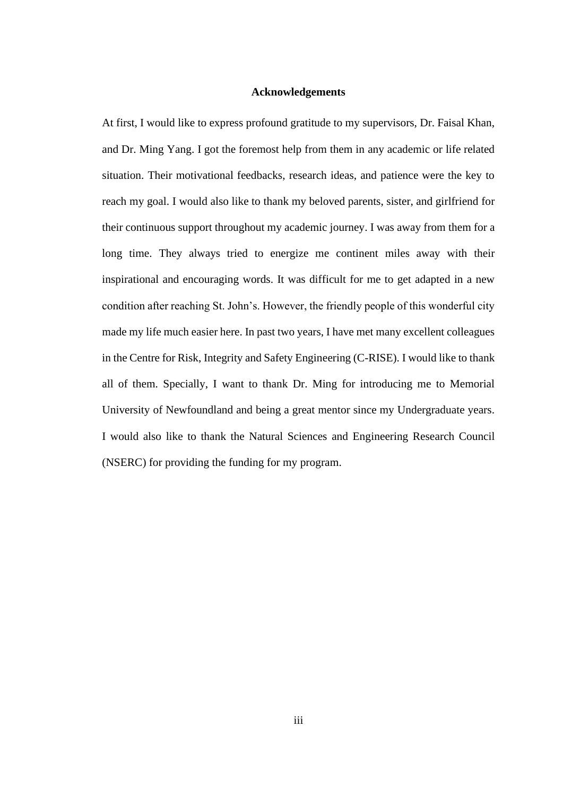#### **Acknowledgements**

<span id="page-2-0"></span>At first, I would like to express profound gratitude to my supervisors, Dr. Faisal Khan, and Dr. Ming Yang. I got the foremost help from them in any academic or life related situation. Their motivational feedbacks, research ideas, and patience were the key to reach my goal. I would also like to thank my beloved parents, sister, and girlfriend for their continuous support throughout my academic journey. I was away from them for a long time. They always tried to energize me continent miles away with their inspirational and encouraging words. It was difficult for me to get adapted in a new condition after reaching St. John's. However, the friendly people of this wonderful city made my life much easier here. In past two years, I have met many excellent colleagues in the Centre for Risk, Integrity and Safety Engineering (C-RISE). I would like to thank all of them. Specially, I want to thank Dr. Ming for introducing me to Memorial University of Newfoundland and being a great mentor since my Undergraduate years. I would also like to thank the Natural Sciences and Engineering Research Council (NSERC) for providing the funding for my program.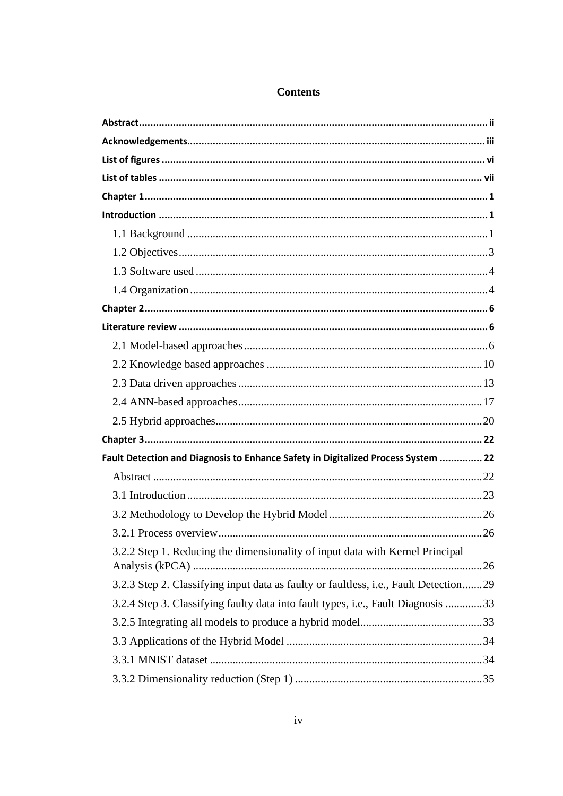| Fault Detection and Diagnosis to Enhance Safety in Digitalized Process System  22    |  |
|--------------------------------------------------------------------------------------|--|
|                                                                                      |  |
|                                                                                      |  |
|                                                                                      |  |
|                                                                                      |  |
| 3.2.2 Step 1. Reducing the dimensionality of input data with Kernel Principal        |  |
| 3.2.3 Step 2. Classifying input data as faulty or faultless, i.e., Fault Detection29 |  |
| 3.2.4 Step 3. Classifying faulty data into fault types, i.e., Fault Diagnosis 33     |  |
|                                                                                      |  |
|                                                                                      |  |
|                                                                                      |  |
|                                                                                      |  |
|                                                                                      |  |

# **Contents**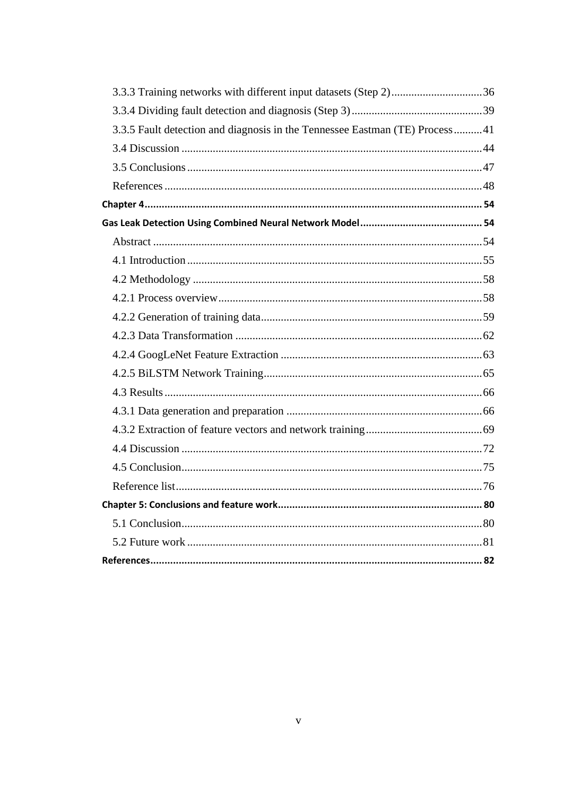| 3.3.3 Training networks with different input datasets (Step 2)36            |  |
|-----------------------------------------------------------------------------|--|
|                                                                             |  |
| 3.3.5 Fault detection and diagnosis in the Tennessee Eastman (TE) Process41 |  |
|                                                                             |  |
|                                                                             |  |
|                                                                             |  |
|                                                                             |  |
|                                                                             |  |
|                                                                             |  |
|                                                                             |  |
|                                                                             |  |
|                                                                             |  |
|                                                                             |  |
|                                                                             |  |
|                                                                             |  |
|                                                                             |  |
|                                                                             |  |
|                                                                             |  |
|                                                                             |  |
|                                                                             |  |
|                                                                             |  |
|                                                                             |  |
|                                                                             |  |
|                                                                             |  |
|                                                                             |  |
|                                                                             |  |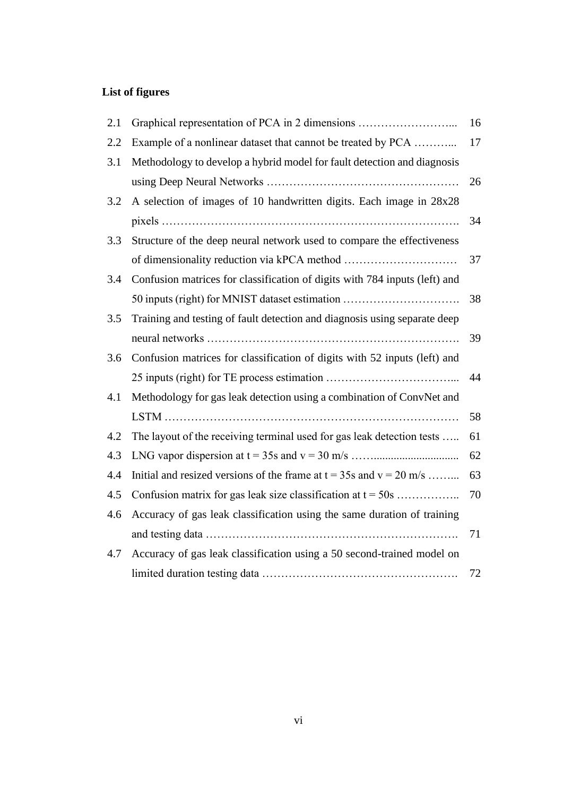# <span id="page-5-0"></span>**List of figures**

| 2.1 | Graphical representation of PCA in 2 dimensions                            | 16 |
|-----|----------------------------------------------------------------------------|----|
| 2.2 | Example of a nonlinear dataset that cannot be treated by PCA               | 17 |
| 3.1 | Methodology to develop a hybrid model for fault detection and diagnosis    |    |
|     |                                                                            | 26 |
| 3.2 | A selection of images of 10 handwritten digits. Each image in 28x28        |    |
|     |                                                                            | 34 |
| 3.3 | Structure of the deep neural network used to compare the effectiveness     |    |
|     |                                                                            | 37 |
| 3.4 | Confusion matrices for classification of digits with 784 inputs (left) and |    |
|     | 50 inputs (right) for MNIST dataset estimation                             | 38 |
| 3.5 | Training and testing of fault detection and diagnosis using separate deep  |    |
|     |                                                                            | 39 |
| 3.6 | Confusion matrices for classification of digits with 52 inputs (left) and  |    |
|     |                                                                            | 44 |
| 4.1 | Methodology for gas leak detection using a combination of ConvNet and      |    |
|     |                                                                            | 58 |
| 4.2 | The layout of the receiving terminal used for gas leak detection tests     | 61 |
| 4.3 |                                                                            | 62 |
| 4.4 | Initial and resized versions of the frame at $t = 35s$ and $v = 20$ m/s    | 63 |
| 4.5 | Confusion matrix for gas leak size classification at $t = 50$ s            | 70 |
| 4.6 | Accuracy of gas leak classification using the same duration of training    |    |
|     |                                                                            | 71 |
| 4.7 | Accuracy of gas leak classification using a 50 second-trained model on     |    |
|     |                                                                            | 72 |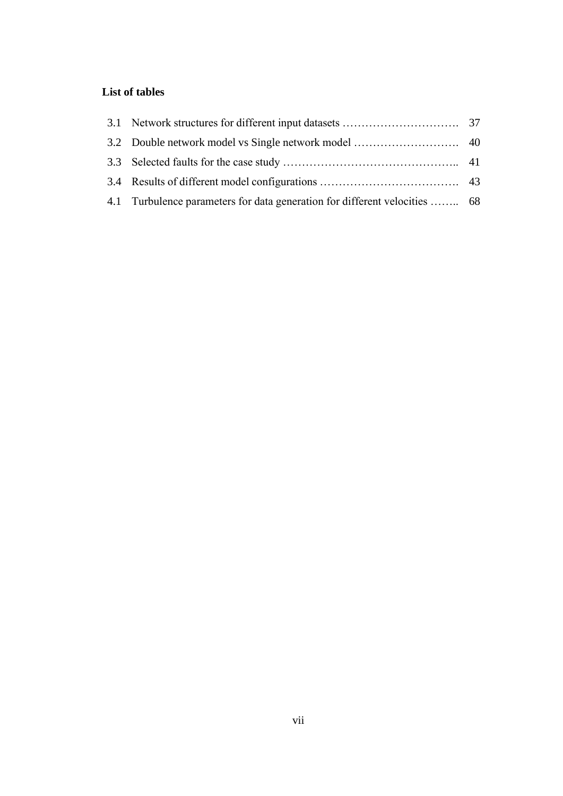# <span id="page-6-0"></span>**List of tables**

| 4.1 Turbulence parameters for data generation for different velocities  68 |  |
|----------------------------------------------------------------------------|--|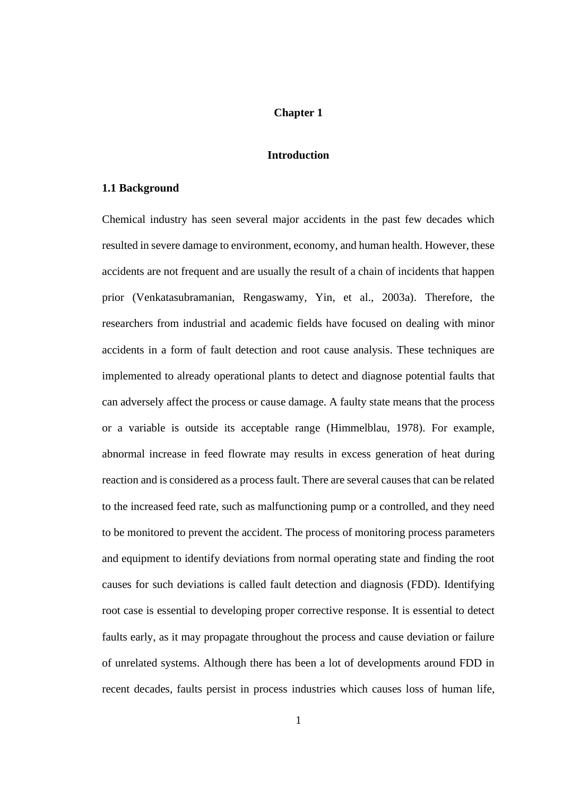# **Chapter 1**

#### **Introduction**

#### <span id="page-7-2"></span><span id="page-7-1"></span><span id="page-7-0"></span>**1.1 Background**

Chemical industry has seen several major accidents in the past few decades which resulted in severe damage to environment, economy, and human health. However, these accidents are not frequent and are usually the result of a chain of incidents that happen prior (Venkatasubramanian, Rengaswamy, Yin, et al., 2003a). Therefore, the researchers from industrial and academic fields have focused on dealing with minor accidents in a form of fault detection and root cause analysis. These techniques are implemented to already operational plants to detect and diagnose potential faults that can adversely affect the process or cause damage. A faulty state means that the process or a variable is outside its acceptable range (Himmelblau, 1978). For example, abnormal increase in feed flowrate may results in excess generation of heat during reaction and is considered as a process fault. There are several causes that can be related to the increased feed rate, such as malfunctioning pump or a controlled, and they need to be monitored to prevent the accident. The process of monitoring process parameters and equipment to identify deviations from normal operating state and finding the root causes for such deviations is called fault detection and diagnosis (FDD). Identifying root case is essential to developing proper corrective response. It is essential to detect faults early, as it may propagate throughout the process and cause deviation or failure of unrelated systems. Although there has been a lot of developments around FDD in recent decades, faults persist in process industries which causes loss of human life,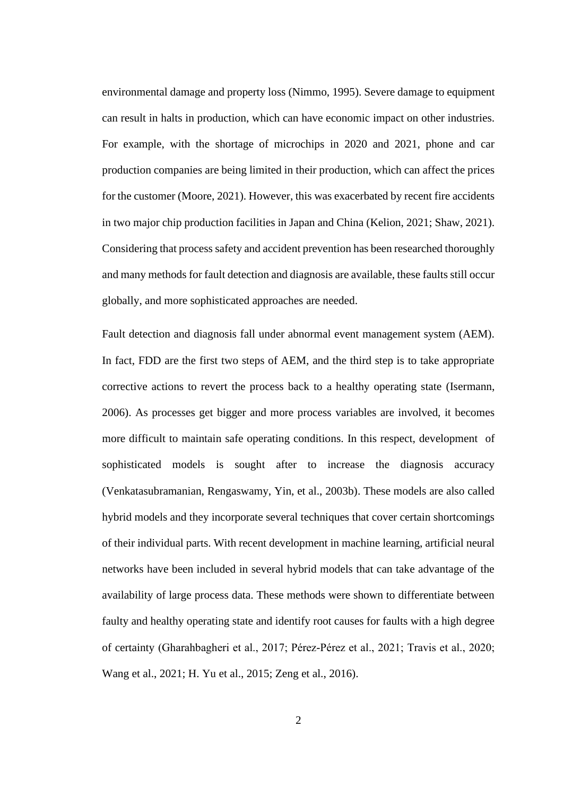environmental damage and property loss (Nimmo, 1995). Severe damage to equipment can result in halts in production, which can have economic impact on other industries. For example, with the shortage of microchips in 2020 and 2021, phone and car production companies are being limited in their production, which can affect the prices for the customer (Moore, 2021). However, this was exacerbated by recent fire accidents in two major chip production facilities in Japan and China (Kelion, 2021; Shaw, 2021). Considering that process safety and accident prevention has been researched thoroughly and many methods for fault detection and diagnosis are available, these faults still occur globally, and more sophisticated approaches are needed.

Fault detection and diagnosis fall under abnormal event management system (AEM). In fact, FDD are the first two steps of AEM, and the third step is to take appropriate corrective actions to revert the process back to a healthy operating state (Isermann, 2006). As processes get bigger and more process variables are involved, it becomes more difficult to maintain safe operating conditions. In this respect, development of sophisticated models is sought after to increase the diagnosis accuracy (Venkatasubramanian, Rengaswamy, Yin, et al., 2003b). These models are also called hybrid models and they incorporate several techniques that cover certain shortcomings of their individual parts. With recent development in machine learning, artificial neural networks have been included in several hybrid models that can take advantage of the availability of large process data. These methods were shown to differentiate between faulty and healthy operating state and identify root causes for faults with a high degree of certainty (Gharahbagheri et al., 2017; Pérez-Pérez et al., 2021; Travis et al., 2020; Wang et al., 2021; H. Yu et al., 2015; Zeng et al., 2016).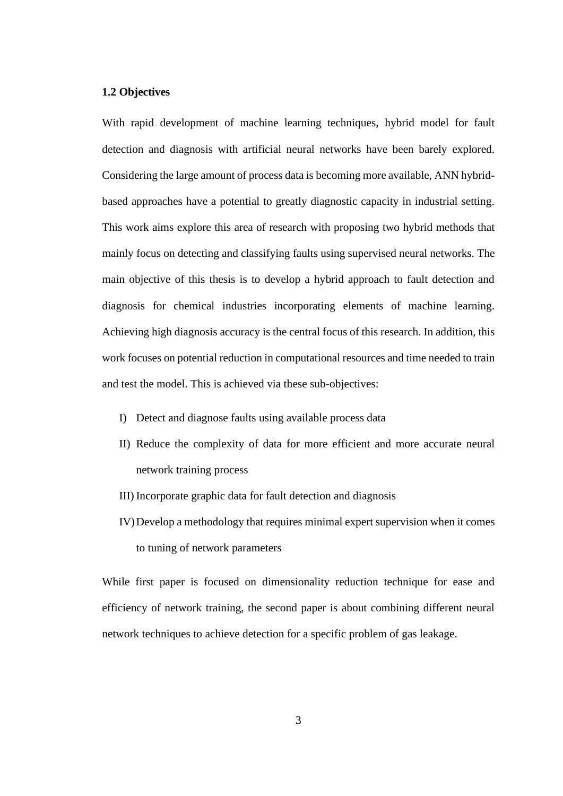### <span id="page-9-0"></span>**1.2 Objectives**

With rapid development of machine learning techniques, hybrid model for fault detection and diagnosis with artificial neural networks have been barely explored. Considering the large amount of process data is becoming more available, ANN hybridbased approaches have a potential to greatly diagnostic capacity in industrial setting. This work aims explore this area of research with proposing two hybrid methods that mainly focus on detecting and classifying faults using supervised neural networks. The main objective of this thesis is to develop a hybrid approach to fault detection and diagnosis for chemical industries incorporating elements of machine learning. Achieving high diagnosis accuracy is the central focus of this research. In addition, this work focuses on potential reduction in computational resources and time needed to train and test the model. This is achieved via these sub-objectives:

- I) Detect and diagnose faults using available process data
- II) Reduce the complexity of data for more efficient and more accurate neural network training process
- III) Incorporate graphic data for fault detection and diagnosis
- IV)Develop a methodology that requires minimal expert supervision when it comes to tuning of network parameters

While first paper is focused on dimensionality reduction technique for ease and efficiency of network training, the second paper is about combining different neural network techniques to achieve detection for a specific problem of gas leakage.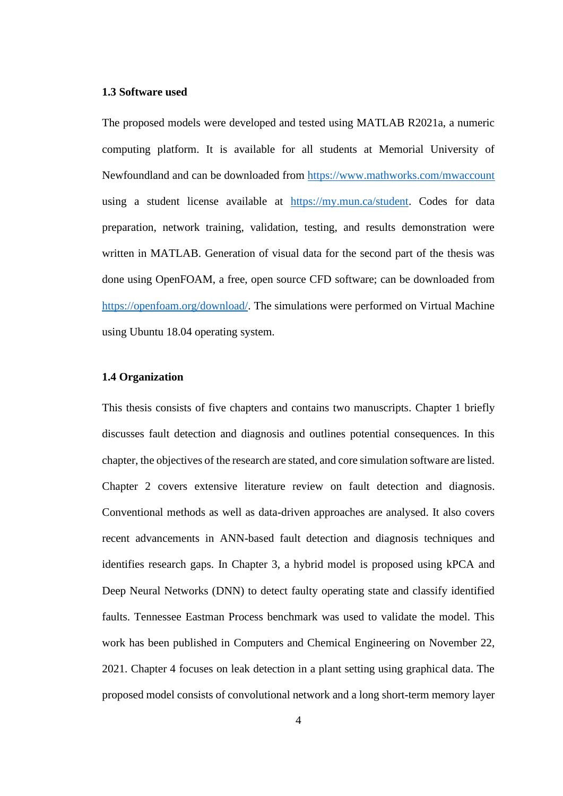## <span id="page-10-0"></span>**1.3 Software used**

The proposed models were developed and tested using MATLAB R2021a, a numeric computing platform. It is available for all students at Memorial University of Newfoundland and can be downloaded from <https://www.mathworks.com/mwaccount> using a student license available at [https://my.mun.ca/student.](https://my.mun.ca/student) Codes for data preparation, network training, validation, testing, and results demonstration were written in MATLAB. Generation of visual data for the second part of the thesis was done using OpenFOAM, a free, open source CFD software; can be downloaded from [https://openfoam.org/download/.](https://openfoam.org/download/) The simulations were performed on Virtual Machine using Ubuntu 18.04 operating system.

#### <span id="page-10-1"></span>**1.4 Organization**

This thesis consists of five chapters and contains two manuscripts. Chapter 1 briefly discusses fault detection and diagnosis and outlines potential consequences. In this chapter, the objectives of the research are stated, and core simulation software are listed. Chapter 2 covers extensive literature review on fault detection and diagnosis. Conventional methods as well as data-driven approaches are analysed. It also covers recent advancements in ANN-based fault detection and diagnosis techniques and identifies research gaps. In Chapter 3, a hybrid model is proposed using kPCA and Deep Neural Networks (DNN) to detect faulty operating state and classify identified faults. Tennessee Eastman Process benchmark was used to validate the model. This work has been published in Computers and Chemical Engineering on November 22, 2021. Chapter 4 focuses on leak detection in a plant setting using graphical data. The proposed model consists of convolutional network and a long short-term memory layer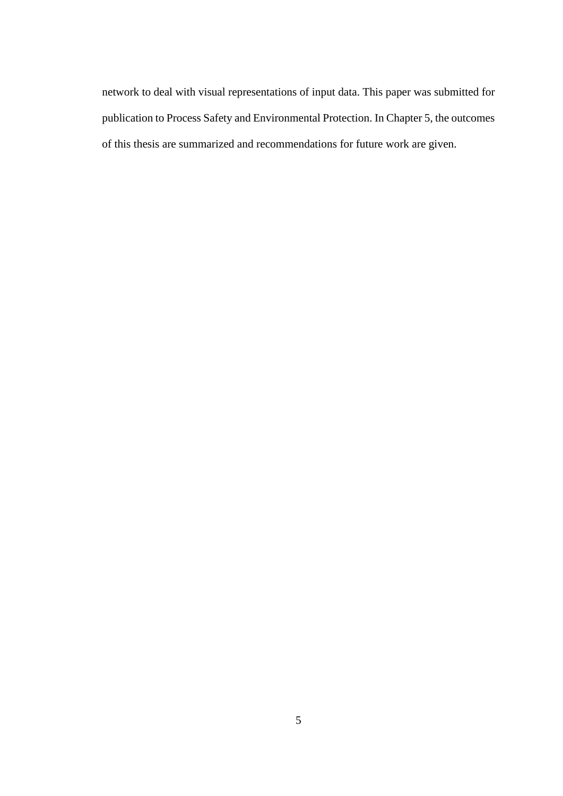network to deal with visual representations of input data. This paper was submitted for publication to Process Safety and Environmental Protection. In Chapter 5, the outcomes of this thesis are summarized and recommendations for future work are given.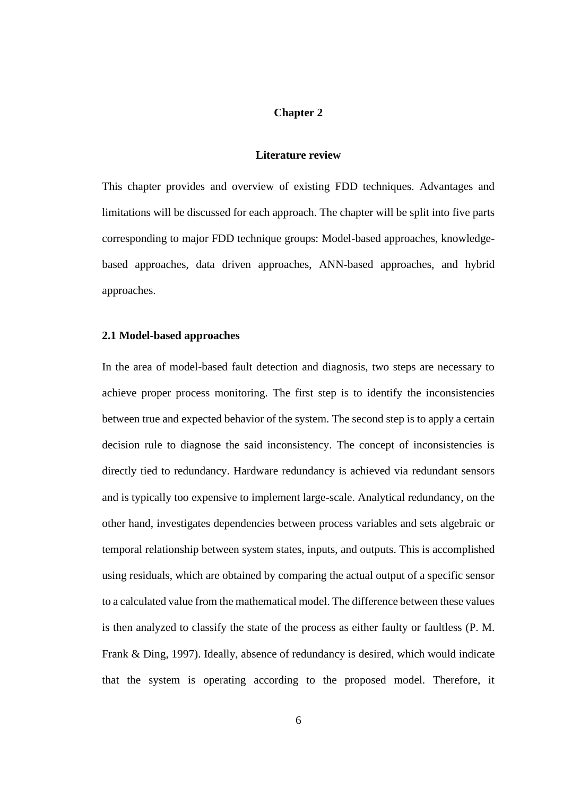#### **Chapter 2**

#### **Literature review**

<span id="page-12-1"></span><span id="page-12-0"></span>This chapter provides and overview of existing FDD techniques. Advantages and limitations will be discussed for each approach. The chapter will be split into five parts corresponding to major FDD technique groups: Model-based approaches, knowledgebased approaches, data driven approaches, ANN-based approaches, and hybrid approaches.

#### <span id="page-12-2"></span>**2.1 Model-based approaches**

In the area of model-based fault detection and diagnosis, two steps are necessary to achieve proper process monitoring. The first step is to identify the inconsistencies between true and expected behavior of the system. The second step is to apply a certain decision rule to diagnose the said inconsistency. The concept of inconsistencies is directly tied to redundancy. Hardware redundancy is achieved via redundant sensors and is typically too expensive to implement large-scale. Analytical redundancy, on the other hand, investigates dependencies between process variables and sets algebraic or temporal relationship between system states, inputs, and outputs. This is accomplished using residuals, which are obtained by comparing the actual output of a specific sensor to a calculated value from the mathematical model. The difference between these values is then analyzed to classify the state of the process as either faulty or faultless (P. M. Frank & Ding, 1997). Ideally, absence of redundancy is desired, which would indicate that the system is operating according to the proposed model. Therefore, it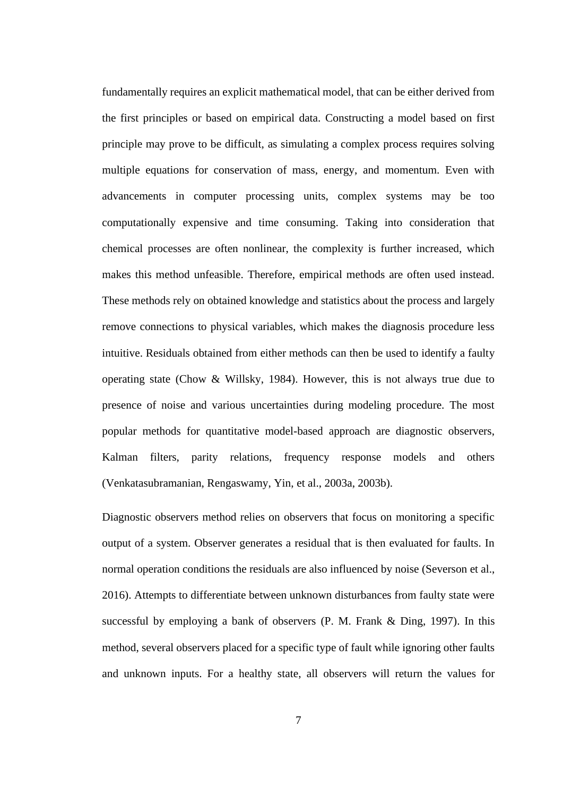fundamentally requires an explicit mathematical model, that can be either derived from the first principles or based on empirical data. Constructing a model based on first principle may prove to be difficult, as simulating a complex process requires solving multiple equations for conservation of mass, energy, and momentum. Even with advancements in computer processing units, complex systems may be too computationally expensive and time consuming. Taking into consideration that chemical processes are often nonlinear, the complexity is further increased, which makes this method unfeasible. Therefore, empirical methods are often used instead. These methods rely on obtained knowledge and statistics about the process and largely remove connections to physical variables, which makes the diagnosis procedure less intuitive. Residuals obtained from either methods can then be used to identify a faulty operating state (Chow & Willsky, 1984). However, this is not always true due to presence of noise and various uncertainties during modeling procedure. The most popular methods for quantitative model-based approach are diagnostic observers, Kalman filters, parity relations, frequency response models and others (Venkatasubramanian, Rengaswamy, Yin, et al., 2003a, 2003b).

Diagnostic observers method relies on observers that focus on monitoring a specific output of a system. Observer generates a residual that is then evaluated for faults. In normal operation conditions the residuals are also influenced by noise (Severson et al., 2016). Attempts to differentiate between unknown disturbances from faulty state were successful by employing a bank of observers (P. M. Frank & Ding, 1997). In this method, several observers placed for a specific type of fault while ignoring other faults and unknown inputs. For a healthy state, all observers will return the values for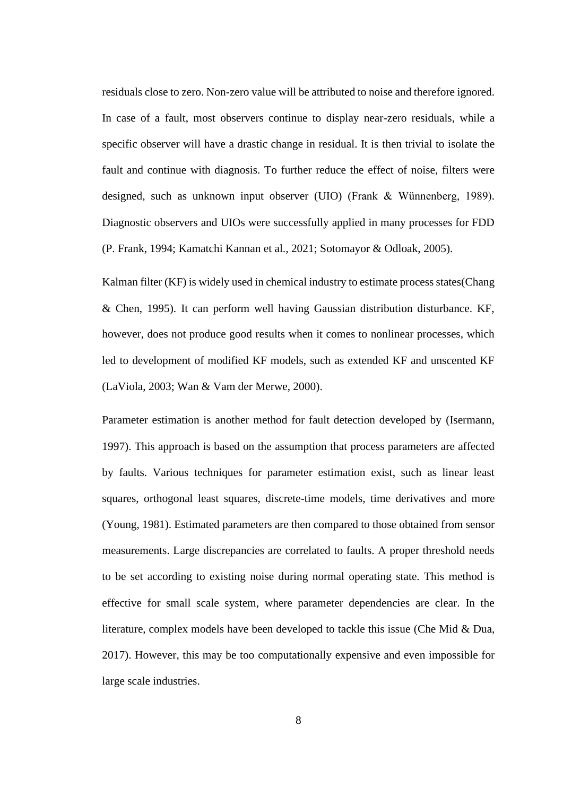residuals close to zero. Non-zero value will be attributed to noise and therefore ignored. In case of a fault, most observers continue to display near-zero residuals, while a specific observer will have a drastic change in residual. It is then trivial to isolate the fault and continue with diagnosis. To further reduce the effect of noise, filters were designed, such as unknown input observer (UIO) (Frank & Wünnenberg, 1989). Diagnostic observers and UIOs were successfully applied in many processes for FDD (P. Frank, 1994; Kamatchi Kannan et al., 2021; Sotomayor & Odloak, 2005).

Kalman filter (KF) is widely used in chemical industry to estimate process states(Chang & Chen, 1995). It can perform well having Gaussian distribution disturbance. KF, however, does not produce good results when it comes to nonlinear processes, which led to development of modified KF models, such as extended KF and unscented KF (LaViola, 2003; Wan & Vam der Merwe, 2000).

Parameter estimation is another method for fault detection developed by (Isermann, 1997). This approach is based on the assumption that process parameters are affected by faults. Various techniques for parameter estimation exist, such as linear least squares, orthogonal least squares, discrete-time models, time derivatives and more (Young, 1981). Estimated parameters are then compared to those obtained from sensor measurements. Large discrepancies are correlated to faults. A proper threshold needs to be set according to existing noise during normal operating state. This method is effective for small scale system, where parameter dependencies are clear. In the literature, complex models have been developed to tackle this issue (Che Mid & Dua, 2017). However, this may be too computationally expensive and even impossible for large scale industries.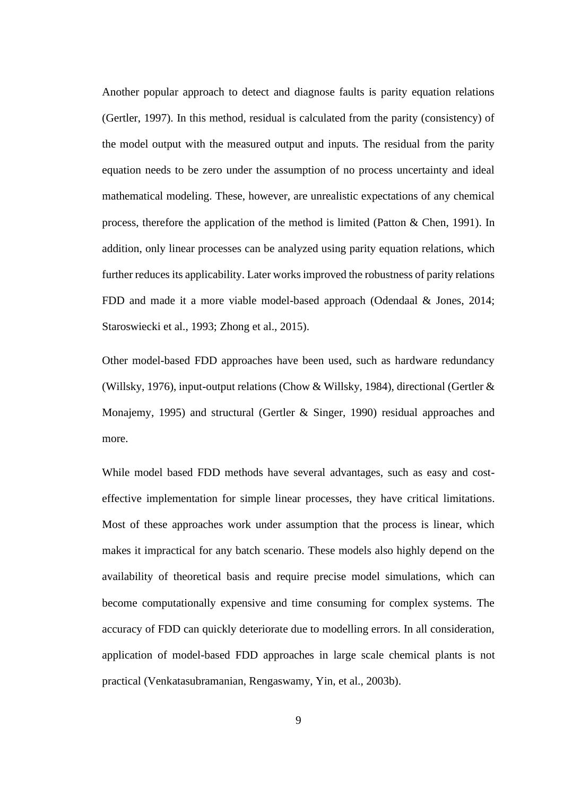Another popular approach to detect and diagnose faults is parity equation relations (Gertler, 1997). In this method, residual is calculated from the parity (consistency) of the model output with the measured output and inputs. The residual from the parity equation needs to be zero under the assumption of no process uncertainty and ideal mathematical modeling. These, however, are unrealistic expectations of any chemical process, therefore the application of the method is limited (Patton & Chen, 1991). In addition, only linear processes can be analyzed using parity equation relations, which further reduces its applicability. Later works improved the robustness of parity relations FDD and made it a more viable model-based approach (Odendaal & Jones, 2014; Staroswiecki et al., 1993; Zhong et al., 2015).

Other model-based FDD approaches have been used, such as hardware redundancy (Willsky, 1976), input-output relations (Chow & Willsky, 1984), directional (Gertler & Monajemy, 1995) and structural (Gertler & Singer, 1990) residual approaches and more.

While model based FDD methods have several advantages, such as easy and costeffective implementation for simple linear processes, they have critical limitations. Most of these approaches work under assumption that the process is linear, which makes it impractical for any batch scenario. These models also highly depend on the availability of theoretical basis and require precise model simulations, which can become computationally expensive and time consuming for complex systems. The accuracy of FDD can quickly deteriorate due to modelling errors. In all consideration, application of model-based FDD approaches in large scale chemical plants is not practical (Venkatasubramanian, Rengaswamy, Yin, et al., 2003b).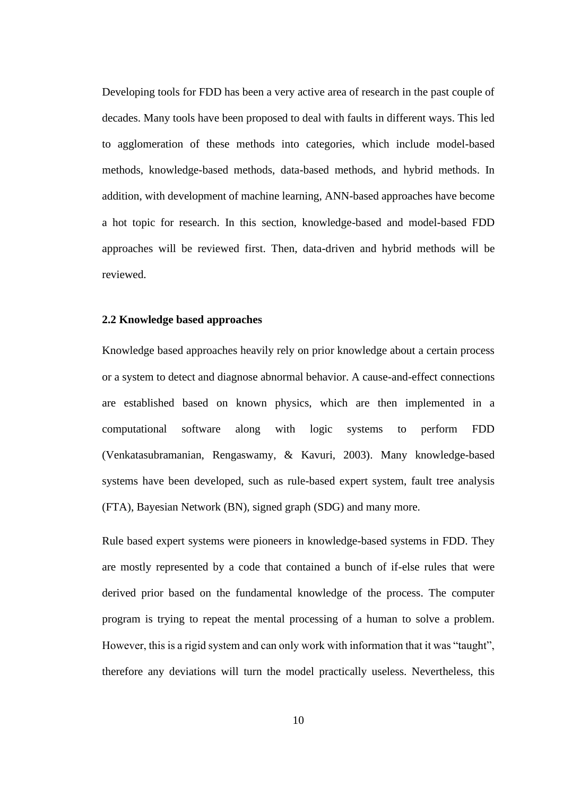Developing tools for FDD has been a very active area of research in the past couple of decades. Many tools have been proposed to deal with faults in different ways. This led to agglomeration of these methods into categories, which include model-based methods, knowledge-based methods, data-based methods, and hybrid methods. In addition, with development of machine learning, ANN-based approaches have become a hot topic for research. In this section, knowledge-based and model-based FDD approaches will be reviewed first. Then, data-driven and hybrid methods will be reviewed.

#### <span id="page-16-0"></span>**2.2 Knowledge based approaches**

Knowledge based approaches heavily rely on prior knowledge about a certain process or a system to detect and diagnose abnormal behavior. A cause-and-effect connections are established based on known physics, which are then implemented in a computational software along with logic systems to perform FDD (Venkatasubramanian, Rengaswamy, & Kavuri, 2003). Many knowledge-based systems have been developed, such as rule-based expert system, fault tree analysis (FTA), Bayesian Network (BN), signed graph (SDG) and many more.

Rule based expert systems were pioneers in knowledge-based systems in FDD. They are mostly represented by a code that contained a bunch of if-else rules that were derived prior based on the fundamental knowledge of the process. The computer program is trying to repeat the mental processing of a human to solve a problem. However, this is a rigid system and can only work with information that it was "taught", therefore any deviations will turn the model practically useless. Nevertheless, this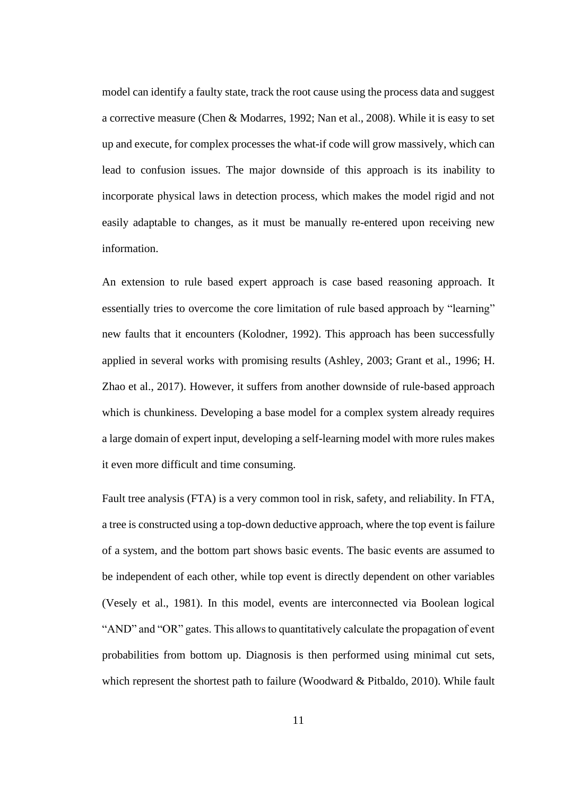model can identify a faulty state, track the root cause using the process data and suggest a corrective measure (Chen & Modarres, 1992; Nan et al., 2008). While it is easy to set up and execute, for complex processes the what-if code will grow massively, which can lead to confusion issues. The major downside of this approach is its inability to incorporate physical laws in detection process, which makes the model rigid and not easily adaptable to changes, as it must be manually re-entered upon receiving new information.

An extension to rule based expert approach is case based reasoning approach. It essentially tries to overcome the core limitation of rule based approach by "learning" new faults that it encounters (Kolodner, 1992). This approach has been successfully applied in several works with promising results (Ashley, 2003; Grant et al., 1996; H. Zhao et al., 2017). However, it suffers from another downside of rule-based approach which is chunkiness. Developing a base model for a complex system already requires a large domain of expert input, developing a self-learning model with more rules makes it even more difficult and time consuming.

Fault tree analysis (FTA) is a very common tool in risk, safety, and reliability. In FTA, a tree is constructed using a top-down deductive approach, where the top event is failure of a system, and the bottom part shows basic events. The basic events are assumed to be independent of each other, while top event is directly dependent on other variables (Vesely et al., 1981). In this model, events are interconnected via Boolean logical "AND" and "OR" gates. This allows to quantitatively calculate the propagation of event probabilities from bottom up. Diagnosis is then performed using minimal cut sets, which represent the shortest path to failure (Woodward & Pitbaldo, 2010). While fault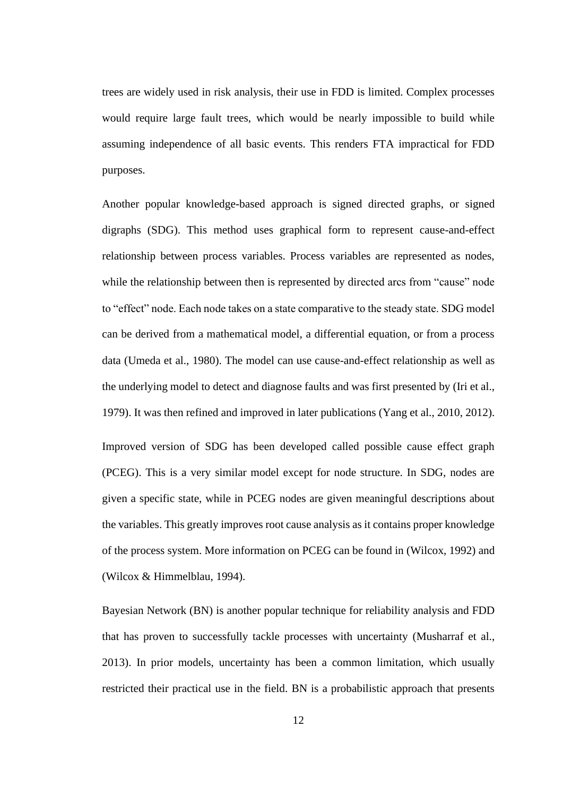trees are widely used in risk analysis, their use in FDD is limited. Complex processes would require large fault trees, which would be nearly impossible to build while assuming independence of all basic events. This renders FTA impractical for FDD purposes.

Another popular knowledge-based approach is signed directed graphs, or signed digraphs (SDG). This method uses graphical form to represent cause-and-effect relationship between process variables. Process variables are represented as nodes, while the relationship between then is represented by directed arcs from "cause" node to "effect" node. Each node takes on a state comparative to the steady state. SDG model can be derived from a mathematical model, a differential equation, or from a process data (Umeda et al., 1980). The model can use cause-and-effect relationship as well as the underlying model to detect and diagnose faults and was first presented by (Iri et al., 1979). It was then refined and improved in later publications (Yang et al., 2010, 2012).

Improved version of SDG has been developed called possible cause effect graph (PCEG). This is a very similar model except for node structure. In SDG, nodes are given a specific state, while in PCEG nodes are given meaningful descriptions about the variables. This greatly improves root cause analysis as it contains proper knowledge of the process system. More information on PCEG can be found in (Wilcox, 1992) and (Wilcox & Himmelblau, 1994).

Bayesian Network (BN) is another popular technique for reliability analysis and FDD that has proven to successfully tackle processes with uncertainty (Musharraf et al., 2013). In prior models, uncertainty has been a common limitation, which usually restricted their practical use in the field. BN is a probabilistic approach that presents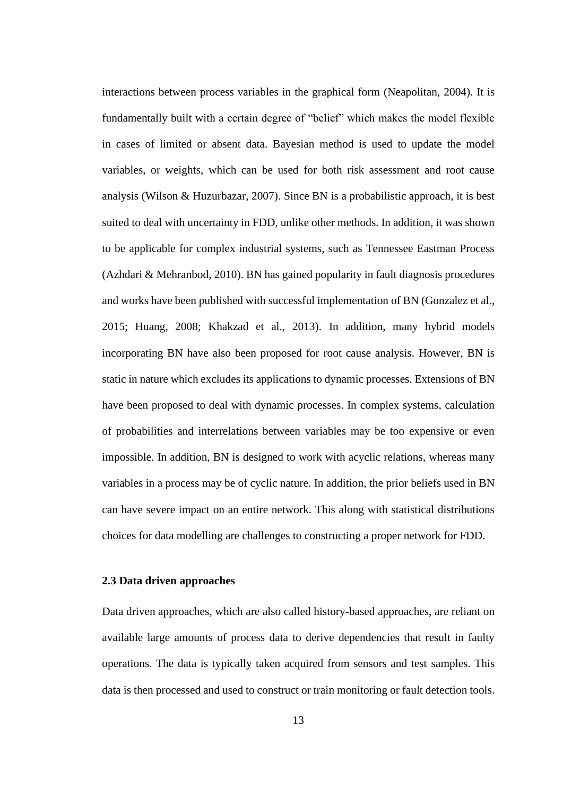interactions between process variables in the graphical form (Neapolitan, 2004). It is fundamentally built with a certain degree of "belief" which makes the model flexible in cases of limited or absent data. Bayesian method is used to update the model variables, or weights, which can be used for both risk assessment and root cause analysis (Wilson & Huzurbazar, 2007). Since BN is a probabilistic approach, it is best suited to deal with uncertainty in FDD, unlike other methods. In addition, it was shown to be applicable for complex industrial systems, such as Tennessee Eastman Process (Azhdari & Mehranbod, 2010). BN has gained popularity in fault diagnosis procedures and works have been published with successful implementation of BN (Gonzalez et al., 2015; Huang, 2008; Khakzad et al., 2013). In addition, many hybrid models incorporating BN have also been proposed for root cause analysis. However, BN is static in nature which excludes its applications to dynamic processes. Extensions of BN have been proposed to deal with dynamic processes. In complex systems, calculation of probabilities and interrelations between variables may be too expensive or even impossible. In addition, BN is designed to work with acyclic relations, whereas many variables in a process may be of cyclic nature. In addition, the prior beliefs used in BN can have severe impact on an entire network. This along with statistical distributions choices for data modelling are challenges to constructing a proper network for FDD.

#### <span id="page-19-0"></span>**2.3 Data driven approaches**

Data driven approaches, which are also called history-based approaches, are reliant on available large amounts of process data to derive dependencies that result in faulty operations. The data is typically taken acquired from sensors and test samples. This data is then processed and used to construct or train monitoring or fault detection tools.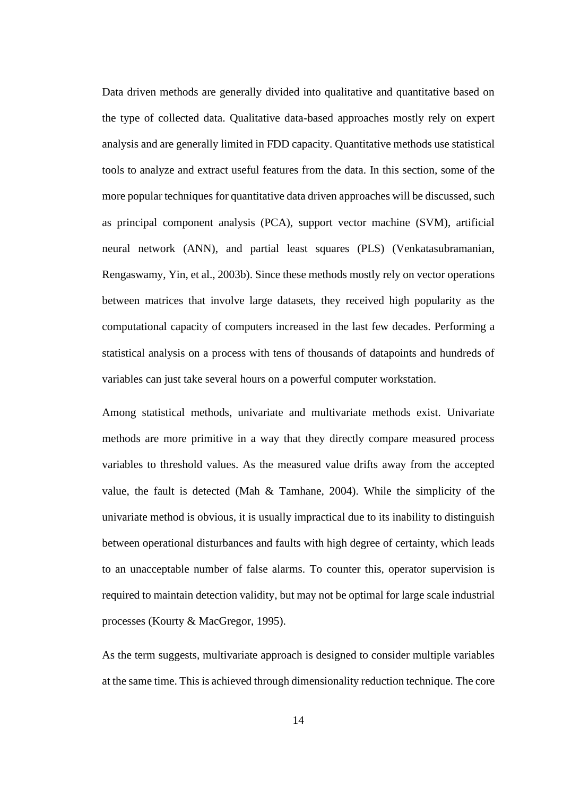Data driven methods are generally divided into qualitative and quantitative based on the type of collected data. Qualitative data-based approaches mostly rely on expert analysis and are generally limited in FDD capacity. Quantitative methods use statistical tools to analyze and extract useful features from the data. In this section, some of the more popular techniques for quantitative data driven approaches will be discussed, such as principal component analysis (PCA), support vector machine (SVM), artificial neural network (ANN), and partial least squares (PLS) (Venkatasubramanian, Rengaswamy, Yin, et al., 2003b). Since these methods mostly rely on vector operations between matrices that involve large datasets, they received high popularity as the computational capacity of computers increased in the last few decades. Performing a statistical analysis on a process with tens of thousands of datapoints and hundreds of variables can just take several hours on a powerful computer workstation.

Among statistical methods, univariate and multivariate methods exist. Univariate methods are more primitive in a way that they directly compare measured process variables to threshold values. As the measured value drifts away from the accepted value, the fault is detected (Mah & Tamhane, 2004). While the simplicity of the univariate method is obvious, it is usually impractical due to its inability to distinguish between operational disturbances and faults with high degree of certainty, which leads to an unacceptable number of false alarms. To counter this, operator supervision is required to maintain detection validity, but may not be optimal for large scale industrial processes (Kourty & MacGregor, 1995).

As the term suggests, multivariate approach is designed to consider multiple variables at the same time. This is achieved through dimensionality reduction technique. The core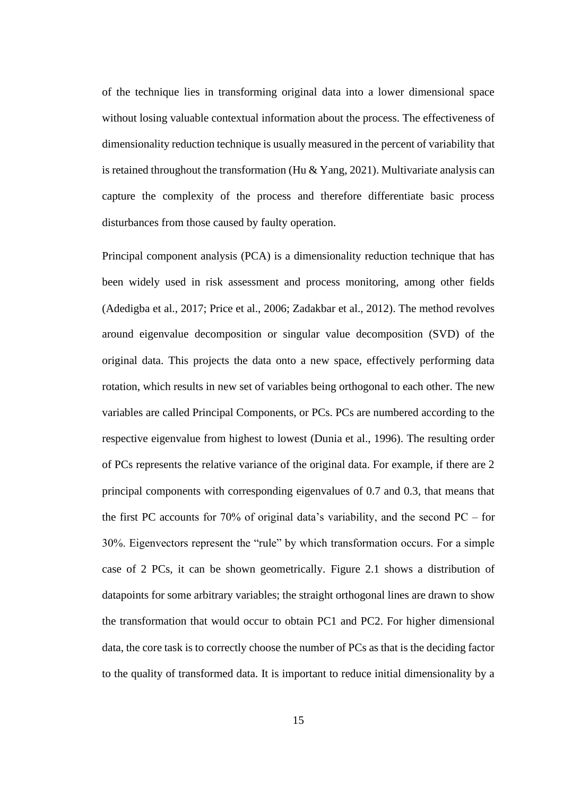of the technique lies in transforming original data into a lower dimensional space without losing valuable contextual information about the process. The effectiveness of dimensionality reduction technique is usually measured in the percent of variability that is retained throughout the transformation (Hu  $& Yang, 2021$ ). Multivariate analysis can capture the complexity of the process and therefore differentiate basic process disturbances from those caused by faulty operation.

Principal component analysis (PCA) is a dimensionality reduction technique that has been widely used in risk assessment and process monitoring, among other fields (Adedigba et al., 2017; Price et al., 2006; Zadakbar et al., 2012). The method revolves around eigenvalue decomposition or singular value decomposition (SVD) of the original data. This projects the data onto a new space, effectively performing data rotation, which results in new set of variables being orthogonal to each other. The new variables are called Principal Components, or PCs. PCs are numbered according to the respective eigenvalue from highest to lowest (Dunia et al., 1996). The resulting order of PCs represents the relative variance of the original data. For example, if there are 2 principal components with corresponding eigenvalues of 0.7 and 0.3, that means that the first PC accounts for 70% of original data's variability, and the second  $PC -$  for 30%. Eigenvectors represent the "rule" by which transformation occurs. For a simple case of 2 PCs, it can be shown geometrically. Figure 2.1 shows a distribution of datapoints for some arbitrary variables; the straight orthogonal lines are drawn to show the transformation that would occur to obtain PC1 and PC2. For higher dimensional data, the core task is to correctly choose the number of PCs as that is the deciding factor to the quality of transformed data. It is important to reduce initial dimensionality by a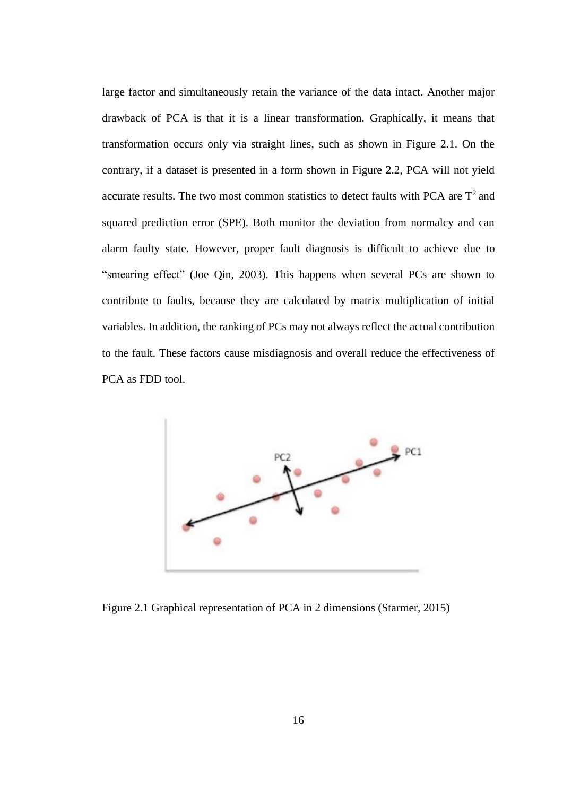large factor and simultaneously retain the variance of the data intact. Another major drawback of PCA is that it is a linear transformation. Graphically, it means that transformation occurs only via straight lines, such as shown in Figure 2.1. On the contrary, if a dataset is presented in a form shown in Figure 2.2, PCA will not yield accurate results. The two most common statistics to detect faults with PCA are  $T^2$  and squared prediction error (SPE). Both monitor the deviation from normalcy and can alarm faulty state. However, proper fault diagnosis is difficult to achieve due to "smearing effect" (Joe Qin, 2003). This happens when several PCs are shown to contribute to faults, because they are calculated by matrix multiplication of initial variables. In addition, the ranking of PCs may not always reflect the actual contribution to the fault. These factors cause misdiagnosis and overall reduce the effectiveness of PCA as FDD tool.



Figure 2.1 Graphical representation of PCA in 2 dimensions (Starmer, 2015)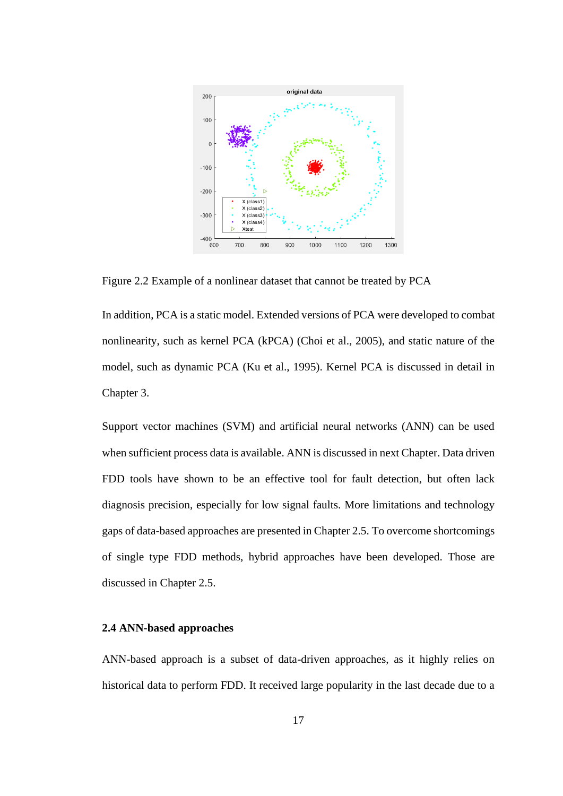

Figure 2.2 Example of a nonlinear dataset that cannot be treated by PCA

In addition, PCA is a static model. Extended versions of PCA were developed to combat nonlinearity, such as kernel PCA (kPCA) (Choi et al., 2005), and static nature of the model, such as dynamic PCA (Ku et al., 1995). Kernel PCA is discussed in detail in Chapter 3.

Support vector machines (SVM) and artificial neural networks (ANN) can be used when sufficient process data is available. ANN is discussed in next Chapter. Data driven FDD tools have shown to be an effective tool for fault detection, but often lack diagnosis precision, especially for low signal faults. More limitations and technology gaps of data-based approaches are presented in Chapter 2.5. To overcome shortcomings of single type FDD methods, hybrid approaches have been developed. Those are discussed in Chapter 2.5.

#### <span id="page-23-0"></span>**2.4 ANN-based approaches**

ANN-based approach is a subset of data-driven approaches, as it highly relies on historical data to perform FDD. It received large popularity in the last decade due to a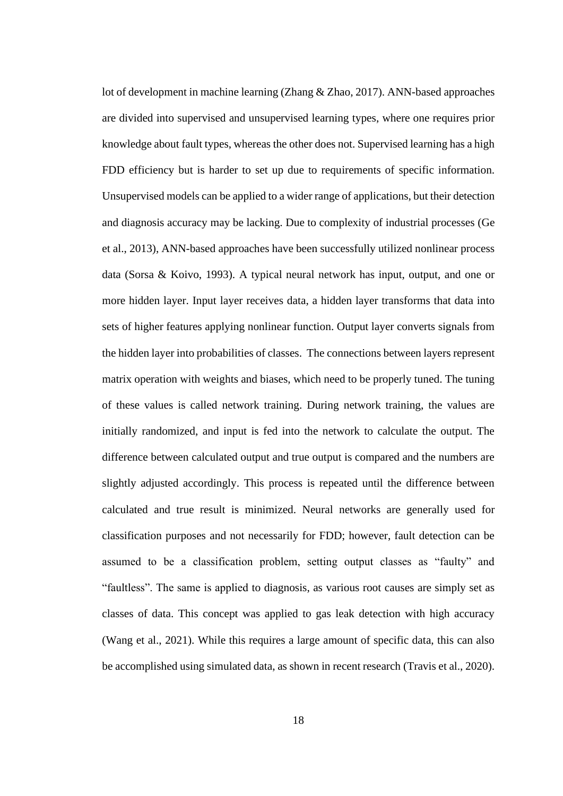lot of development in machine learning (Zhang & Zhao, 2017). ANN-based approaches are divided into supervised and unsupervised learning types, where one requires prior knowledge about fault types, whereas the other does not. Supervised learning has a high FDD efficiency but is harder to set up due to requirements of specific information. Unsupervised models can be applied to a wider range of applications, but their detection and diagnosis accuracy may be lacking. Due to complexity of industrial processes (Ge et al., 2013), ANN-based approaches have been successfully utilized nonlinear process data (Sorsa & Koivo, 1993). A typical neural network has input, output, and one or more hidden layer. Input layer receives data, a hidden layer transforms that data into sets of higher features applying nonlinear function. Output layer converts signals from the hidden layer into probabilities of classes. The connections between layers represent matrix operation with weights and biases, which need to be properly tuned. The tuning of these values is called network training. During network training, the values are initially randomized, and input is fed into the network to calculate the output. The difference between calculated output and true output is compared and the numbers are slightly adjusted accordingly. This process is repeated until the difference between calculated and true result is minimized. Neural networks are generally used for classification purposes and not necessarily for FDD; however, fault detection can be assumed to be a classification problem, setting output classes as "faulty" and "faultless". The same is applied to diagnosis, as various root causes are simply set as classes of data. This concept was applied to gas leak detection with high accuracy (Wang et al., 2021). While this requires a large amount of specific data, this can also be accomplished using simulated data, as shown in recent research (Travis et al., 2020).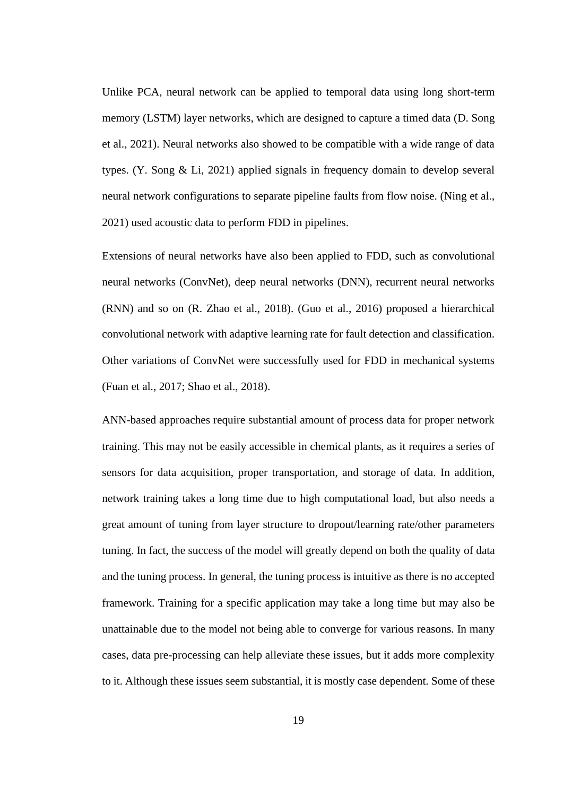Unlike PCA, neural network can be applied to temporal data using long short-term memory (LSTM) layer networks, which are designed to capture a timed data (D. Song et al., 2021). Neural networks also showed to be compatible with a wide range of data types. (Y. Song & Li, 2021) applied signals in frequency domain to develop several neural network configurations to separate pipeline faults from flow noise. (Ning et al., 2021) used acoustic data to perform FDD in pipelines.

Extensions of neural networks have also been applied to FDD, such as convolutional neural networks (ConvNet), deep neural networks (DNN), recurrent neural networks (RNN) and so on (R. Zhao et al., 2018). (Guo et al., 2016) proposed a hierarchical convolutional network with adaptive learning rate for fault detection and classification. Other variations of ConvNet were successfully used for FDD in mechanical systems (Fuan et al., 2017; Shao et al., 2018).

ANN-based approaches require substantial amount of process data for proper network training. This may not be easily accessible in chemical plants, as it requires a series of sensors for data acquisition, proper transportation, and storage of data. In addition, network training takes a long time due to high computational load, but also needs a great amount of tuning from layer structure to dropout/learning rate/other parameters tuning. In fact, the success of the model will greatly depend on both the quality of data and the tuning process. In general, the tuning process is intuitive as there is no accepted framework. Training for a specific application may take a long time but may also be unattainable due to the model not being able to converge for various reasons. In many cases, data pre-processing can help alleviate these issues, but it adds more complexity to it. Although these issues seem substantial, it is mostly case dependent. Some of these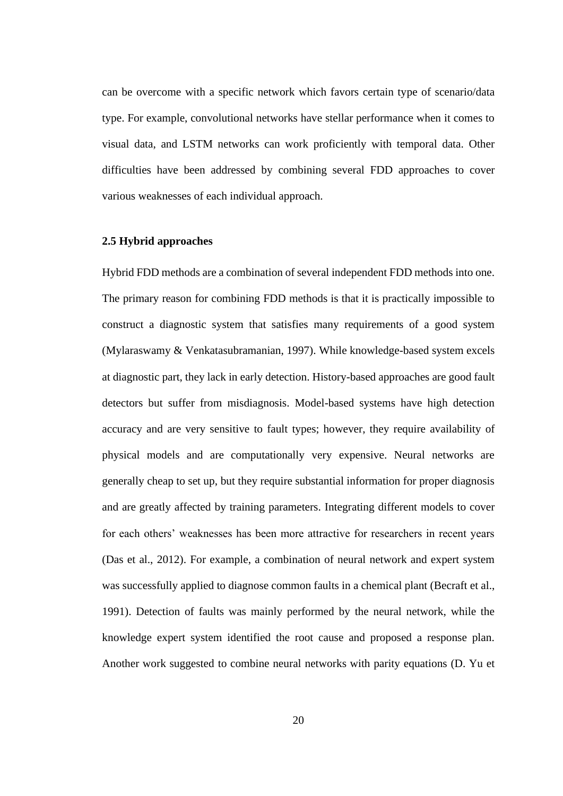can be overcome with a specific network which favors certain type of scenario/data type. For example, convolutional networks have stellar performance when it comes to visual data, and LSTM networks can work proficiently with temporal data. Other difficulties have been addressed by combining several FDD approaches to cover various weaknesses of each individual approach.

#### <span id="page-26-0"></span>**2.5 Hybrid approaches**

Hybrid FDD methods are a combination of several independent FDD methods into one. The primary reason for combining FDD methods is that it is practically impossible to construct a diagnostic system that satisfies many requirements of a good system (Mylaraswamy & Venkatasubramanian, 1997). While knowledge-based system excels at diagnostic part, they lack in early detection. History-based approaches are good fault detectors but suffer from misdiagnosis. Model-based systems have high detection accuracy and are very sensitive to fault types; however, they require availability of physical models and are computationally very expensive. Neural networks are generally cheap to set up, but they require substantial information for proper diagnosis and are greatly affected by training parameters. Integrating different models to cover for each others' weaknesses has been more attractive for researchers in recent years (Das et al., 2012). For example, a combination of neural network and expert system was successfully applied to diagnose common faults in a chemical plant (Becraft et al., 1991). Detection of faults was mainly performed by the neural network, while the knowledge expert system identified the root cause and proposed a response plan. Another work suggested to combine neural networks with parity equations (D. Yu et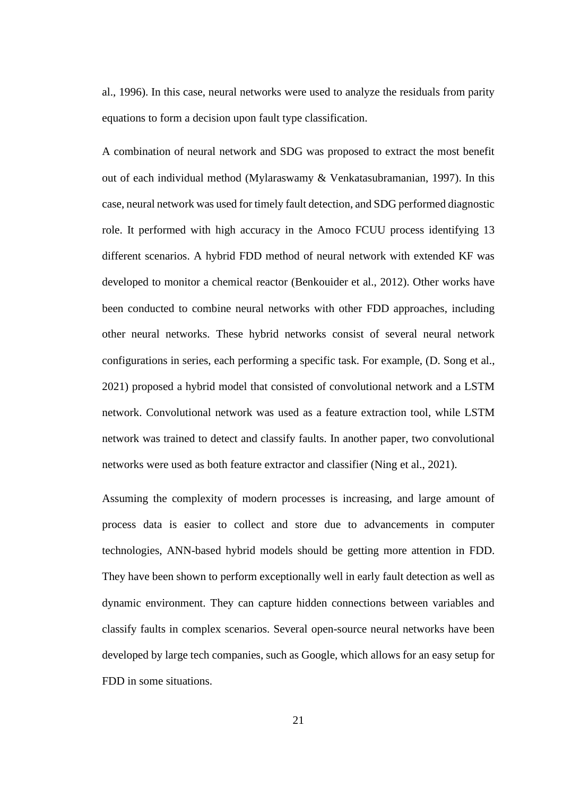al., 1996). In this case, neural networks were used to analyze the residuals from parity equations to form a decision upon fault type classification.

A combination of neural network and SDG was proposed to extract the most benefit out of each individual method (Mylaraswamy & Venkatasubramanian, 1997). In this case, neural network was used for timely fault detection, and SDG performed diagnostic role. It performed with high accuracy in the Amoco FCUU process identifying 13 different scenarios. A hybrid FDD method of neural network with extended KF was developed to monitor a chemical reactor (Benkouider et al., 2012). Other works have been conducted to combine neural networks with other FDD approaches, including other neural networks. These hybrid networks consist of several neural network configurations in series, each performing a specific task. For example, (D. Song et al., 2021) proposed a hybrid model that consisted of convolutional network and a LSTM network. Convolutional network was used as a feature extraction tool, while LSTM network was trained to detect and classify faults. In another paper, two convolutional networks were used as both feature extractor and classifier (Ning et al., 2021).

Assuming the complexity of modern processes is increasing, and large amount of process data is easier to collect and store due to advancements in computer technologies, ANN-based hybrid models should be getting more attention in FDD. They have been shown to perform exceptionally well in early fault detection as well as dynamic environment. They can capture hidden connections between variables and classify faults in complex scenarios. Several open-source neural networks have been developed by large tech companies, such as Google, which allows for an easy setup for FDD in some situations.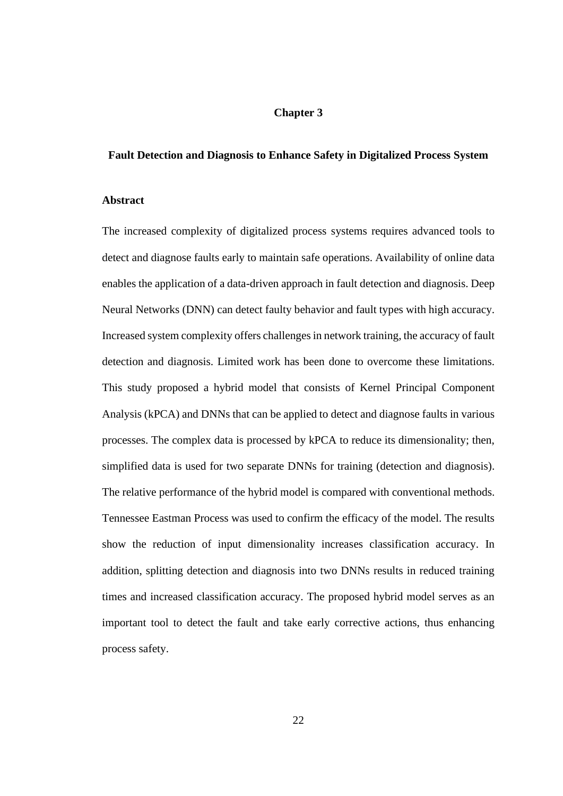# **Chapter 3**

#### <span id="page-28-1"></span><span id="page-28-0"></span>**Fault Detection and Diagnosis to Enhance Safety in Digitalized Process System**

#### <span id="page-28-2"></span>**Abstract**

The increased complexity of digitalized process systems requires advanced tools to detect and diagnose faults early to maintain safe operations. Availability of online data enables the application of a data-driven approach in fault detection and diagnosis. Deep Neural Networks (DNN) can detect faulty behavior and fault types with high accuracy. Increased system complexity offers challenges in network training, the accuracy of fault detection and diagnosis. Limited work has been done to overcome these limitations. This study proposed a hybrid model that consists of Kernel Principal Component Analysis (kPCA) and DNNs that can be applied to detect and diagnose faults in various processes. The complex data is processed by kPCA to reduce its dimensionality; then, simplified data is used for two separate DNNs for training (detection and diagnosis). The relative performance of the hybrid model is compared with conventional methods. Tennessee Eastman Process was used to confirm the efficacy of the model. The results show the reduction of input dimensionality increases classification accuracy. In addition, splitting detection and diagnosis into two DNNs results in reduced training times and increased classification accuracy. The proposed hybrid model serves as an important tool to detect the fault and take early corrective actions, thus enhancing process safety.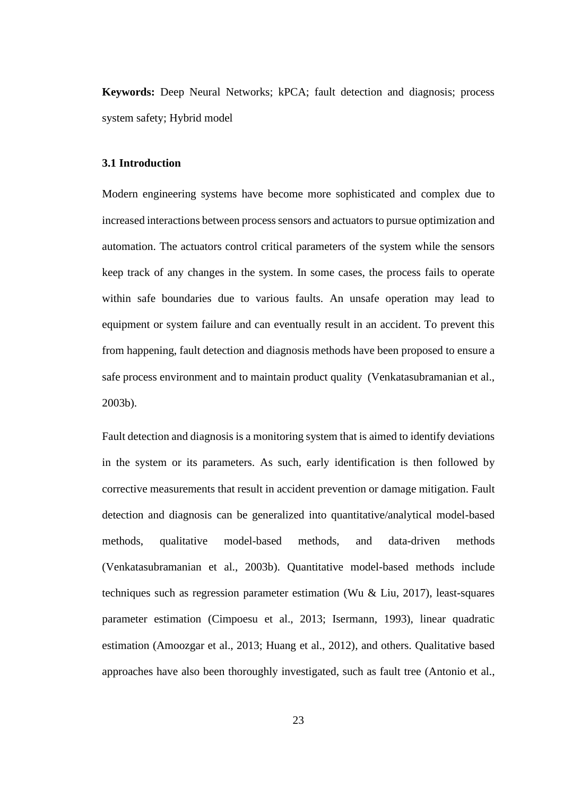**Keywords:** Deep Neural Networks; kPCA; fault detection and diagnosis; process system safety; Hybrid model

## <span id="page-29-0"></span>**3.1 Introduction**

Modern engineering systems have become more sophisticated and complex due to increased interactions between process sensors and actuators to pursue optimization and automation. The actuators control critical parameters of the system while the sensors keep track of any changes in the system. In some cases, the process fails to operate within safe boundaries due to various faults. An unsafe operation may lead to equipment or system failure and can eventually result in an accident. To prevent this from happening, fault detection and diagnosis methods have been proposed to ensure a safe process environment and to maintain product quality (Venkatasubramanian et al., 2003b).

Fault detection and diagnosis is a monitoring system that is aimed to identify deviations in the system or its parameters. As such, early identification is then followed by corrective measurements that result in accident prevention or damage mitigation. Fault detection and diagnosis can be generalized into quantitative/analytical model-based methods, qualitative model-based methods, and data-driven methods (Venkatasubramanian et al., 2003b). Quantitative model-based methods include techniques such as regression parameter estimation (Wu & Liu, 2017), least-squares parameter estimation (Cimpoesu et al., 2013; Isermann, 1993), linear quadratic estimation (Amoozgar et al., 2013; Huang et al., 2012), and others. Qualitative based approaches have also been thoroughly investigated, such as fault tree (Antonio et al.,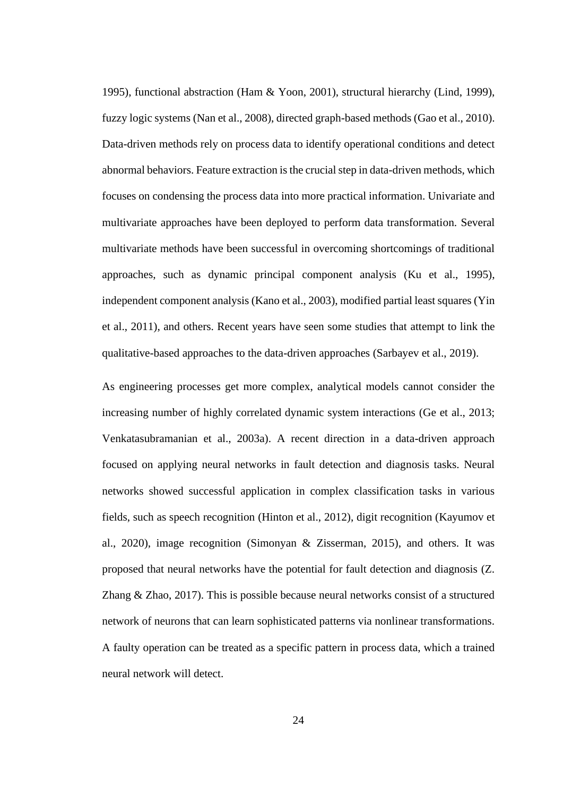1995), functional abstraction (Ham & Yoon, 2001), structural hierarchy (Lind, 1999), fuzzy logic systems (Nan et al., 2008), directed graph-based methods (Gao et al., 2010). Data-driven methods rely on process data to identify operational conditions and detect abnormal behaviors. Feature extraction is the crucial step in data-driven methods, which focuses on condensing the process data into more practical information. Univariate and multivariate approaches have been deployed to perform data transformation. Several multivariate methods have been successful in overcoming shortcomings of traditional approaches, such as dynamic principal component analysis (Ku et al., 1995), independent component analysis (Kano et al., 2003), modified partial least squares (Yin et al., 2011), and others. Recent years have seen some studies that attempt to link the qualitative-based approaches to the data-driven approaches (Sarbayev et al., 2019).

As engineering processes get more complex, analytical models cannot consider the increasing number of highly correlated dynamic system interactions (Ge et al., 2013; Venkatasubramanian et al., 2003a). A recent direction in a data-driven approach focused on applying neural networks in fault detection and diagnosis tasks. Neural networks showed successful application in complex classification tasks in various fields, such as speech recognition (Hinton et al., 2012), digit recognition (Kayumov et al., 2020), image recognition (Simonyan & Zisserman, 2015), and others. It was proposed that neural networks have the potential for fault detection and diagnosis (Z. Zhang & Zhao, 2017). This is possible because neural networks consist of a structured network of neurons that can learn sophisticated patterns via nonlinear transformations. A faulty operation can be treated as a specific pattern in process data, which a trained neural network will detect.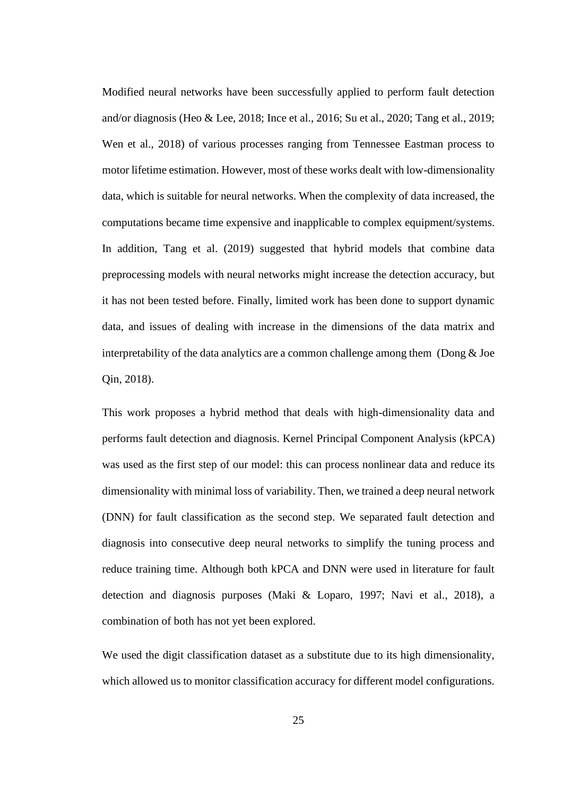Modified neural networks have been successfully applied to perform fault detection and/or diagnosis (Heo & Lee, 2018; Ince et al., 2016; Su et al., 2020; Tang et al., 2019; Wen et al., 2018) of various processes ranging from Tennessee Eastman process to motor lifetime estimation. However, most of these works dealt with low-dimensionality data, which is suitable for neural networks. When the complexity of data increased, the computations became time expensive and inapplicable to complex equipment/systems. In addition, Tang et al. (2019) suggested that hybrid models that combine data preprocessing models with neural networks might increase the detection accuracy, but it has not been tested before. Finally, limited work has been done to support dynamic data, and issues of dealing with increase in the dimensions of the data matrix and interpretability of the data analytics are a common challenge among them (Dong  $\&$  Joe Qin, 2018).

This work proposes a hybrid method that deals with high-dimensionality data and performs fault detection and diagnosis. Kernel Principal Component Analysis (kPCA) was used as the first step of our model: this can process nonlinear data and reduce its dimensionality with minimal loss of variability. Then, we trained a deep neural network (DNN) for fault classification as the second step. We separated fault detection and diagnosis into consecutive deep neural networks to simplify the tuning process and reduce training time. Although both kPCA and DNN were used in literature for fault detection and diagnosis purposes (Maki & Loparo, 1997; Navi et al., 2018), a combination of both has not yet been explored.

We used the digit classification dataset as a substitute due to its high dimensionality, which allowed us to monitor classification accuracy for different model configurations.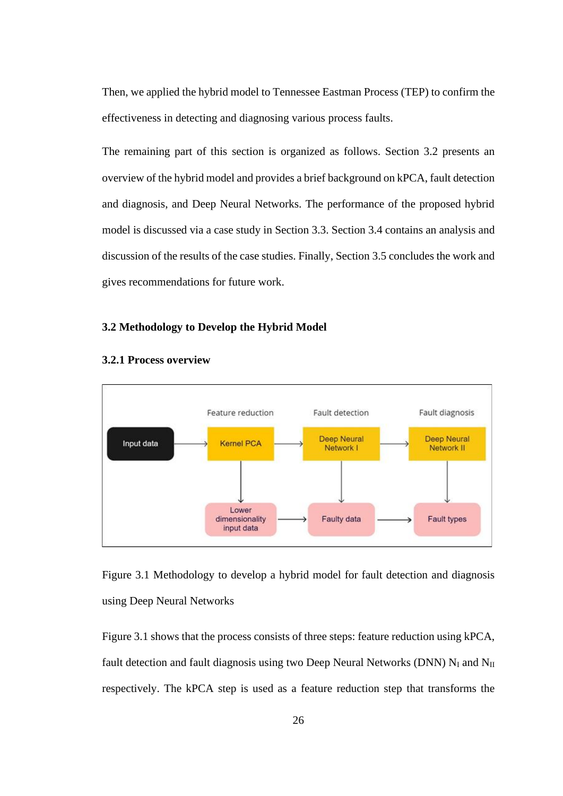Then, we applied the hybrid model to Tennessee Eastman Process (TEP) to confirm the effectiveness in detecting and diagnosing various process faults.

The remaining part of this section is organized as follows. Section 3.2 presents an overview of the hybrid model and provides a brief background on kPCA, fault detection and diagnosis, and Deep Neural Networks. The performance of the proposed hybrid model is discussed via a case study in Section 3.3. Section 3.4 contains an analysis and discussion of the results of the case studies. Finally, Section 3.5 concludes the work and gives recommendations for future work.

#### <span id="page-32-0"></span>**3.2 Methodology to Develop the Hybrid Model**



#### <span id="page-32-1"></span>**3.2.1 Process overview**

Figure 3.1 Methodology to develop a hybrid model for fault detection and diagnosis using Deep Neural Networks

<span id="page-32-2"></span>Figure 3.1 shows that the process consists of three steps: feature reduction using kPCA, fault detection and fault diagnosis using two Deep Neural Networks (DNN)  $N_I$  and  $N_{II}$ respectively. The kPCA step is used as a feature reduction step that transforms the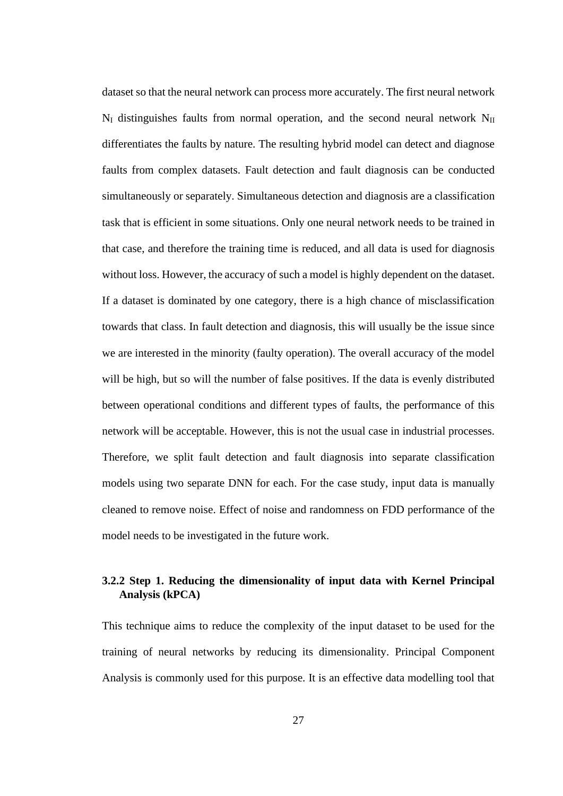dataset so that the neural network can process more accurately. The first neural network  $N_I$  distinguishes faults from normal operation, and the second neural network  $N_{II}$ differentiates the faults by nature. The resulting hybrid model can detect and diagnose faults from complex datasets. Fault detection and fault diagnosis can be conducted simultaneously or separately. Simultaneous detection and diagnosis are a classification task that is efficient in some situations. Only one neural network needs to be trained in that case, and therefore the training time is reduced, and all data is used for diagnosis without loss. However, the accuracy of such a model is highly dependent on the dataset. If a dataset is dominated by one category, there is a high chance of misclassification towards that class. In fault detection and diagnosis, this will usually be the issue since we are interested in the minority (faulty operation). The overall accuracy of the model will be high, but so will the number of false positives. If the data is evenly distributed between operational conditions and different types of faults, the performance of this network will be acceptable. However, this is not the usual case in industrial processes. Therefore, we split fault detection and fault diagnosis into separate classification models using two separate DNN for each. For the case study, input data is manually cleaned to remove noise. Effect of noise and randomness on FDD performance of the model needs to be investigated in the future work.

# **3.2.2 Step 1. Reducing the dimensionality of input data with Kernel Principal Analysis (kPCA)**

This technique aims to reduce the complexity of the input dataset to be used for the training of neural networks by reducing its dimensionality. Principal Component Analysis is commonly used for this purpose. It is an effective data modelling tool that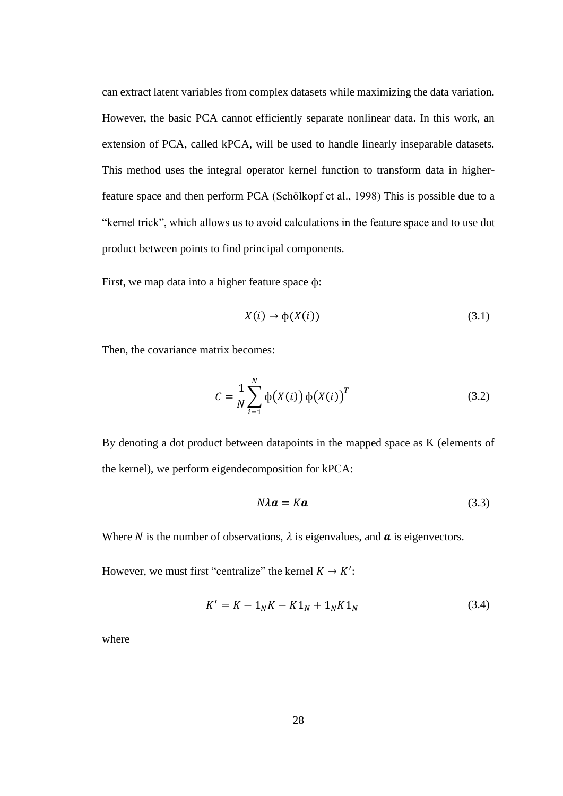can extract latent variables from complex datasets while maximizing the data variation. However, the basic PCA cannot efficiently separate nonlinear data. In this work, an extension of PCA, called kPCA, will be used to handle linearly inseparable datasets. This method uses the integral operator kernel function to transform data in higherfeature space and then perform PCA (Schölkopf et al., 1998) This is possible due to a "kernel trick", which allows us to avoid calculations in the feature space and to use dot product between points to find principal components.

First, we map data into a higher feature space ф:

$$
X(i) \to \phi(X(i)) \tag{3.1}
$$

Then, the covariance matrix becomes:

$$
C = \frac{1}{N} \sum_{i=1}^{N} \phi(X(i)) \phi(X(i))^{T}
$$
 (3.2)

By denoting a dot product between datapoints in the mapped space as K (elements of the kernel), we perform eigendecomposition for kPCA:

$$
N\lambda \mathbf{a} = K\mathbf{a} \tag{3.3}
$$

Where N is the number of observations,  $\lambda$  is eigenvalues, and  $\alpha$  is eigenvectors.

However, we must first "centralize" the kernel  $K \to K'$ :

$$
K' = K - 1_N K - K 1_N + 1_N K 1_N \tag{3.4}
$$

where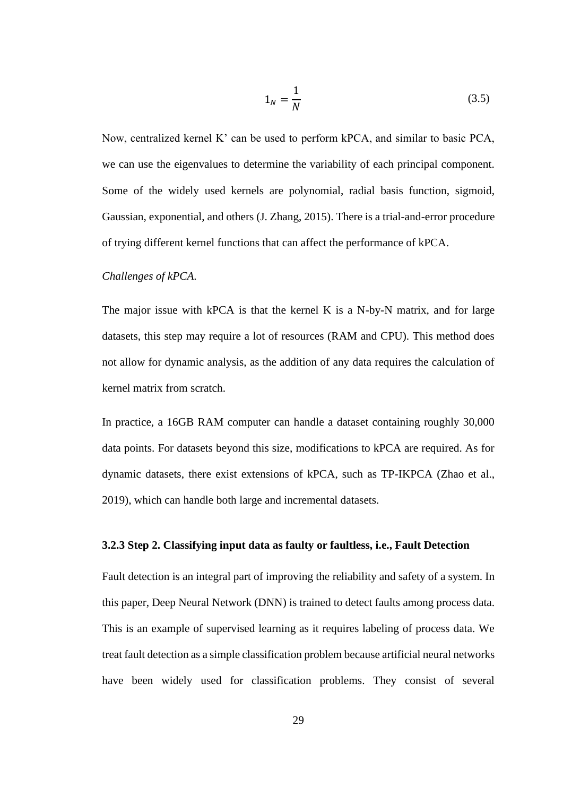$$
1_N = \frac{1}{N} \tag{3.5}
$$

Now, centralized kernel K' can be used to perform kPCA, and similar to basic PCA, we can use the eigenvalues to determine the variability of each principal component. Some of the widely used kernels are polynomial, radial basis function, sigmoid, Gaussian, exponential, and others (J. Zhang, 2015). There is a trial-and-error procedure of trying different kernel functions that can affect the performance of kPCA.

#### *Challenges of kPCA.*

The major issue with kPCA is that the kernel K is a N-by-N matrix, and for large datasets, this step may require a lot of resources (RAM and CPU). This method does not allow for dynamic analysis, as the addition of any data requires the calculation of kernel matrix from scratch.

In practice, a 16GB RAM computer can handle a dataset containing roughly 30,000 data points. For datasets beyond this size, modifications to kPCA are required. As for dynamic datasets, there exist extensions of kPCA, such as TP-IKPCA (Zhao et al., 2019), which can handle both large and incremental datasets.

#### <span id="page-35-0"></span>**3.2.3 Step 2. Classifying input data as faulty or faultless, i.e., Fault Detection**

Fault detection is an integral part of improving the reliability and safety of a system. In this paper, Deep Neural Network (DNN) is trained to detect faults among process data. This is an example of supervised learning as it requires labeling of process data. We treat fault detection as a simple classification problem because artificial neural networks have been widely used for classification problems. They consist of several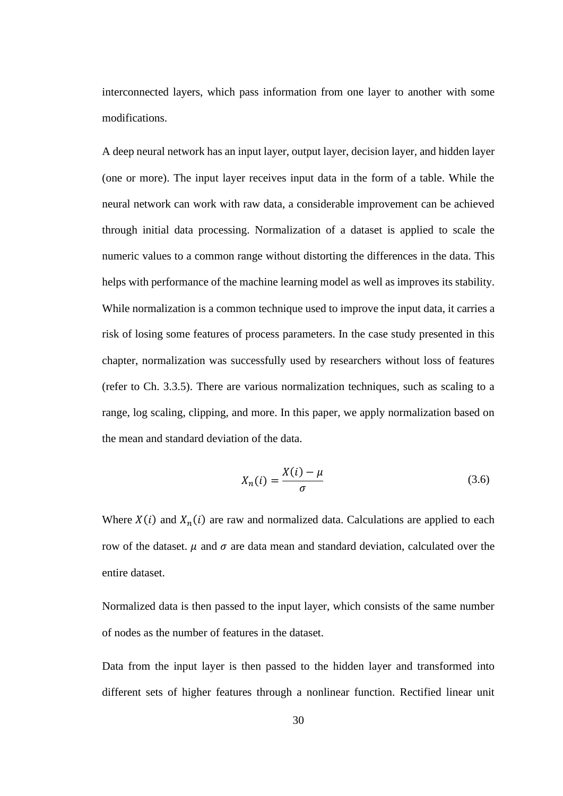interconnected layers, which pass information from one layer to another with some modifications.

A deep neural network has an input layer, output layer, decision layer, and hidden layer (one or more). The input layer receives input data in the form of a table. While the neural network can work with raw data, a considerable improvement can be achieved through initial data processing. Normalization of a dataset is applied to scale the numeric values to a common range without distorting the differences in the data. This helps with performance of the machine learning model as well as improves its stability. While normalization is a common technique used to improve the input data, it carries a risk of losing some features of process parameters. In the case study presented in this chapter, normalization was successfully used by researchers without loss of features (refer to Ch. 3.3.5). There are various normalization techniques, such as scaling to a range, log scaling, clipping, and more. In this paper, we apply normalization based on the mean and standard deviation of the data.

$$
X_n(i) = \frac{X(i) - \mu}{\sigma} \tag{3.6}
$$

Where  $X(i)$  and  $X_n(i)$  are raw and normalized data. Calculations are applied to each row of the dataset.  $\mu$  and  $\sigma$  are data mean and standard deviation, calculated over the entire dataset.

Normalized data is then passed to the input layer, which consists of the same number of nodes as the number of features in the dataset.

Data from the input layer is then passed to the hidden layer and transformed into different sets of higher features through a nonlinear function. Rectified linear unit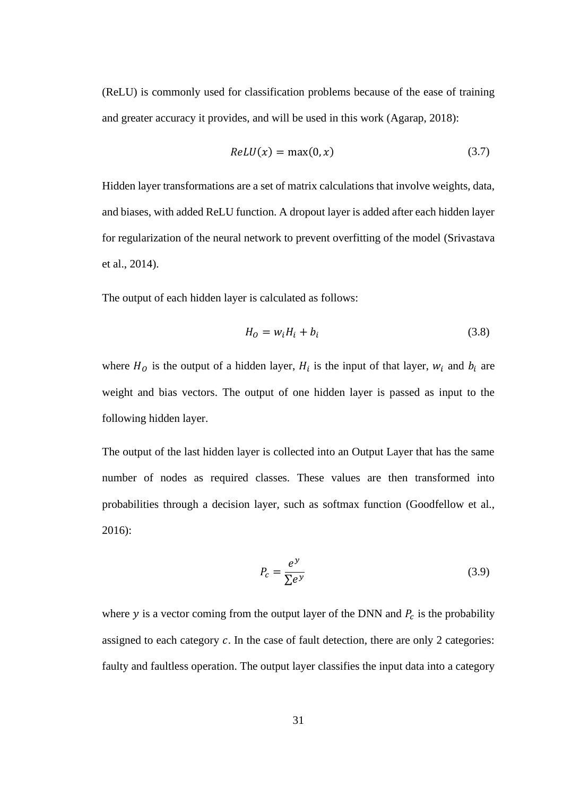(ReLU) is commonly used for classification problems because of the ease of training and greater accuracy it provides, and will be used in this work (Agarap, 2018):

$$
ReLU(x) = max(0, x) \tag{3.7}
$$

Hidden layer transformations are a set of matrix calculations that involve weights, data, and biases, with added ReLU function. A dropout layer is added after each hidden layer for regularization of the neural network to prevent overfitting of the model (Srivastava et al., 2014).

The output of each hidden layer is calculated as follows:

$$
H_0 = w_i H_i + b_i \tag{3.8}
$$

where  $H_0$  is the output of a hidden layer,  $H_i$  is the input of that layer,  $W_i$  and  $b_i$  are weight and bias vectors. The output of one hidden layer is passed as input to the following hidden layer.

The output of the last hidden layer is collected into an Output Layer that has the same number of nodes as required classes. These values are then transformed into probabilities through a decision layer, such as softmax function (Goodfellow et al., 2016):

$$
P_c = \frac{e^y}{\sum e^y} \tag{3.9}
$$

where y is a vector coming from the output layer of the DNN and  $P_c$  is the probability assigned to each category  $c$ . In the case of fault detection, there are only 2 categories: faulty and faultless operation. The output layer classifies the input data into a category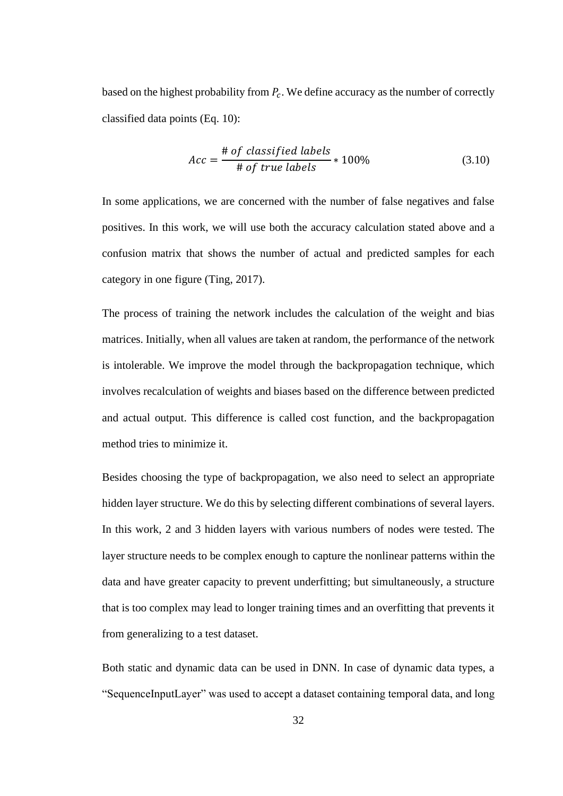based on the highest probability from  $P_c$ . We define accuracy as the number of correctly classified data points (Eq. 10):

$$
Acc = \frac{\text{# of classified labels}}{\text{# of true labels}} * 100\%
$$
 (3.10)

In some applications, we are concerned with the number of false negatives and false positives. In this work, we will use both the accuracy calculation stated above and a confusion matrix that shows the number of actual and predicted samples for each category in one figure (Ting, 2017).

The process of training the network includes the calculation of the weight and bias matrices. Initially, when all values are taken at random, the performance of the network is intolerable. We improve the model through the backpropagation technique, which involves recalculation of weights and biases based on the difference between predicted and actual output. This difference is called cost function, and the backpropagation method tries to minimize it.

Besides choosing the type of backpropagation, we also need to select an appropriate hidden layer structure. We do this by selecting different combinations of several layers. In this work, 2 and 3 hidden layers with various numbers of nodes were tested. The layer structure needs to be complex enough to capture the nonlinear patterns within the data and have greater capacity to prevent underfitting; but simultaneously, a structure that is too complex may lead to longer training times and an overfitting that prevents it from generalizing to a test dataset.

Both static and dynamic data can be used in DNN. In case of dynamic data types, a "SequenceInputLayer" was used to accept a dataset containing temporal data, and long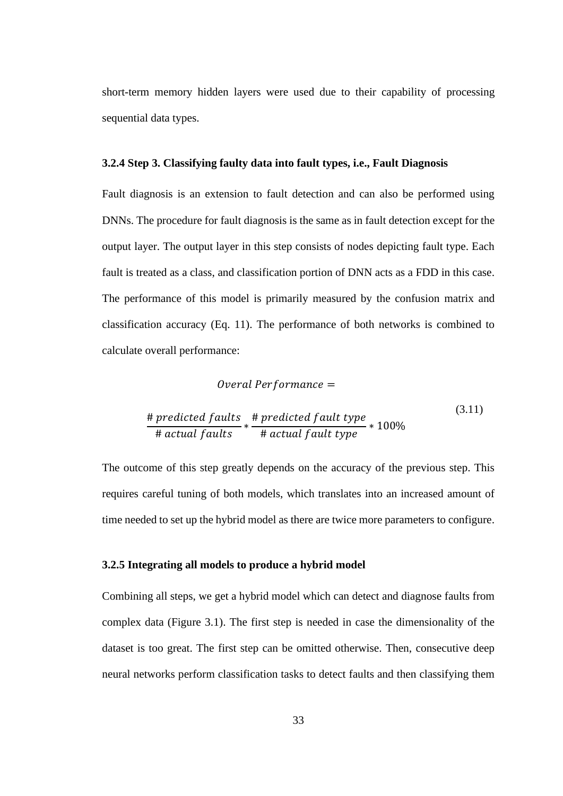short-term memory hidden layers were used due to their capability of processing sequential data types.

#### **3.2.4 Step 3. Classifying faulty data into fault types, i.e., Fault Diagnosis**

Fault diagnosis is an extension to fault detection and can also be performed using DNNs. The procedure for fault diagnosis is the same as in fault detection except for the output layer. The output layer in this step consists of nodes depicting fault type. Each fault is treated as a class, and classification portion of DNN acts as a FDD in this case. The performance of this model is primarily measured by the confusion matrix and classification accuracy (Eq. 11). The performance of both networks is combined to calculate overall performance:

### $Overall Performance =$

$$
\frac{\# predicted faults}{\# actual faults} * \frac{\# predicted fault type}{\# actual fault type} * 100\%
$$
\n(3.11)

The outcome of this step greatly depends on the accuracy of the previous step. This requires careful tuning of both models, which translates into an increased amount of time needed to set up the hybrid model as there are twice more parameters to configure.

### **3.2.5 Integrating all models to produce a hybrid model**

Combining all steps, we get a hybrid model which can detect and diagnose faults from complex data (Figure 3.1). The first step is needed in case the dimensionality of the dataset is too great. The first step can be omitted otherwise. Then, consecutive deep neural networks perform classification tasks to detect faults and then classifying them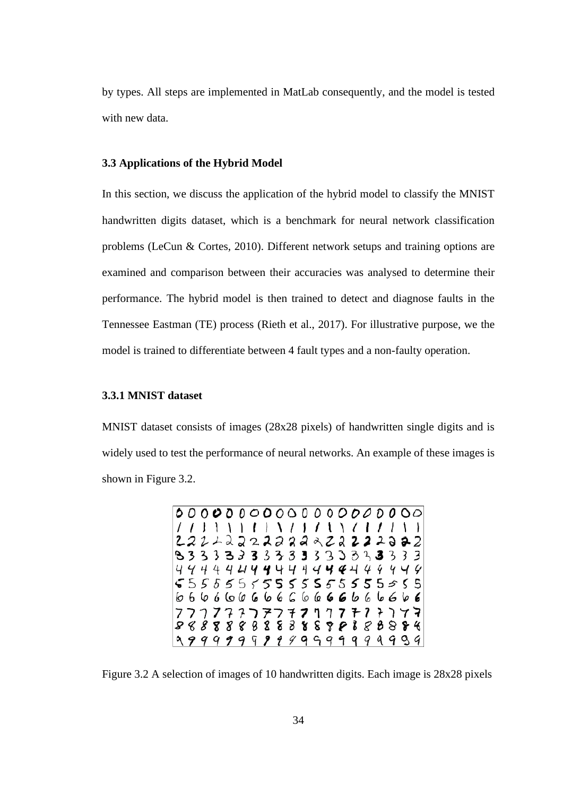by types. All steps are implemented in MatLab consequently, and the model is tested with new data.

## **3.3 Applications of the Hybrid Model**

In this section, we discuss the application of the hybrid model to classify the MNIST handwritten digits dataset, which is a benchmark for neural network classification problems (LeCun & Cortes, 2010). Different network setups and training options are examined and comparison between their accuracies was analysed to determine their performance. The hybrid model is then trained to detect and diagnose faults in the Tennessee Eastman (TE) process (Rieth et al., 2017). For illustrative purpose, we the model is trained to differentiate between 4 fault types and a non-faulty operation.

## **3.3.1 MNIST dataset**

MNIST dataset consists of images (28x28 pixels) of handwritten single digits and is widely used to test the performance of neural networks. An example of these images is shown in Figure 3.2.

> $11111$  $\mathbf{I}$  $\sqrt{ }$  $\prime$  $\mathbf{1}$  $\prime$  $111$  $\rightarrow$  $\cdot$  $\mathbf{I}$  $222222$ Э  $2 \triangle$  $\mathcal Z$ 2  $\mathcal{L}$ **a 2** 2  $22$ 2 2  $\overline{\mathbf{z}}$ 83333333333  $33333$  $\mathbf{z}$  $3<sup>3</sup>$  $444$ 44444444444 444444  $5555555555555555555$  $666666666666666666666$ 777777777771777 テフツマ 8 8 8 8 8 9 8 8 8 8 8  $89888888$ 99999999999999999999

Figure 3.2 A selection of images of 10 handwritten digits. Each image is 28x28 pixels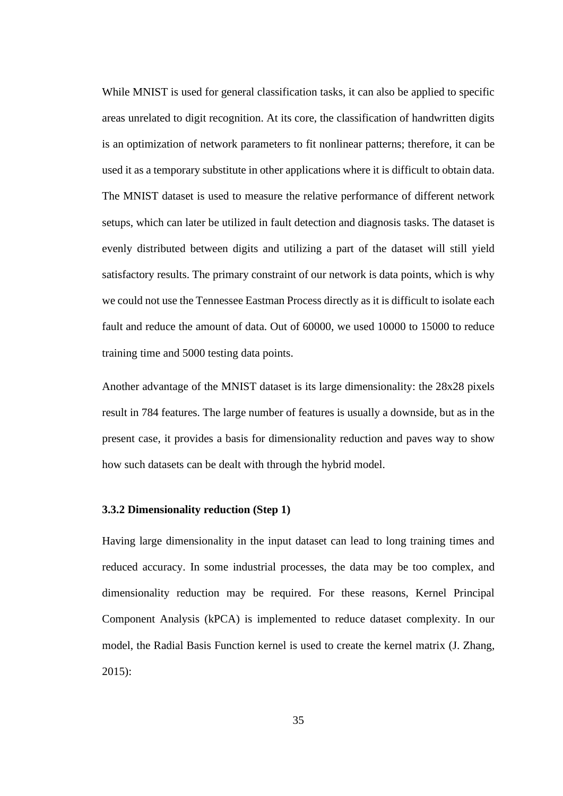While MNIST is used for general classification tasks, it can also be applied to specific areas unrelated to digit recognition. At its core, the classification of handwritten digits is an optimization of network parameters to fit nonlinear patterns; therefore, it can be used it as a temporary substitute in other applications where it is difficult to obtain data. The MNIST dataset is used to measure the relative performance of different network setups, which can later be utilized in fault detection and diagnosis tasks. The dataset is evenly distributed between digits and utilizing a part of the dataset will still yield satisfactory results. The primary constraint of our network is data points, which is why we could not use the Tennessee Eastman Process directly as it is difficult to isolate each fault and reduce the amount of data. Out of 60000, we used 10000 to 15000 to reduce training time and 5000 testing data points.

Another advantage of the MNIST dataset is its large dimensionality: the 28x28 pixels result in 784 features. The large number of features is usually a downside, but as in the present case, it provides a basis for dimensionality reduction and paves way to show how such datasets can be dealt with through the hybrid model.

# **3.3.2 Dimensionality reduction (Step 1)**

Having large dimensionality in the input dataset can lead to long training times and reduced accuracy. In some industrial processes, the data may be too complex, and dimensionality reduction may be required. For these reasons, Kernel Principal Component Analysis (kPCA) is implemented to reduce dataset complexity. In our model, the Radial Basis Function kernel is used to create the kernel matrix (J. Zhang, 2015):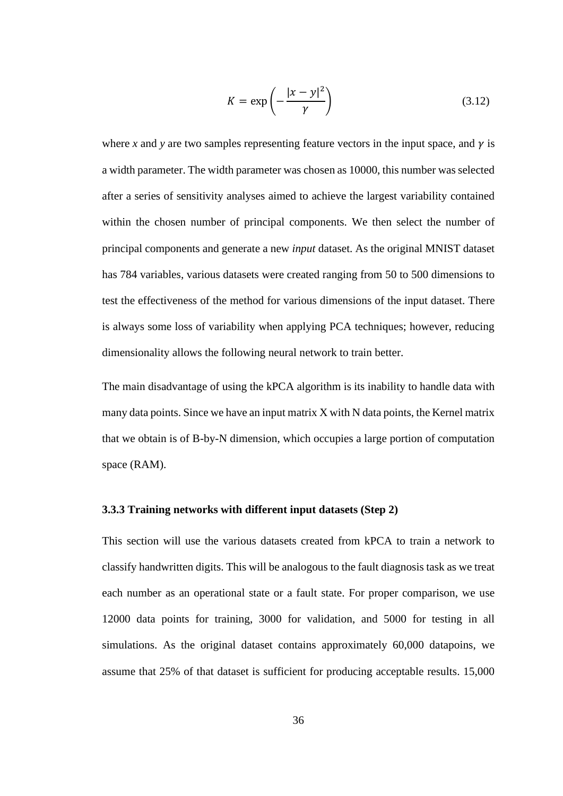$$
K = \exp\left(-\frac{|x - y|^2}{\gamma}\right) \tag{3.12}
$$

where *x* and *y* are two samples representing feature vectors in the input space, and  $\gamma$  is a width parameter. The width parameter was chosen as 10000, this number was selected after a series of sensitivity analyses aimed to achieve the largest variability contained within the chosen number of principal components. We then select the number of principal components and generate a new *input* dataset. As the original MNIST dataset has 784 variables, various datasets were created ranging from 50 to 500 dimensions to test the effectiveness of the method for various dimensions of the input dataset. There is always some loss of variability when applying PCA techniques; however, reducing dimensionality allows the following neural network to train better.

The main disadvantage of using the kPCA algorithm is its inability to handle data with many data points. Since we have an input matrix X with N data points, the Kernel matrix that we obtain is of B-by-N dimension, which occupies a large portion of computation space (RAM).

#### **3.3.3 Training networks with different input datasets (Step 2)**

This section will use the various datasets created from kPCA to train a network to classify handwritten digits. This will be analogous to the fault diagnosis task as we treat each number as an operational state or a fault state. For proper comparison, we use 12000 data points for training, 3000 for validation, and 5000 for testing in all simulations. As the original dataset contains approximately 60,000 datapoins, we assume that 25% of that dataset is sufficient for producing acceptable results. 15,000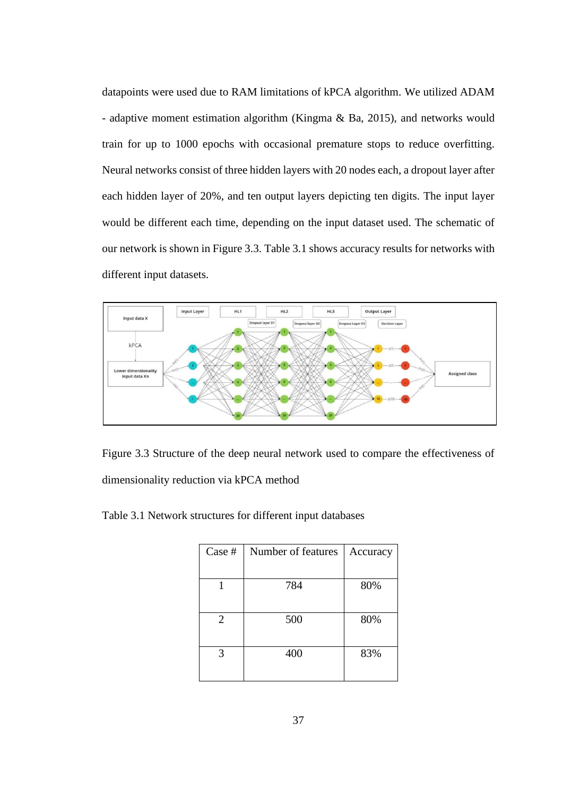datapoints were used due to RAM limitations of kPCA algorithm. We utilized ADAM - adaptive moment estimation algorithm (Kingma & Ba, 2015), and networks would train for up to 1000 epochs with occasional premature stops to reduce overfitting. Neural networks consist of three hidden layers with 20 nodes each, a dropout layer after each hidden layer of 20%, and ten output layers depicting ten digits. The input layer would be different each time, depending on the input dataset used. The schematic of our network is shown in Figure 3.3. Table 3.1 shows accuracy results for networks with different input datasets.



Figure 3.3 Structure of the deep neural network used to compare the effectiveness of dimensionality reduction via kPCA method

Table 3.1 Network structures for different input databases

| Case #         | Number of features | Accuracy |
|----------------|--------------------|----------|
|                |                    |          |
|                | 784                | 80%      |
|                |                    |          |
| $\overline{2}$ | 500                | 80%      |
|                |                    |          |
| 3              | 400                | 83%      |
|                |                    |          |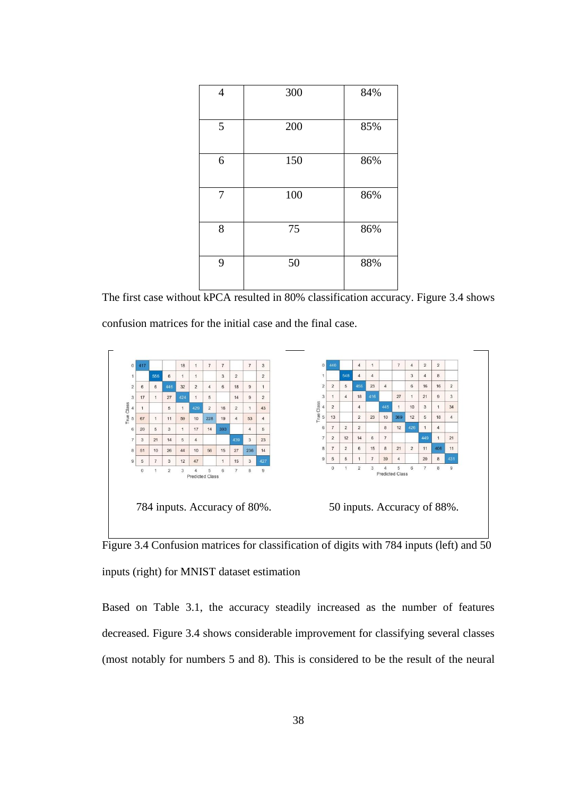| 4 | 300 | 84% |
|---|-----|-----|
| 5 | 200 | 85% |
| 6 | 150 | 86% |
| 7 | 100 | 86% |
| 8 | 75  | 86% |
| 9 | 50  | 88% |

The first case without kPCA resulted in 80% classification accuracy. Figure 3.4 shows confusion matrices for the initial case and the final case.



Figure 3.4 Confusion matrices for classification of digits with 784 inputs (left) and 50 inputs (right) for MNIST dataset estimation

Based on Table 3.1, the accuracy steadily increased as the number of features decreased. Figure 3.4 shows considerable improvement for classifying several classes (most notably for numbers 5 and 8). This is considered to be the result of the neural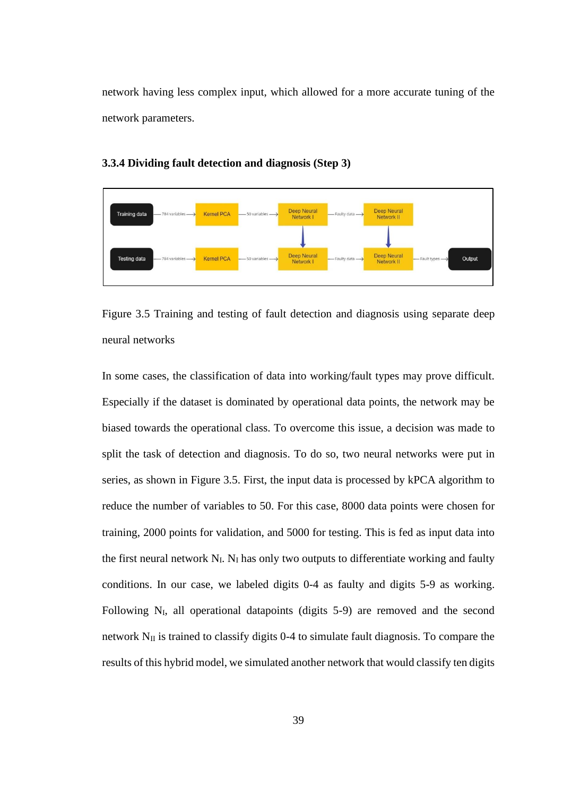network having less complex input, which allowed for a more accurate tuning of the network parameters.



### **3.3.4 Dividing fault detection and diagnosis (Step 3)**

Figure 3.5 Training and testing of fault detection and diagnosis using separate deep neural networks

In some cases, the classification of data into working/fault types may prove difficult. Especially if the dataset is dominated by operational data points, the network may be biased towards the operational class. To overcome this issue, a decision was made to split the task of detection and diagnosis. To do so, two neural networks were put in series, as shown in Figure 3.5. First, the input data is processed by kPCA algorithm to reduce the number of variables to 50. For this case, 8000 data points were chosen for training, 2000 points for validation, and 5000 for testing. This is fed as input data into the first neural network  $N_I$ .  $N_I$  has only two outputs to differentiate working and faulty conditions. In our case, we labeled digits 0-4 as faulty and digits 5-9 as working. Following  $N_I$ , all operational datapoints (digits 5-9) are removed and the second network  $N_{II}$  is trained to classify digits 0-4 to simulate fault diagnosis. To compare the results of this hybrid model, we simulated another network that would classify ten digits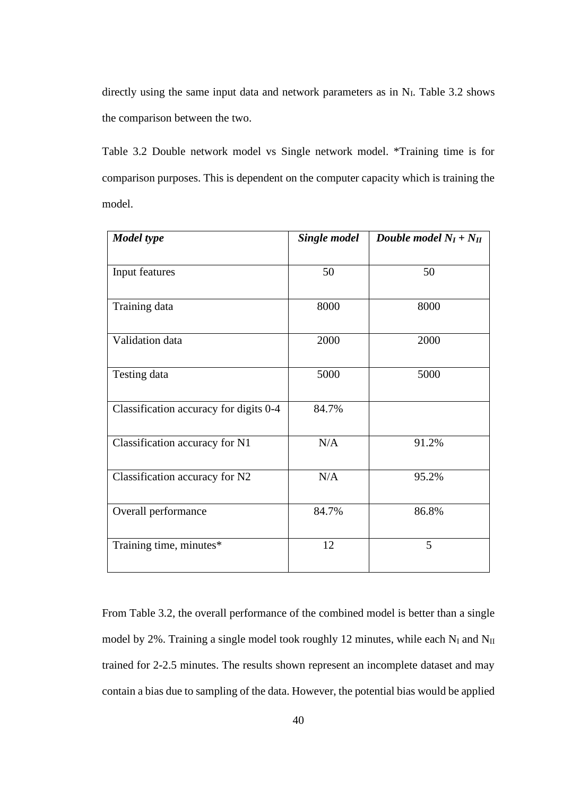directly using the same input data and network parameters as in  $N<sub>I</sub>$ . Table 3.2 shows the comparison between the two.

Table 3.2 Double network model vs Single network model. \*Training time is for comparison purposes. This is dependent on the computer capacity which is training the model.

| <b>Model</b> type                      | <b>Single model</b> | Double model $N_I + N_{II}$ |  |
|----------------------------------------|---------------------|-----------------------------|--|
| Input features                         | 50                  | 50                          |  |
| Training data                          | 8000                | 8000                        |  |
| Validation data                        | 2000                | 2000                        |  |
| Testing data                           | 5000                | 5000                        |  |
| Classification accuracy for digits 0-4 | 84.7%               |                             |  |
| Classification accuracy for N1         | N/A                 | 91.2%                       |  |
| Classification accuracy for N2         | N/A                 | 95.2%                       |  |
| Overall performance                    | 84.7%               | 86.8%                       |  |
| Training time, minutes*                | 12                  | 5                           |  |

From Table 3.2, the overall performance of the combined model is better than a single model by 2%. Training a single model took roughly 12 minutes, while each  $N_I$  and  $N_{II}$ trained for 2-2.5 minutes. The results shown represent an incomplete dataset and may contain a bias due to sampling of the data. However, the potential bias would be applied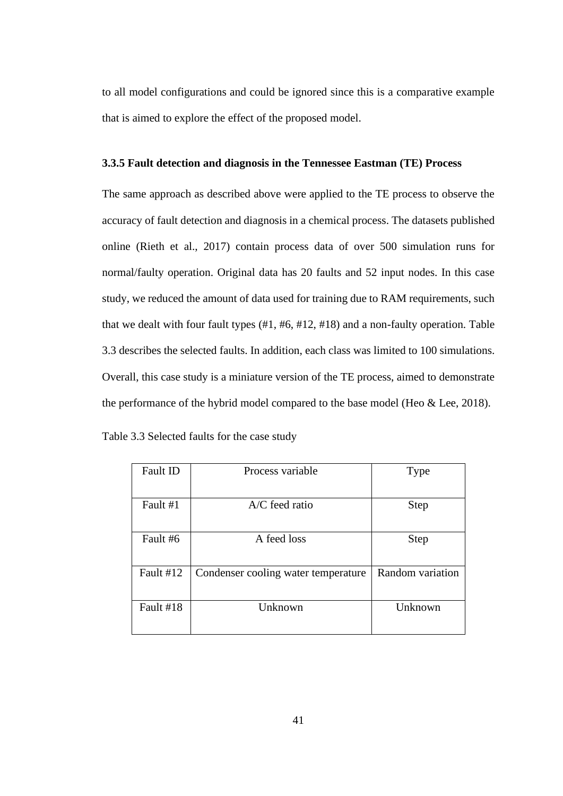to all model configurations and could be ignored since this is a comparative example that is aimed to explore the effect of the proposed model.

# **3.3.5 Fault detection and diagnosis in the Tennessee Eastman (TE) Process**

The same approach as described above were applied to the TE process to observe the accuracy of fault detection and diagnosis in a chemical process. The datasets published online (Rieth et al., 2017) contain process data of over 500 simulation runs for normal/faulty operation. Original data has 20 faults and 52 input nodes. In this case study, we reduced the amount of data used for training due to RAM requirements, such that we dealt with four fault types (#1, #6, #12, #18) and a non-faulty operation. Table 3.3 describes the selected faults. In addition, each class was limited to 100 simulations. Overall, this case study is a miniature version of the TE process, aimed to demonstrate the performance of the hybrid model compared to the base model (Heo & Lee, 2018).

| Table 3.3 Selected faults for the case study |  |  |
|----------------------------------------------|--|--|
|----------------------------------------------|--|--|

| Fault ID  | Process variable                    | Type             |
|-----------|-------------------------------------|------------------|
|           |                                     |                  |
| Fault #1  | $A/C$ feed ratio                    | <b>Step</b>      |
|           |                                     |                  |
| Fault #6  | A feed loss                         | <b>Step</b>      |
|           |                                     |                  |
| Fault #12 | Condenser cooling water temperature | Random variation |
|           |                                     |                  |
| Fault #18 | Unknown                             | Unknown          |
|           |                                     |                  |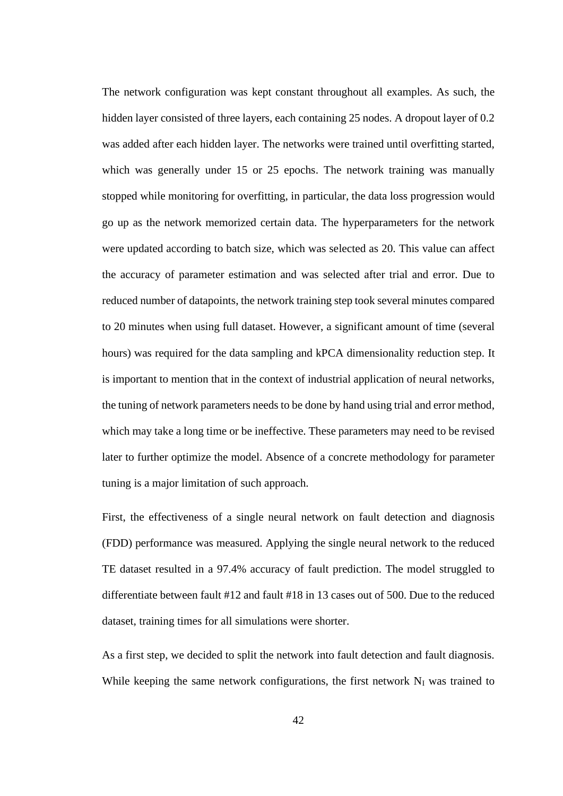The network configuration was kept constant throughout all examples. As such, the hidden layer consisted of three layers, each containing 25 nodes. A dropout layer of 0.2 was added after each hidden layer. The networks were trained until overfitting started, which was generally under 15 or 25 epochs. The network training was manually stopped while monitoring for overfitting, in particular, the data loss progression would go up as the network memorized certain data. The hyperparameters for the network were updated according to batch size, which was selected as 20. This value can affect the accuracy of parameter estimation and was selected after trial and error. Due to reduced number of datapoints, the network training step took several minutes compared to 20 minutes when using full dataset. However, a significant amount of time (several hours) was required for the data sampling and kPCA dimensionality reduction step. It is important to mention that in the context of industrial application of neural networks, the tuning of network parameters needs to be done by hand using trial and error method, which may take a long time or be ineffective. These parameters may need to be revised later to further optimize the model. Absence of a concrete methodology for parameter tuning is a major limitation of such approach.

First, the effectiveness of a single neural network on fault detection and diagnosis (FDD) performance was measured. Applying the single neural network to the reduced TE dataset resulted in a 97.4% accuracy of fault prediction. The model struggled to differentiate between fault #12 and fault #18 in 13 cases out of 500. Due to the reduced dataset, training times for all simulations were shorter.

As a first step, we decided to split the network into fault detection and fault diagnosis. While keeping the same network configurations, the first network  $N_I$  was trained to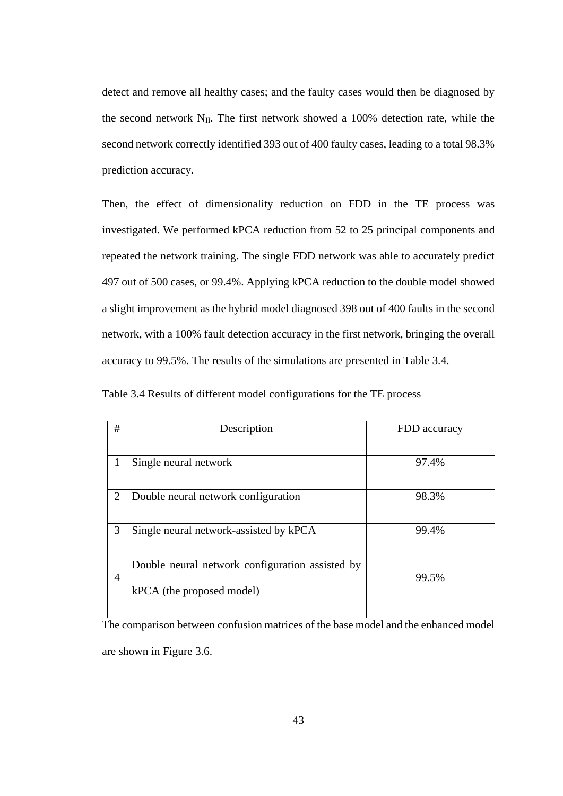detect and remove all healthy cases; and the faulty cases would then be diagnosed by the second network  $N_{II}$ . The first network showed a 100% detection rate, while the second network correctly identified 393 out of 400 faulty cases, leading to a total 98.3% prediction accuracy.

Then, the effect of dimensionality reduction on FDD in the TE process was investigated. We performed kPCA reduction from 52 to 25 principal components and repeated the network training. The single FDD network was able to accurately predict 497 out of 500 cases, or 99.4%. Applying kPCA reduction to the double model showed a slight improvement as the hybrid model diagnosed 398 out of 400 faults in the second network, with a 100% fault detection accuracy in the first network, bringing the overall accuracy to 99.5%. The results of the simulations are presented in Table 3.4.

Table 3.4 Results of different model configurations for the TE process

| #              | Description                                                                  | FDD accuracy |
|----------------|------------------------------------------------------------------------------|--------------|
| 1              | Single neural network                                                        | 97.4%        |
| $\overline{2}$ | Double neural network configuration                                          | 98.3%        |
| 3              | Single neural network-assisted by kPCA                                       | 99.4%        |
| $\overline{4}$ | Double neural network configuration assisted by<br>kPCA (the proposed model) | 99.5%        |

The comparison between confusion matrices of the base model and the enhanced model are shown in Figure 3.6.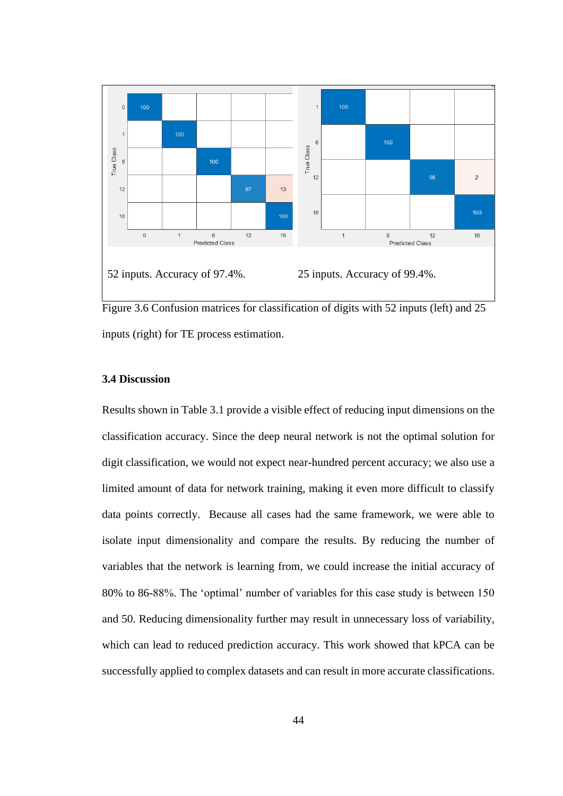

Figure 3.6 Confusion matrices for classification of digits with 52 inputs (left) and 25 inputs (right) for TE process estimation.

## **3.4 Discussion**

Results shown in Table 3.1 provide a visible effect of reducing input dimensions on the classification accuracy. Since the deep neural network is not the optimal solution for digit classification, we would not expect near-hundred percent accuracy; we also use a limited amount of data for network training, making it even more difficult to classify data points correctly. Because all cases had the same framework, we were able to isolate input dimensionality and compare the results. By reducing the number of variables that the network is learning from, we could increase the initial accuracy of 80% to 86-88%. The 'optimal' number of variables for this case study is between 150 and 50. Reducing dimensionality further may result in unnecessary loss of variability, which can lead to reduced prediction accuracy. This work showed that kPCA can be successfully applied to complex datasets and can result in more accurate classifications.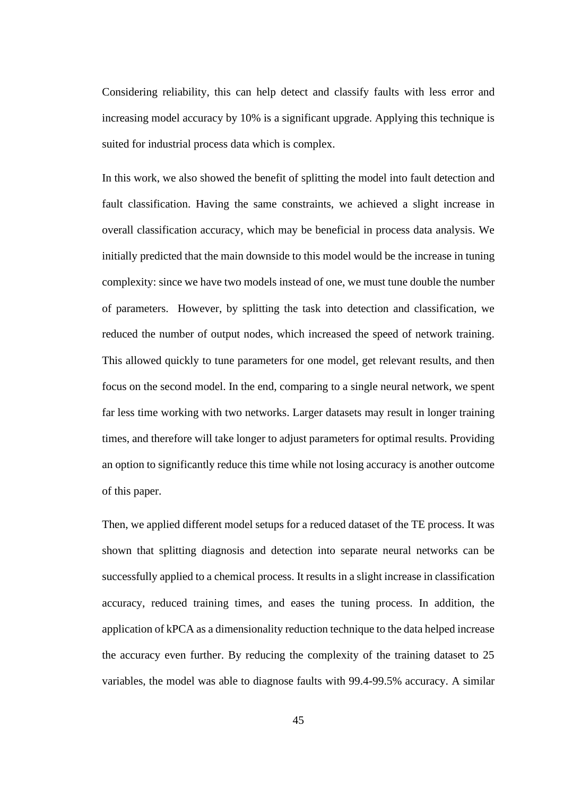Considering reliability, this can help detect and classify faults with less error and increasing model accuracy by 10% is a significant upgrade. Applying this technique is suited for industrial process data which is complex.

In this work, we also showed the benefit of splitting the model into fault detection and fault classification. Having the same constraints, we achieved a slight increase in overall classification accuracy, which may be beneficial in process data analysis. We initially predicted that the main downside to this model would be the increase in tuning complexity: since we have two models instead of one, we must tune double the number of parameters. However, by splitting the task into detection and classification, we reduced the number of output nodes, which increased the speed of network training. This allowed quickly to tune parameters for one model, get relevant results, and then focus on the second model. In the end, comparing to a single neural network, we spent far less time working with two networks. Larger datasets may result in longer training times, and therefore will take longer to adjust parameters for optimal results. Providing an option to significantly reduce this time while not losing accuracy is another outcome of this paper.

Then, we applied different model setups for a reduced dataset of the TE process. It was shown that splitting diagnosis and detection into separate neural networks can be successfully applied to a chemical process. It results in a slight increase in classification accuracy, reduced training times, and eases the tuning process. In addition, the application of kPCA as a dimensionality reduction technique to the data helped increase the accuracy even further. By reducing the complexity of the training dataset to 25 variables, the model was able to diagnose faults with 99.4-99.5% accuracy. A similar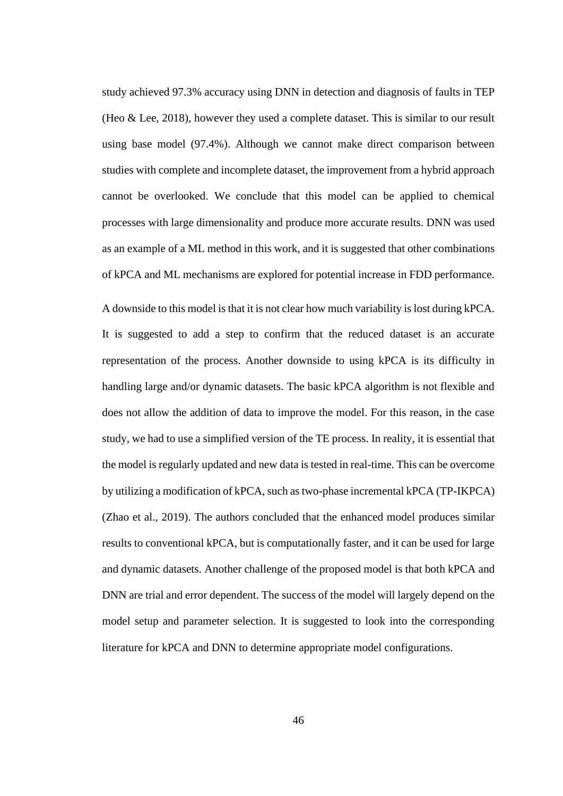study achieved 97.3% accuracy using DNN in detection and diagnosis of faults in TEP (Heo & Lee, 2018), however they used a complete dataset. This is similar to our result using base model (97.4%). Although we cannot make direct comparison between studies with complete and incomplete dataset, the improvement from a hybrid approach cannot be overlooked. We conclude that this model can be applied to chemical processes with large dimensionality and produce more accurate results. DNN was used as an example of a ML method in this work, and it is suggested that other combinations of kPCA and ML mechanisms are explored for potential increase in FDD performance.

A downside to this model is that it is not clear how much variability is lost during kPCA. It is suggested to add a step to confirm that the reduced dataset is an accurate representation of the process. Another downside to using kPCA is its difficulty in handling large and/or dynamic datasets. The basic kPCA algorithm is not flexible and does not allow the addition of data to improve the model. For this reason, in the case study, we had to use a simplified version of the TE process. In reality, it is essential that the model is regularly updated and new data is tested in real-time. This can be overcome by utilizing a modification of kPCA, such as two-phase incremental kPCA (TP-IKPCA) (Zhao et al., 2019). The authors concluded that the enhanced model produces similar results to conventional kPCA, but is computationally faster, and it can be used for large and dynamic datasets. Another challenge of the proposed model is that both kPCA and DNN are trial and error dependent. The success of the model will largely depend on the model setup and parameter selection. It is suggested to look into the corresponding literature for kPCA and DNN to determine appropriate model configurations.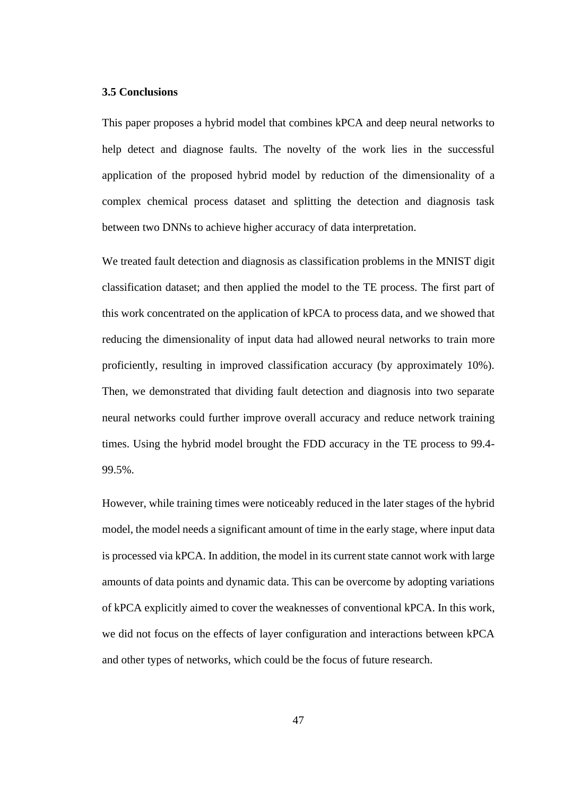# **3.5 Conclusions**

This paper proposes a hybrid model that combines kPCA and deep neural networks to help detect and diagnose faults. The novelty of the work lies in the successful application of the proposed hybrid model by reduction of the dimensionality of a complex chemical process dataset and splitting the detection and diagnosis task between two DNNs to achieve higher accuracy of data interpretation.

We treated fault detection and diagnosis as classification problems in the MNIST digit classification dataset; and then applied the model to the TE process. The first part of this work concentrated on the application of kPCA to process data, and we showed that reducing the dimensionality of input data had allowed neural networks to train more proficiently, resulting in improved classification accuracy (by approximately 10%). Then, we demonstrated that dividing fault detection and diagnosis into two separate neural networks could further improve overall accuracy and reduce network training times. Using the hybrid model brought the FDD accuracy in the TE process to 99.4- 99.5%.

However, while training times were noticeably reduced in the later stages of the hybrid model, the model needs a significant amount of time in the early stage, where input data is processed via kPCA. In addition, the model in its current state cannot work with large amounts of data points and dynamic data. This can be overcome by adopting variations of kPCA explicitly aimed to cover the weaknesses of conventional kPCA. In this work, we did not focus on the effects of layer configuration and interactions between kPCA and other types of networks, which could be the focus of future research.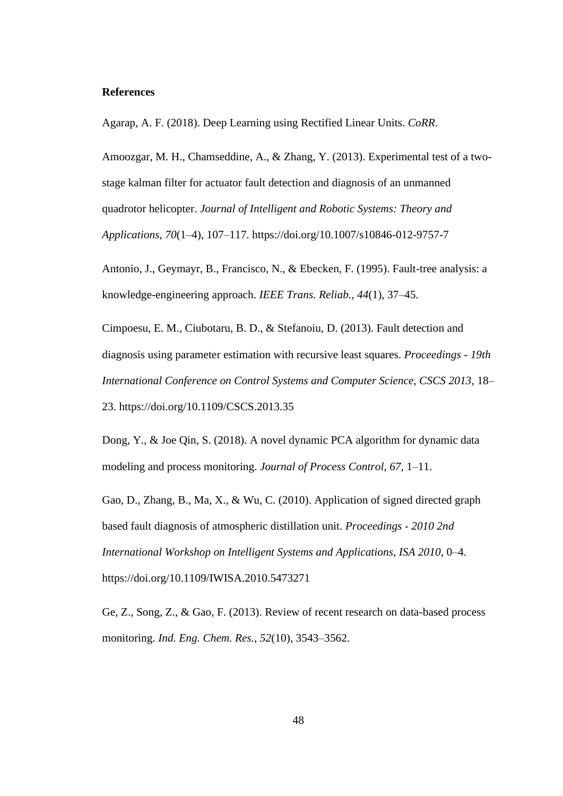#### **References**

Agarap, A. F. (2018). Deep Learning using Rectified Linear Units. *CoRR*.

Amoozgar, M. H., Chamseddine, A., & Zhang, Y. (2013). Experimental test of a twostage kalman filter for actuator fault detection and diagnosis of an unmanned quadrotor helicopter. *Journal of Intelligent and Robotic Systems: Theory and Applications*, *70*(1–4), 107–117. https://doi.org/10.1007/s10846-012-9757-7

Antonio, J., Geymayr, B., Francisco, N., & Ebecken, F. (1995). Fault-tree analysis: a knowledge-engineering approach. *IEEE Trans. Reliab.*, *44*(1), 37–45.

Cimpoesu, E. M., Ciubotaru, B. D., & Stefanoiu, D. (2013). Fault detection and diagnosis using parameter estimation with recursive least squares. *Proceedings - 19th International Conference on Control Systems and Computer Science, CSCS 2013*, 18– 23. https://doi.org/10.1109/CSCS.2013.35

Dong, Y., & Joe Qin, S. (2018). A novel dynamic PCA algorithm for dynamic data modeling and process monitoring. *Journal of Process Control*, *67*, 1–11.

Gao, D., Zhang, B., Ma, X., & Wu, C. (2010). Application of signed directed graph based fault diagnosis of atmospheric distillation unit. *Proceedings - 2010 2nd International Workshop on Intelligent Systems and Applications, ISA 2010*, 0–4. https://doi.org/10.1109/IWISA.2010.5473271

Ge, Z., Song, Z., & Gao, F. (2013). Review of recent research on data-based process monitoring. *Ind. Eng. Chem. Res.*, *52*(10), 3543–3562.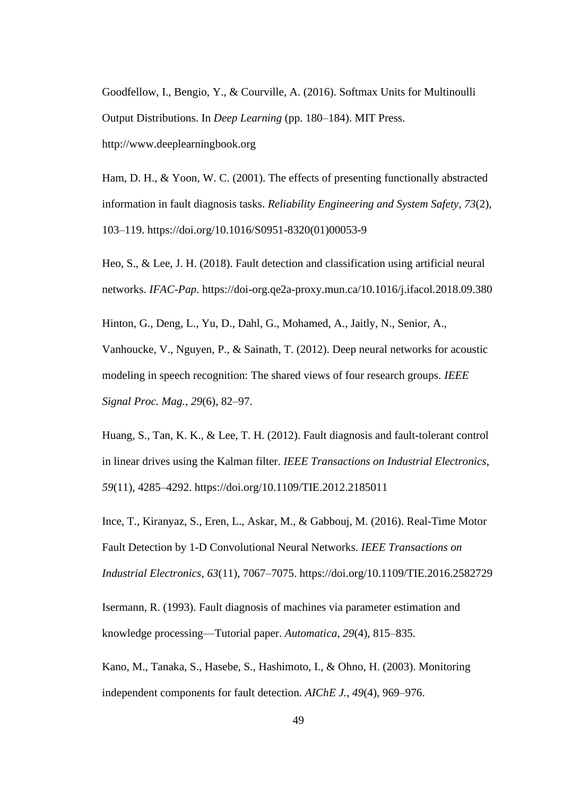Goodfellow, I., Bengio, Y., & Courville, A. (2016). Softmax Units for Multinoulli Output Distributions. In *Deep Learning* (pp. 180–184). MIT Press. http://www.deeplearningbook.org

Ham, D. H., & Yoon, W. C. (2001). The effects of presenting functionally abstracted information in fault diagnosis tasks. *Reliability Engineering and System Safety*, *73*(2), 103–119. https://doi.org/10.1016/S0951-8320(01)00053-9

Heo, S., & Lee, J. H. (2018). Fault detection and classification using artificial neural networks. *IFAC-Pap*. https://doi-org.qe2a-proxy.mun.ca/10.1016/j.ifacol.2018.09.380

Hinton, G., Deng, L., Yu, D., Dahl, G., Mohamed, A., Jaitly, N., Senior, A., Vanhoucke, V., Nguyen, P., & Sainath, T. (2012). Deep neural networks for acoustic modeling in speech recognition: The shared views of four research groups. *IEEE Signal Proc. Mag.*, *29*(6), 82–97.

Huang, S., Tan, K. K., & Lee, T. H. (2012). Fault diagnosis and fault-tolerant control in linear drives using the Kalman filter. *IEEE Transactions on Industrial Electronics*, *59*(11), 4285–4292. https://doi.org/10.1109/TIE.2012.2185011

Ince, T., Kiranyaz, S., Eren, L., Askar, M., & Gabbouj, M. (2016). Real-Time Motor Fault Detection by 1-D Convolutional Neural Networks. *IEEE Transactions on Industrial Electronics*, *63*(11), 7067–7075. https://doi.org/10.1109/TIE.2016.2582729

Isermann, R. (1993). Fault diagnosis of machines via parameter estimation and knowledge processing—Tutorial paper. *Automatica*, *29*(4), 815–835.

Kano, M., Tanaka, S., Hasebe, S., Hashimoto, I., & Ohno, H. (2003). Monitoring independent components for fault detection. *AIChE J.*, *49*(4), 969–976.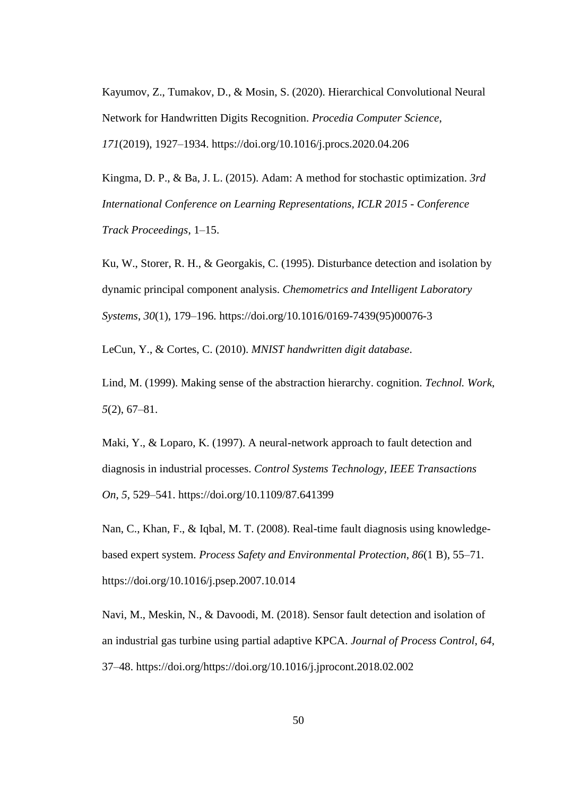Kayumov, Z., Tumakov, D., & Mosin, S. (2020). Hierarchical Convolutional Neural Network for Handwritten Digits Recognition. *Procedia Computer Science*, *171*(2019), 1927–1934. https://doi.org/10.1016/j.procs.2020.04.206

Kingma, D. P., & Ba, J. L. (2015). Adam: A method for stochastic optimization. *3rd International Conference on Learning Representations, ICLR 2015 - Conference Track Proceedings*, 1–15.

Ku, W., Storer, R. H., & Georgakis, C. (1995). Disturbance detection and isolation by dynamic principal component analysis. *Chemometrics and Intelligent Laboratory Systems*, *30*(1), 179–196. https://doi.org/10.1016/0169-7439(95)00076-3

LeCun, Y., & Cortes, C. (2010). *MNIST handwritten digit database*.

Lind, M. (1999). Making sense of the abstraction hierarchy. cognition. *Technol. Work*, *5*(2), 67–81.

Maki, Y., & Loparo, K. (1997). A neural-network approach to fault detection and diagnosis in industrial processes. *Control Systems Technology, IEEE Transactions On*, *5*, 529–541. https://doi.org/10.1109/87.641399

Nan, C., Khan, F., & Iqbal, M. T. (2008). Real-time fault diagnosis using knowledgebased expert system. *Process Safety and Environmental Protection*, *86*(1 B), 55–71. https://doi.org/10.1016/j.psep.2007.10.014

Navi, M., Meskin, N., & Davoodi, M. (2018). Sensor fault detection and isolation of an industrial gas turbine using partial adaptive KPCA. *Journal of Process Control*, *64*, 37–48. https://doi.org/https://doi.org/10.1016/j.jprocont.2018.02.002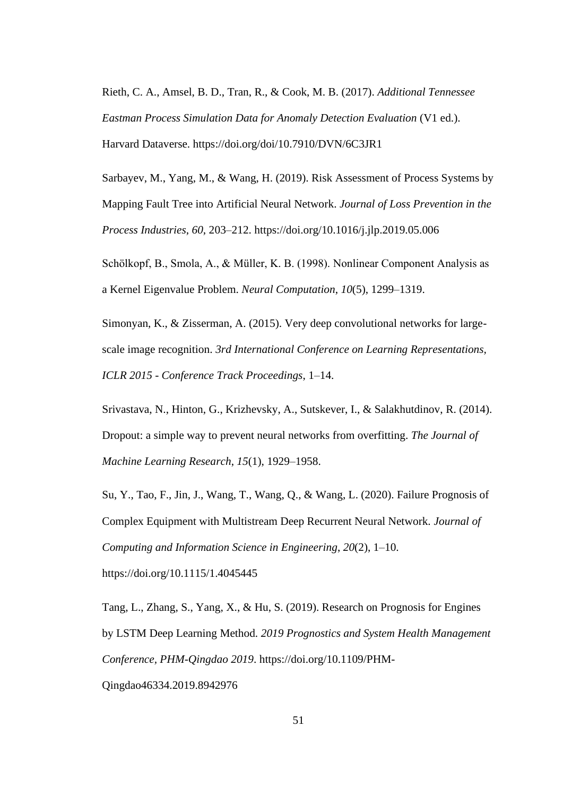Rieth, C. A., Amsel, B. D., Tran, R., & Cook, M. B. (2017). *Additional Tennessee Eastman Process Simulation Data for Anomaly Detection Evaluation* (V1 ed.). Harvard Dataverse. https://doi.org/doi/10.7910/DVN/6C3JR1

Sarbayev, M., Yang, M., & Wang, H. (2019). Risk Assessment of Process Systems by Mapping Fault Tree into Artificial Neural Network. *Journal of Loss Prevention in the Process Industries*, *60*, 203–212. https://doi.org/10.1016/j.jlp.2019.05.006

Schölkopf, B., Smola, A., & Müller, K. B. (1998). Nonlinear Component Analysis as a Kernel Eigenvalue Problem. *Neural Computation*, *10*(5), 1299–1319.

Simonyan, K., & Zisserman, A. (2015). Very deep convolutional networks for largescale image recognition. *3rd International Conference on Learning Representations, ICLR 2015 - Conference Track Proceedings*, 1–14.

Srivastava, N., Hinton, G., Krizhevsky, A., Sutskever, I., & Salakhutdinov, R. (2014). Dropout: a simple way to prevent neural networks from overfitting. *The Journal of Machine Learning Research*, *15*(1), 1929–1958.

Su, Y., Tao, F., Jin, J., Wang, T., Wang, Q., & Wang, L. (2020). Failure Prognosis of Complex Equipment with Multistream Deep Recurrent Neural Network. *Journal of Computing and Information Science in Engineering*, *20*(2), 1–10. https://doi.org/10.1115/1.4045445

Tang, L., Zhang, S., Yang, X., & Hu, S. (2019). Research on Prognosis for Engines by LSTM Deep Learning Method. *2019 Prognostics and System Health Management Conference, PHM-Qingdao 2019*. https://doi.org/10.1109/PHM-Qingdao46334.2019.8942976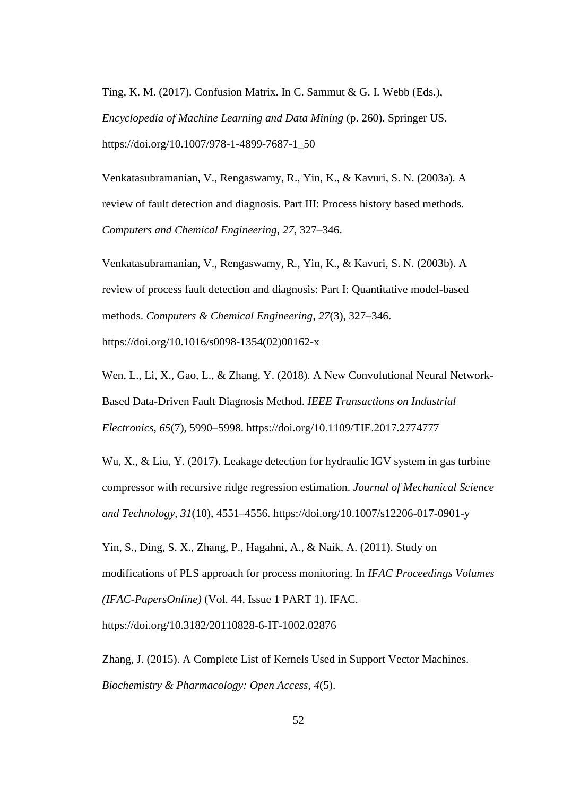Ting, K. M. (2017). Confusion Matrix. In C. Sammut & G. I. Webb (Eds.), *Encyclopedia of Machine Learning and Data Mining* (p. 260). Springer US. https://doi.org/10.1007/978-1-4899-7687-1\_50

Venkatasubramanian, V., Rengaswamy, R., Yin, K., & Kavuri, S. N. (2003a). A review of fault detection and diagnosis. Part III: Process history based methods. *Computers and Chemical Engineering*, *27*, 327–346.

Venkatasubramanian, V., Rengaswamy, R., Yin, K., & Kavuri, S. N. (2003b). A review of process fault detection and diagnosis: Part I: Quantitative model-based methods. *Computers & Chemical Engineering*, *27*(3), 327–346. https://doi.org/10.1016/s0098-1354(02)00162-x

Wen, L., Li, X., Gao, L., & Zhang, Y. (2018). A New Convolutional Neural Network-Based Data-Driven Fault Diagnosis Method. *IEEE Transactions on Industrial Electronics*, *65*(7), 5990–5998. https://doi.org/10.1109/TIE.2017.2774777

Wu, X., & Liu, Y. (2017). Leakage detection for hydraulic IGV system in gas turbine compressor with recursive ridge regression estimation. *Journal of Mechanical Science and Technology*, *31*(10), 4551–4556. https://doi.org/10.1007/s12206-017-0901-y

Yin, S., Ding, S. X., Zhang, P., Hagahni, A., & Naik, A. (2011). Study on modifications of PLS approach for process monitoring. In *IFAC Proceedings Volumes (IFAC-PapersOnline)* (Vol. 44, Issue 1 PART 1). IFAC.

https://doi.org/10.3182/20110828-6-IT-1002.02876

Zhang, J. (2015). A Complete List of Kernels Used in Support Vector Machines. *Biochemistry & Pharmacology: Open Access*, *4*(5).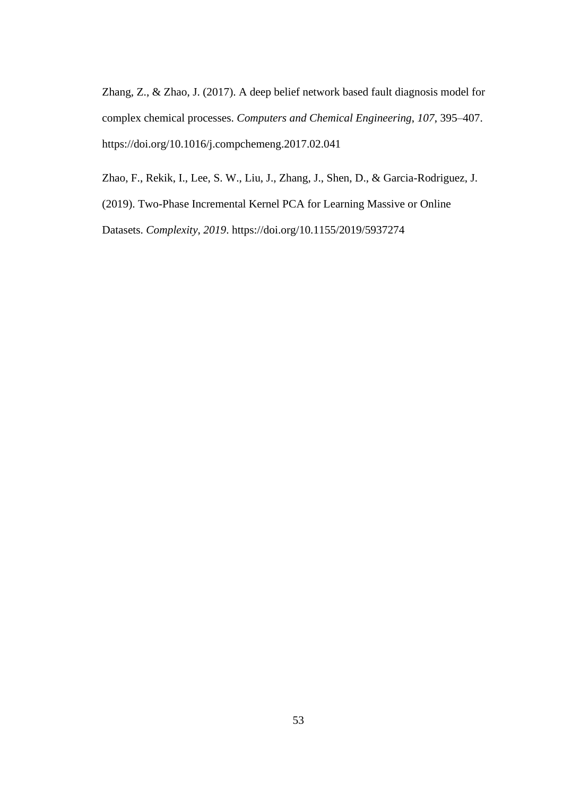Zhang, Z., & Zhao, J. (2017). A deep belief network based fault diagnosis model for complex chemical processes. *Computers and Chemical Engineering*, *107*, 395–407. https://doi.org/10.1016/j.compchemeng.2017.02.041

Zhao, F., Rekik, I., Lee, S. W., Liu, J., Zhang, J., Shen, D., & Garcia-Rodriguez, J.

(2019). Two-Phase Incremental Kernel PCA for Learning Massive or Online

Datasets. *Complexity*, *2019*. https://doi.org/10.1155/2019/5937274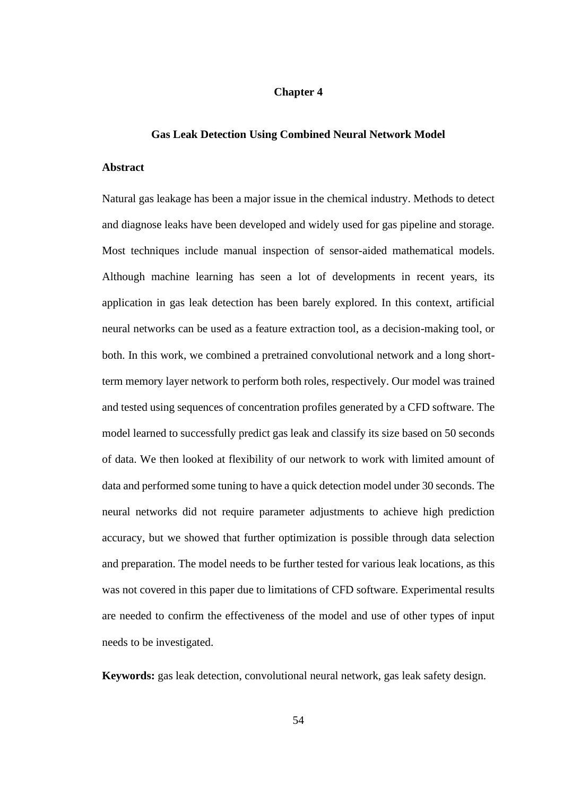#### **Chapter 4**

#### **Gas Leak Detection Using Combined Neural Network Model**

#### **Abstract**

Natural gas leakage has been a major issue in the chemical industry. Methods to detect and diagnose leaks have been developed and widely used for gas pipeline and storage. Most techniques include manual inspection of sensor-aided mathematical models. Although machine learning has seen a lot of developments in recent years, its application in gas leak detection has been barely explored. In this context, artificial neural networks can be used as a feature extraction tool, as a decision-making tool, or both. In this work, we combined a pretrained convolutional network and a long shortterm memory layer network to perform both roles, respectively. Our model was trained and tested using sequences of concentration profiles generated by a CFD software. The model learned to successfully predict gas leak and classify its size based on 50 seconds of data. We then looked at flexibility of our network to work with limited amount of data and performed some tuning to have a quick detection model under 30 seconds. The neural networks did not require parameter adjustments to achieve high prediction accuracy, but we showed that further optimization is possible through data selection and preparation. The model needs to be further tested for various leak locations, as this was not covered in this paper due to limitations of CFD software. Experimental results are needed to confirm the effectiveness of the model and use of other types of input needs to be investigated.

**Keywords:** gas leak detection, convolutional neural network, gas leak safety design.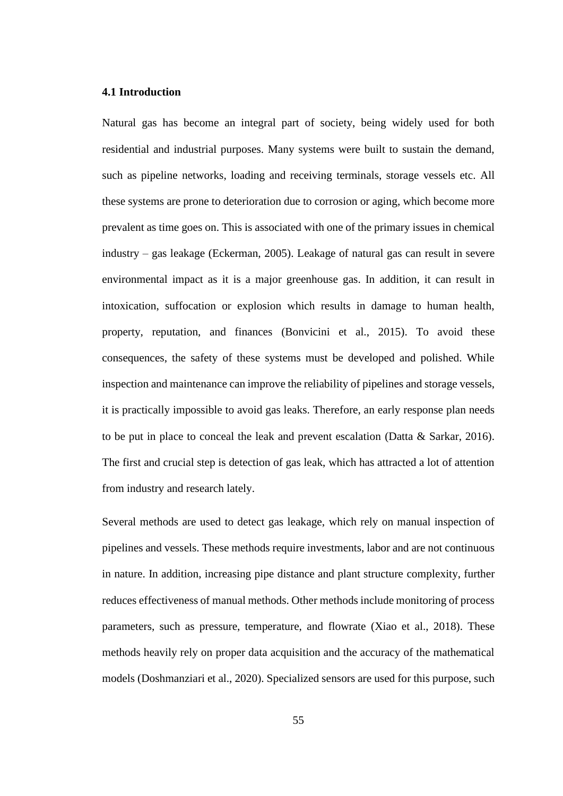# **4.1 Introduction**

Natural gas has become an integral part of society, being widely used for both residential and industrial purposes. Many systems were built to sustain the demand, such as pipeline networks, loading and receiving terminals, storage vessels etc. All these systems are prone to deterioration due to corrosion or aging, which become more prevalent as time goes on. This is associated with one of the primary issues in chemical industry – gas leakage (Eckerman, 2005). Leakage of natural gas can result in severe environmental impact as it is a major greenhouse gas. In addition, it can result in intoxication, suffocation or explosion which results in damage to human health, property, reputation, and finances (Bonvicini et al., 2015). To avoid these consequences, the safety of these systems must be developed and polished. While inspection and maintenance can improve the reliability of pipelines and storage vessels, it is practically impossible to avoid gas leaks. Therefore, an early response plan needs to be put in place to conceal the leak and prevent escalation (Datta & Sarkar, 2016). The first and crucial step is detection of gas leak, which has attracted a lot of attention from industry and research lately.

Several methods are used to detect gas leakage, which rely on manual inspection of pipelines and vessels. These methods require investments, labor and are not continuous in nature. In addition, increasing pipe distance and plant structure complexity, further reduces effectiveness of manual methods. Other methods include monitoring of process parameters, such as pressure, temperature, and flowrate (Xiao et al., 2018). These methods heavily rely on proper data acquisition and the accuracy of the mathematical models (Doshmanziari et al., 2020). Specialized sensors are used for this purpose, such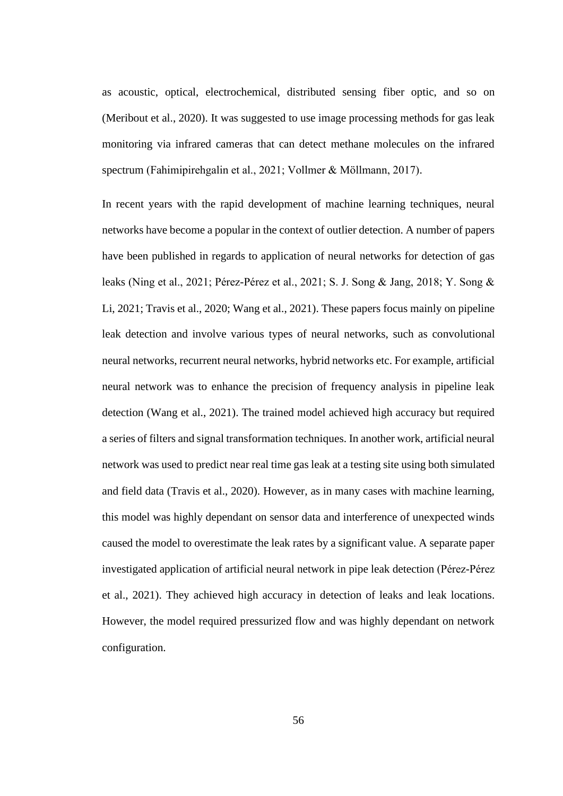as acoustic, optical, electrochemical, distributed sensing fiber optic, and so on (Meribout et al., 2020). It was suggested to use image processing methods for gas leak monitoring via infrared cameras that can detect methane molecules on the infrared spectrum (Fahimipirehgalin et al., 2021; Vollmer & Möllmann, 2017).

In recent years with the rapid development of machine learning techniques, neural networks have become a popular in the context of outlier detection. A number of papers have been published in regards to application of neural networks for detection of gas leaks (Ning et al., 2021; Pérez-Pérez et al., 2021; S. J. Song & Jang, 2018; Y. Song & Li, 2021; Travis et al., 2020; Wang et al., 2021). These papers focus mainly on pipeline leak detection and involve various types of neural networks, such as convolutional neural networks, recurrent neural networks, hybrid networks etc. For example, artificial neural network was to enhance the precision of frequency analysis in pipeline leak detection (Wang et al., 2021). The trained model achieved high accuracy but required a series of filters and signal transformation techniques. In another work, artificial neural network was used to predict near real time gas leak at a testing site using both simulated and field data (Travis et al., 2020). However, as in many cases with machine learning, this model was highly dependant on sensor data and interference of unexpected winds caused the model to overestimate the leak rates by a significant value. A separate paper investigated application of artificial neural network in pipe leak detection (Pérez-Pérez et al., 2021). They achieved high accuracy in detection of leaks and leak locations. However, the model required pressurized flow and was highly dependant on network configuration.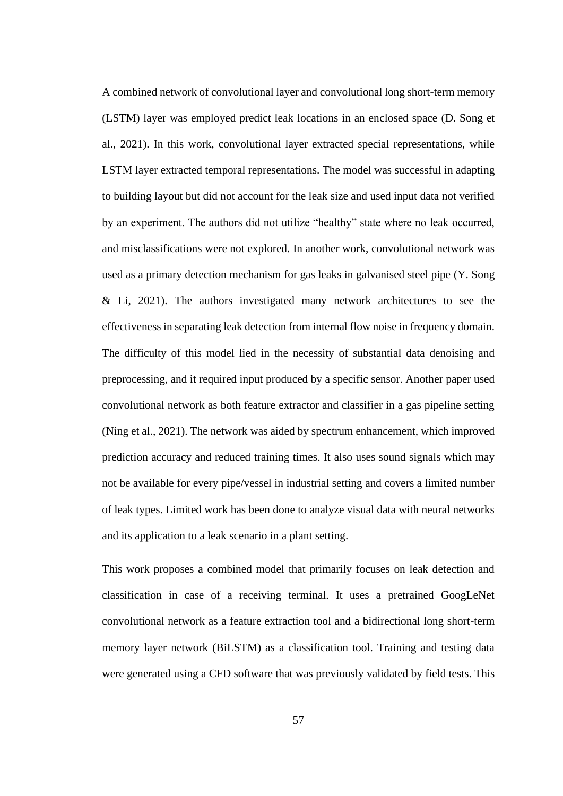A combined network of convolutional layer and convolutional long short-term memory (LSTM) layer was employed predict leak locations in an enclosed space (D. Song et al., 2021). In this work, convolutional layer extracted special representations, while LSTM layer extracted temporal representations. The model was successful in adapting to building layout but did not account for the leak size and used input data not verified by an experiment. The authors did not utilize "healthy" state where no leak occurred, and misclassifications were not explored. In another work, convolutional network was used as a primary detection mechanism for gas leaks in galvanised steel pipe (Y. Song & Li, 2021). The authors investigated many network architectures to see the effectiveness in separating leak detection from internal flow noise in frequency domain. The difficulty of this model lied in the necessity of substantial data denoising and preprocessing, and it required input produced by a specific sensor. Another paper used convolutional network as both feature extractor and classifier in a gas pipeline setting (Ning et al., 2021). The network was aided by spectrum enhancement, which improved prediction accuracy and reduced training times. It also uses sound signals which may not be available for every pipe/vessel in industrial setting and covers a limited number of leak types. Limited work has been done to analyze visual data with neural networks and its application to a leak scenario in a plant setting.

This work proposes a combined model that primarily focuses on leak detection and classification in case of a receiving terminal. It uses a pretrained GoogLeNet convolutional network as a feature extraction tool and a bidirectional long short-term memory layer network (BiLSTM) as a classification tool. Training and testing data were generated using a CFD software that was previously validated by field tests. This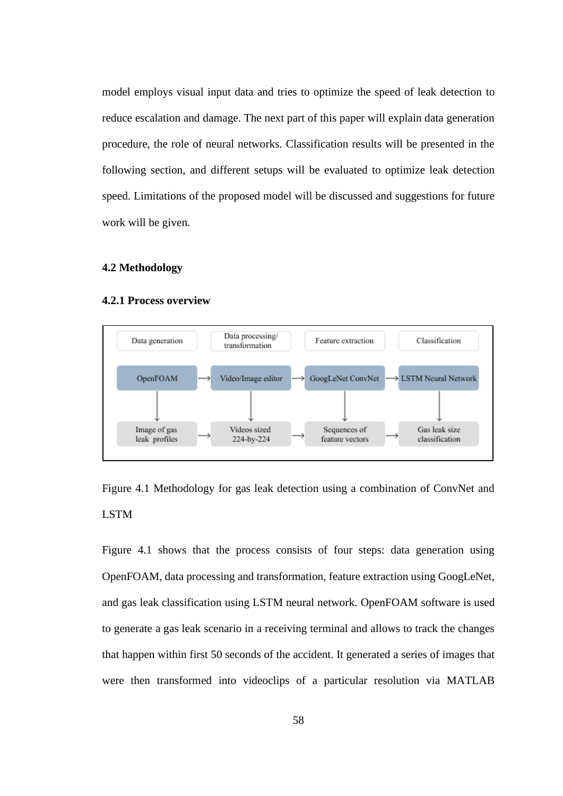model employs visual input data and tries to optimize the speed of leak detection to reduce escalation and damage. The next part of this paper will explain data generation procedure, the role of neural networks. Classification results will be presented in the following section, and different setups will be evaluated to optimize leak detection speed. Limitations of the proposed model will be discussed and suggestions for future work will be given.

### **4.2 Methodology**

#### **4.2.1 Process overview**



Figure 4.1 Methodology for gas leak detection using a combination of ConvNet and LSTM

Figure 4.1 shows that the process consists of four steps: data generation using OpenFOAM, data processing and transformation, feature extraction using GoogLeNet, and gas leak classification using LSTM neural network. OpenFOAM software is used to generate a gas leak scenario in a receiving terminal and allows to track the changes that happen within first 50 seconds of the accident. It generated a series of images that were then transformed into videoclips of a particular resolution via MATLAB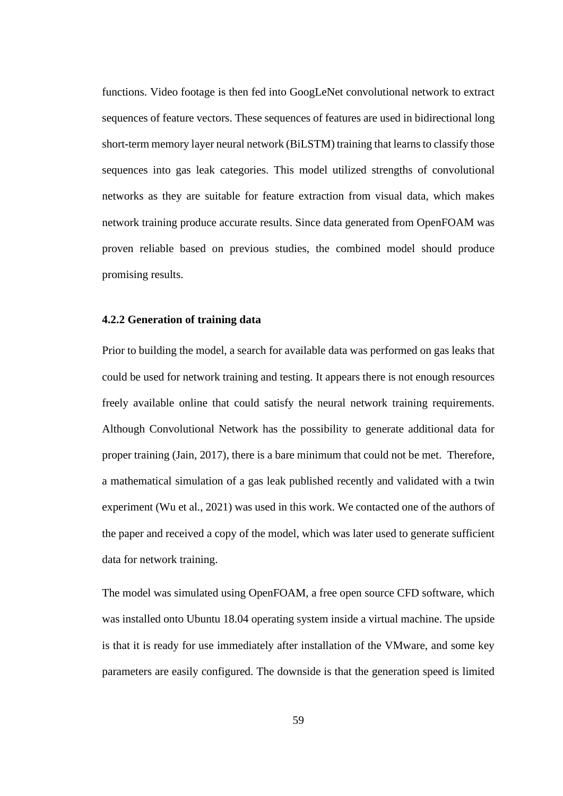functions. Video footage is then fed into GoogLeNet convolutional network to extract sequences of feature vectors. These sequences of features are used in bidirectional long short-term memory layer neural network (BiLSTM) training that learns to classify those sequences into gas leak categories. This model utilized strengths of convolutional networks as they are suitable for feature extraction from visual data, which makes network training produce accurate results. Since data generated from OpenFOAM was proven reliable based on previous studies, the combined model should produce promising results.

## **4.2.2 Generation of training data**

Prior to building the model, a search for available data was performed on gas leaks that could be used for network training and testing. It appears there is not enough resources freely available online that could satisfy the neural network training requirements. Although Convolutional Network has the possibility to generate additional data for proper training (Jain, 2017), there is a bare minimum that could not be met. Therefore, a mathematical simulation of a gas leak published recently and validated with a twin experiment (Wu et al., 2021) was used in this work. We contacted one of the authors of the paper and received a copy of the model, which was later used to generate sufficient data for network training.

The model was simulated using OpenFOAM, a free open source CFD software, which was installed onto Ubuntu 18.04 operating system inside a virtual machine. The upside is that it is ready for use immediately after installation of the VMware, and some key parameters are easily configured. The downside is that the generation speed is limited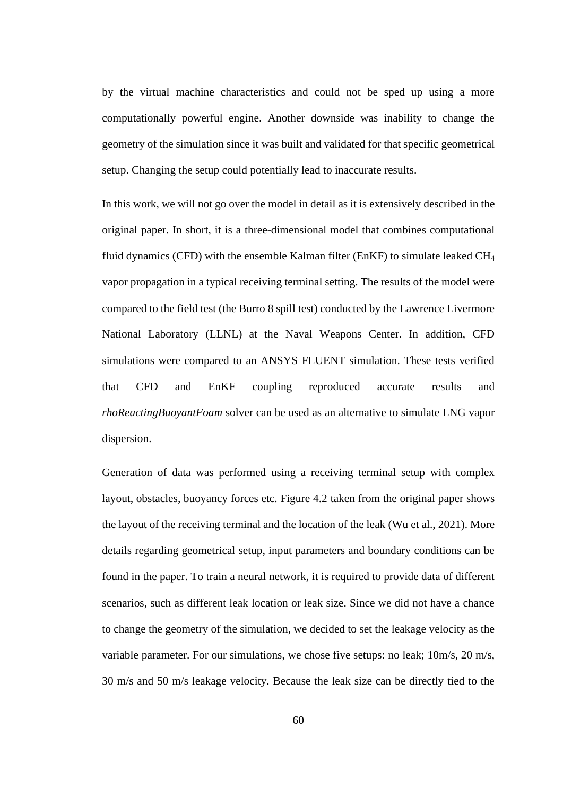by the virtual machine characteristics and could not be sped up using a more computationally powerful engine. Another downside was inability to change the geometry of the simulation since it was built and validated for that specific geometrical setup. Changing the setup could potentially lead to inaccurate results.

In this work, we will not go over the model in detail as it is extensively described in the original paper. In short, it is a three-dimensional model that combines computational fluid dynamics (CFD) with the ensemble Kalman filter (EnKF) to simulate leaked  $CH_4$ vapor propagation in a typical receiving terminal setting. The results of the model were compared to the field test (the Burro 8 spill test) conducted by the Lawrence Livermore National Laboratory (LLNL) at the Naval Weapons Center. In addition, CFD simulations were compared to an ANSYS FLUENT simulation. These tests verified that CFD and EnKF coupling reproduced accurate results and *rhoReactingBuoyantFoam* solver can be used as an alternative to simulate LNG vapor dispersion.

Generation of data was performed using a receiving terminal setup with complex layout, obstacles, buoyancy forces etc. Figure 4.2 taken from the original paper shows the layout of the receiving terminal and the location of the leak (Wu et al., 2021). More details regarding geometrical setup, input parameters and boundary conditions can be found in the paper. To train a neural network, it is required to provide data of different scenarios, such as different leak location or leak size. Since we did not have a chance to change the geometry of the simulation, we decided to set the leakage velocity as the variable parameter. For our simulations, we chose five setups: no leak; 10m/s, 20 m/s, 30 m/s and 50 m/s leakage velocity. Because the leak size can be directly tied to the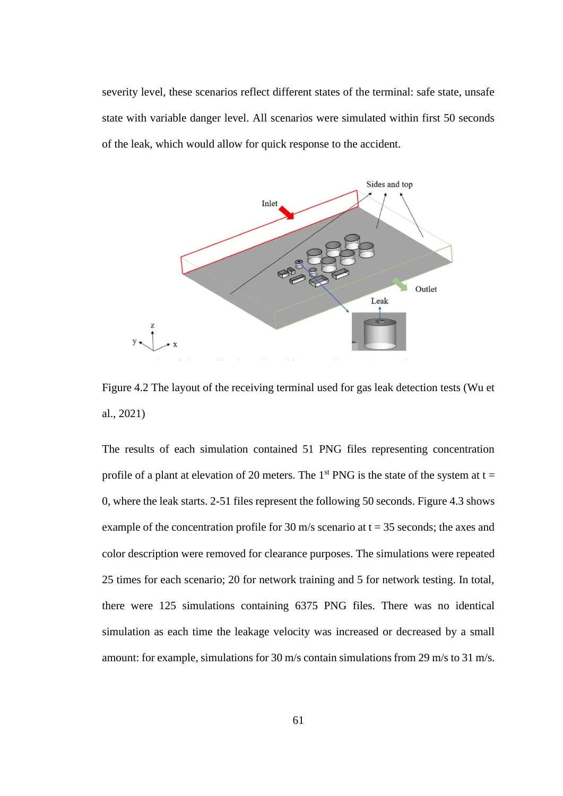severity level, these scenarios reflect different states of the terminal: safe state, unsafe state with variable danger level. All scenarios were simulated within first 50 seconds of the leak, which would allow for quick response to the accident.



Figure 4.2 The layout of the receiving terminal used for gas leak detection tests (Wu et al., 2021)

The results of each simulation contained 51 PNG files representing concentration profile of a plant at elevation of 20 meters. The 1<sup>st</sup> PNG is the state of the system at  $t =$ 0, where the leak starts. 2-51 files represent the following 50 seconds. Figure 4.3 shows example of the concentration profile for 30 m/s scenario at  $t = 35$  seconds; the axes and color description were removed for clearance purposes. The simulations were repeated 25 times for each scenario; 20 for network training and 5 for network testing. In total, there were 125 simulations containing 6375 PNG files. There was no identical simulation as each time the leakage velocity was increased or decreased by a small amount: for example, simulations for 30 m/s contain simulations from 29 m/s to 31 m/s.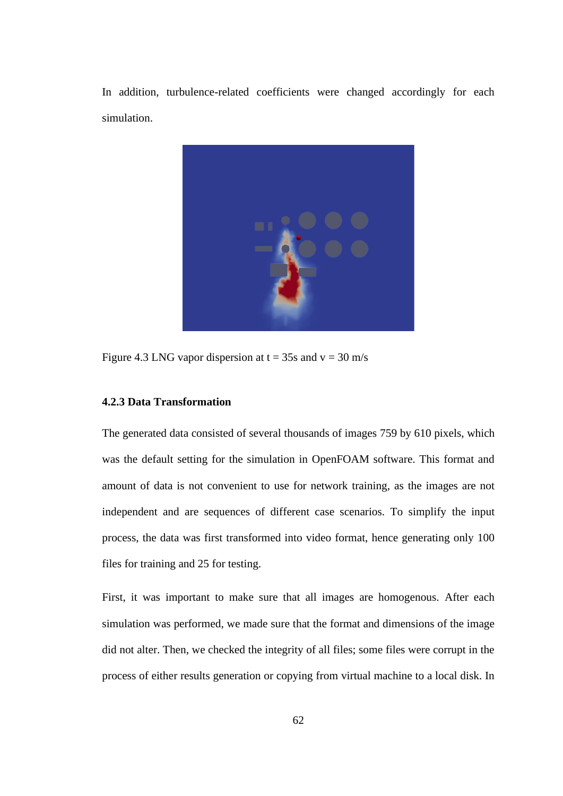In addition, turbulence-related coefficients were changed accordingly for each simulation.



Figure 4.3 LNG vapor dispersion at  $t = 35s$  and  $v = 30$  m/s

# **4.2.3 Data Transformation**

The generated data consisted of several thousands of images 759 by 610 pixels, which was the default setting for the simulation in OpenFOAM software. This format and amount of data is not convenient to use for network training, as the images are not independent and are sequences of different case scenarios. To simplify the input process, the data was first transformed into video format, hence generating only 100 files for training and 25 for testing.

First, it was important to make sure that all images are homogenous. After each simulation was performed, we made sure that the format and dimensions of the image did not alter. Then, we checked the integrity of all files; some files were corrupt in the process of either results generation or copying from virtual machine to a local disk. In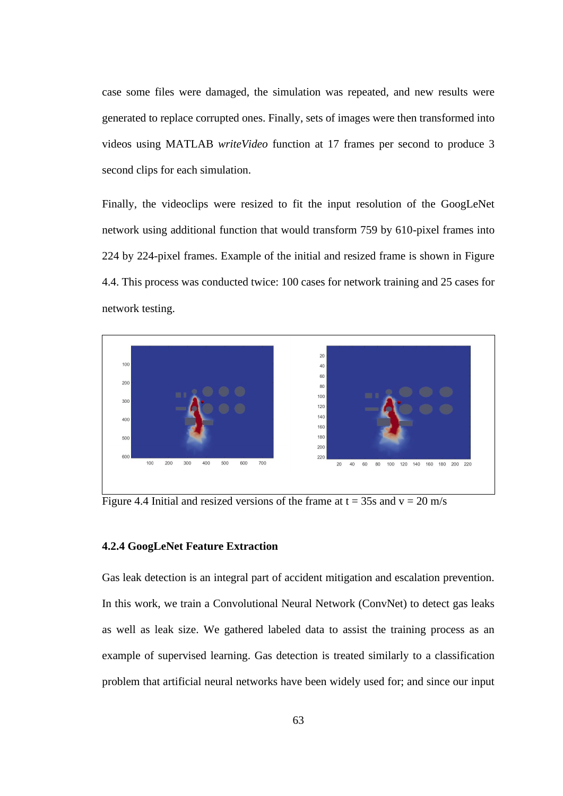case some files were damaged, the simulation was repeated, and new results were generated to replace corrupted ones. Finally, sets of images were then transformed into videos using MATLAB *writeVideo* function at 17 frames per second to produce 3 second clips for each simulation.

Finally, the videoclips were resized to fit the input resolution of the GoogLeNet network using additional function that would transform 759 by 610-pixel frames into 224 by 224-pixel frames. Example of the initial and resized frame is shown in Figure 4.4. This process was conducted twice: 100 cases for network training and 25 cases for network testing.



Figure 4.4 Initial and resized versions of the frame at  $t = 35s$  and  $v = 20$  m/s

### **4.2.4 GoogLeNet Feature Extraction**

Gas leak detection is an integral part of accident mitigation and escalation prevention. In this work, we train a Convolutional Neural Network (ConvNet) to detect gas leaks as well as leak size. We gathered labeled data to assist the training process as an example of supervised learning. Gas detection is treated similarly to a classification problem that artificial neural networks have been widely used for; and since our input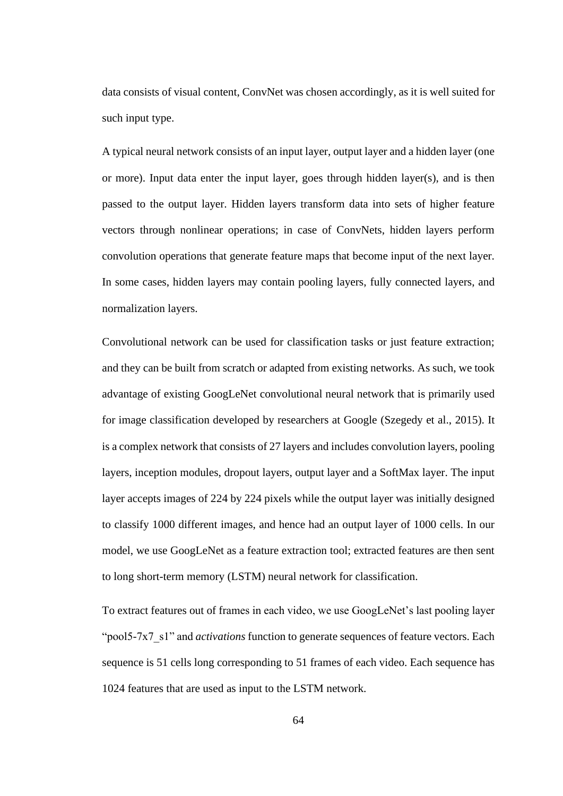data consists of visual content, ConvNet was chosen accordingly, as it is well suited for such input type.

A typical neural network consists of an input layer, output layer and a hidden layer (one or more). Input data enter the input layer, goes through hidden layer(s), and is then passed to the output layer. Hidden layers transform data into sets of higher feature vectors through nonlinear operations; in case of ConvNets, hidden layers perform convolution operations that generate feature maps that become input of the next layer. In some cases, hidden layers may contain pooling layers, fully connected layers, and normalization layers.

Convolutional network can be used for classification tasks or just feature extraction; and they can be built from scratch or adapted from existing networks. As such, we took advantage of existing GoogLeNet convolutional neural network that is primarily used for image classification developed by researchers at Google (Szegedy et al., 2015). It is a complex network that consists of 27 layers and includes convolution layers, pooling layers, inception modules, dropout layers, output layer and a SoftMax layer. The input layer accepts images of 224 by 224 pixels while the output layer was initially designed to classify 1000 different images, and hence had an output layer of 1000 cells. In our model, we use GoogLeNet as a feature extraction tool; extracted features are then sent to long short-term memory (LSTM) neural network for classification.

To extract features out of frames in each video, we use GoogLeNet's last pooling layer "pool5-7x7\_s1" and *activations* function to generate sequences of feature vectors. Each sequence is 51 cells long corresponding to 51 frames of each video. Each sequence has 1024 features that are used as input to the LSTM network.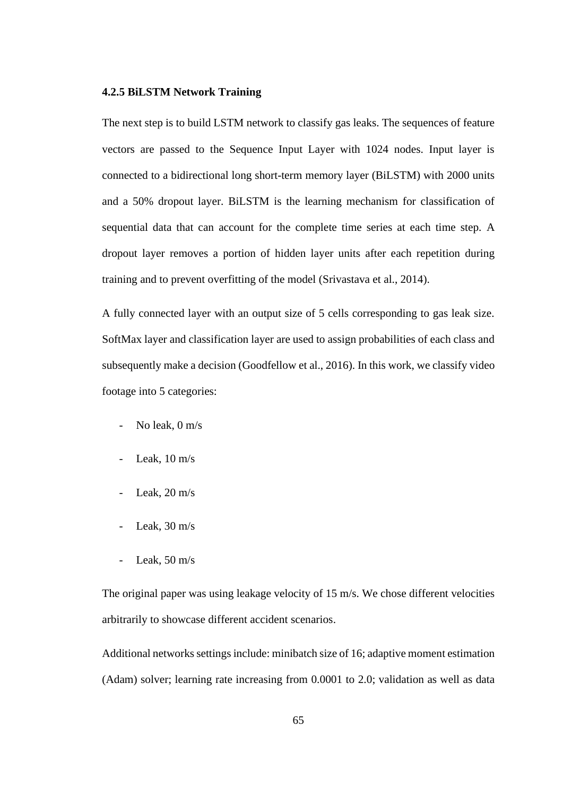### **4.2.5 BiLSTM Network Training**

The next step is to build LSTM network to classify gas leaks. The sequences of feature vectors are passed to the Sequence Input Layer with 1024 nodes. Input layer is connected to a bidirectional long short-term memory layer (BiLSTM) with 2000 units and a 50% dropout layer. BiLSTM is the learning mechanism for classification of sequential data that can account for the complete time series at each time step. A dropout layer removes a portion of hidden layer units after each repetition during training and to prevent overfitting of the model (Srivastava et al., 2014).

A fully connected layer with an output size of 5 cells corresponding to gas leak size. SoftMax layer and classification layer are used to assign probabilities of each class and subsequently make a decision (Goodfellow et al., 2016). In this work, we classify video footage into 5 categories:

- No leak, 0 m/s
- Leak,  $10 \text{ m/s}$
- Leak,  $20 \text{ m/s}$
- Leak,  $30 \text{ m/s}$
- Leak,  $50 \text{ m/s}$

The original paper was using leakage velocity of 15 m/s. We chose different velocities arbitrarily to showcase different accident scenarios.

Additional networks settings include: minibatch size of 16; adaptive moment estimation (Adam) solver; learning rate increasing from 0.0001 to 2.0; validation as well as data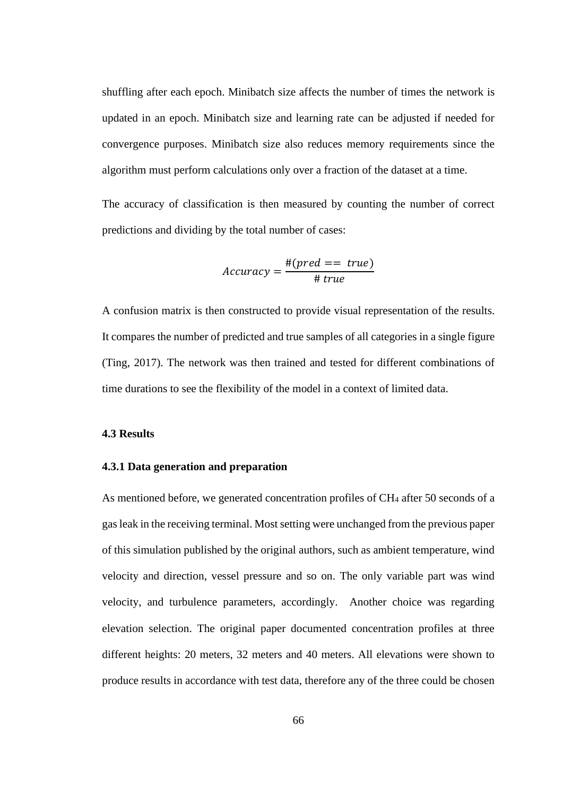shuffling after each epoch. Minibatch size affects the number of times the network is updated in an epoch. Minibatch size and learning rate can be adjusted if needed for convergence purposes. Minibatch size also reduces memory requirements since the algorithm must perform calculations only over a fraction of the dataset at a time.

The accuracy of classification is then measured by counting the number of correct predictions and dividing by the total number of cases:

$$
Accuracy = \frac{\# (pred == true)}{\# true}
$$

A confusion matrix is then constructed to provide visual representation of the results. It compares the number of predicted and true samples of all categories in a single figure (Ting, 2017). The network was then trained and tested for different combinations of time durations to see the flexibility of the model in a context of limited data.

#### **4.3 Results**

#### **4.3.1 Data generation and preparation**

As mentioned before, we generated concentration profiles of CH<sub>4</sub> after 50 seconds of a gas leak in the receiving terminal. Most setting were unchanged from the previous paper of this simulation published by the original authors, such as ambient temperature, wind velocity and direction, vessel pressure and so on. The only variable part was wind velocity, and turbulence parameters, accordingly. Another choice was regarding elevation selection. The original paper documented concentration profiles at three different heights: 20 meters, 32 meters and 40 meters. All elevations were shown to produce results in accordance with test data, therefore any of the three could be chosen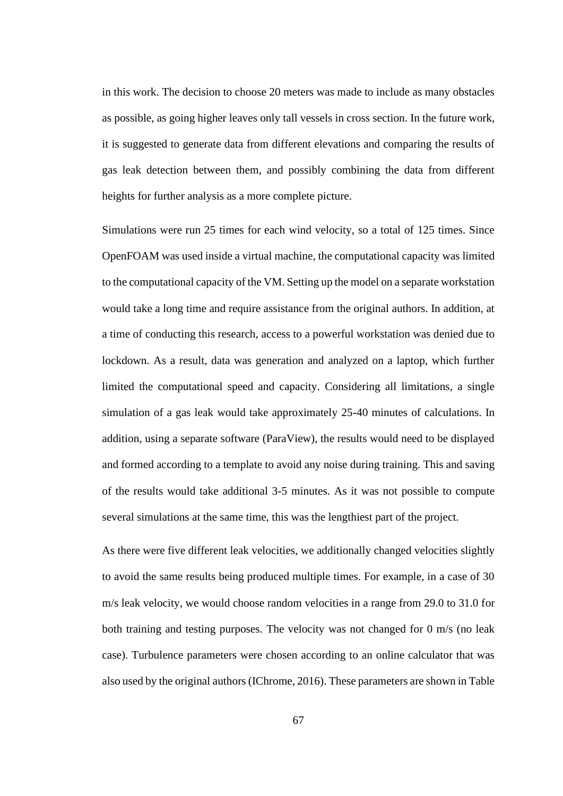in this work. The decision to choose 20 meters was made to include as many obstacles as possible, as going higher leaves only tall vessels in cross section. In the future work, it is suggested to generate data from different elevations and comparing the results of gas leak detection between them, and possibly combining the data from different heights for further analysis as a more complete picture.

Simulations were run 25 times for each wind velocity, so a total of 125 times. Since OpenFOAM was used inside a virtual machine, the computational capacity was limited to the computational capacity of the VM. Setting up the model on a separate workstation would take a long time and require assistance from the original authors. In addition, at a time of conducting this research, access to a powerful workstation was denied due to lockdown. As a result, data was generation and analyzed on a laptop, which further limited the computational speed and capacity. Considering all limitations, a single simulation of a gas leak would take approximately 25-40 minutes of calculations. In addition, using a separate software (ParaView), the results would need to be displayed and formed according to a template to avoid any noise during training. This and saving of the results would take additional 3-5 minutes. As it was not possible to compute several simulations at the same time, this was the lengthiest part of the project.

As there were five different leak velocities, we additionally changed velocities slightly to avoid the same results being produced multiple times. For example, in a case of 30 m/s leak velocity, we would choose random velocities in a range from 29.0 to 31.0 for both training and testing purposes. The velocity was not changed for 0 m/s (no leak case). Turbulence parameters were chosen according to an online calculator that was also used by the original authors (IChrome, 2016). These parameters are shown in Table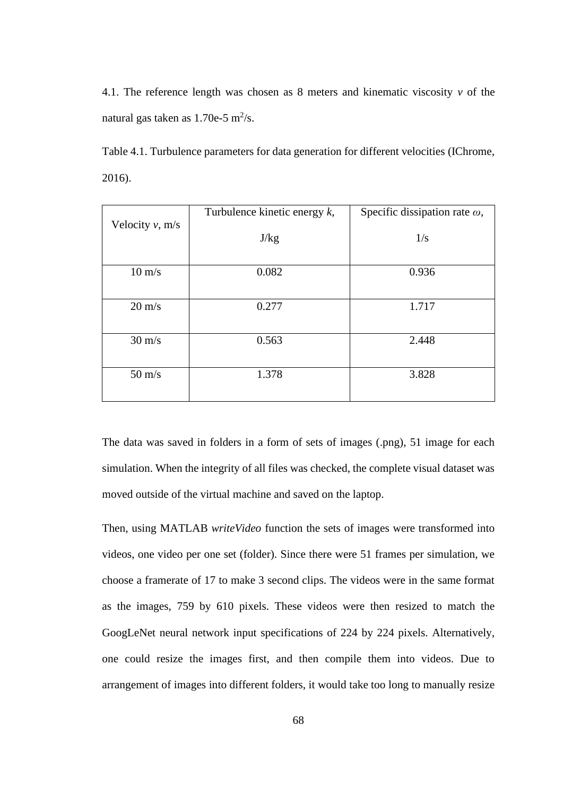4.1. The reference length was chosen as 8 meters and kinematic viscosity *v* of the natural gas taken as  $1.70e-5$  m<sup>2</sup>/s.

Table 4.1. Turbulence parameters for data generation for different velocities (IChrome, 2016).

| Turbulence kinetic energy $k$ , | Specific dissipation rate $\omega$ , |
|---------------------------------|--------------------------------------|
|                                 |                                      |
|                                 | 1/s                                  |
|                                 |                                      |
| 0.082                           | 0.936                                |
|                                 |                                      |
| 0.277                           | 1.717                                |
|                                 |                                      |
| 0.563                           | 2.448                                |
|                                 |                                      |
| 1.378                           | 3.828                                |
|                                 |                                      |
|                                 | J/kg                                 |

The data was saved in folders in a form of sets of images (.png), 51 image for each simulation. When the integrity of all files was checked, the complete visual dataset was moved outside of the virtual machine and saved on the laptop.

Then, using MATLAB *writeVideo* function the sets of images were transformed into videos, one video per one set (folder). Since there were 51 frames per simulation, we choose a framerate of 17 to make 3 second clips. The videos were in the same format as the images, 759 by 610 pixels. These videos were then resized to match the GoogLeNet neural network input specifications of 224 by 224 pixels. Alternatively, one could resize the images first, and then compile them into videos. Due to arrangement of images into different folders, it would take too long to manually resize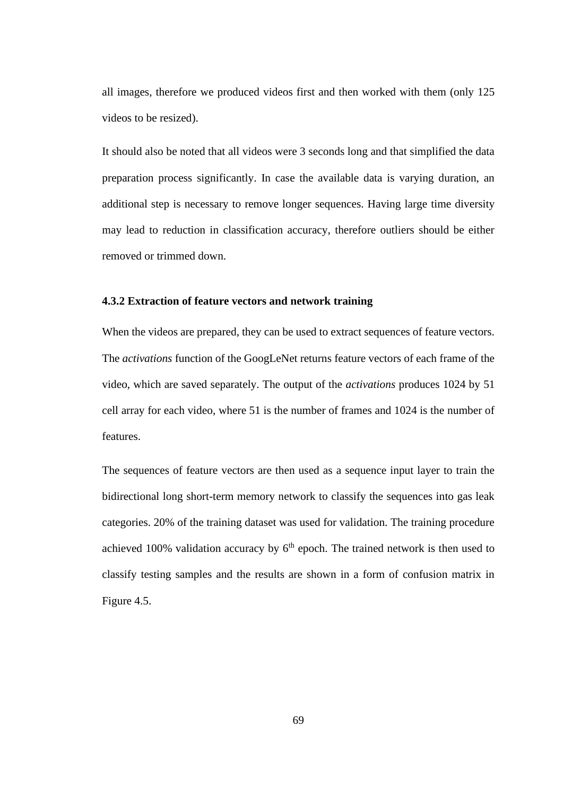all images, therefore we produced videos first and then worked with them (only 125 videos to be resized).

It should also be noted that all videos were 3 seconds long and that simplified the data preparation process significantly. In case the available data is varying duration, an additional step is necessary to remove longer sequences. Having large time diversity may lead to reduction in classification accuracy, therefore outliers should be either removed or trimmed down.

### **4.3.2 Extraction of feature vectors and network training**

When the videos are prepared, they can be used to extract sequences of feature vectors. The *activations* function of the GoogLeNet returns feature vectors of each frame of the video, which are saved separately. The output of the *activations* produces 1024 by 51 cell array for each video, where 51 is the number of frames and 1024 is the number of features.

The sequences of feature vectors are then used as a sequence input layer to train the bidirectional long short-term memory network to classify the sequences into gas leak categories. 20% of the training dataset was used for validation. The training procedure achieved 100% validation accuracy by  $6<sup>th</sup>$  epoch. The trained network is then used to classify testing samples and the results are shown in a form of confusion matrix in Figure 4.5.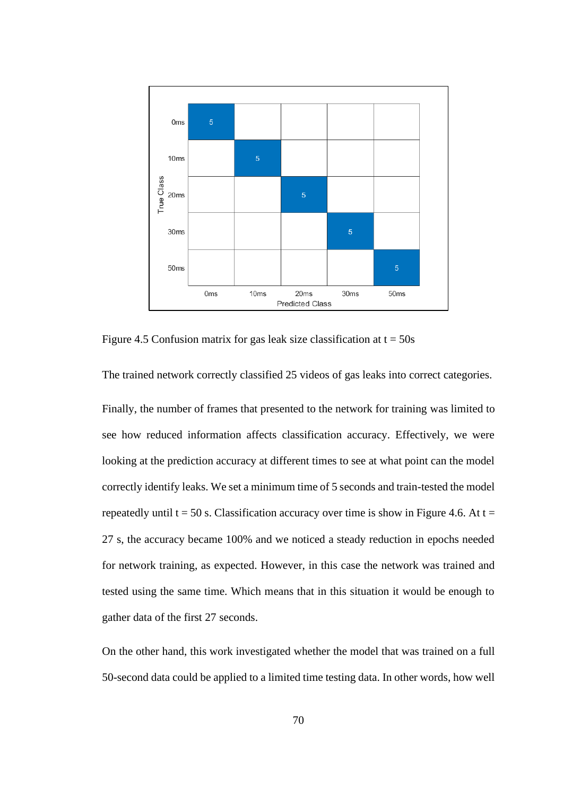

Figure 4.5 Confusion matrix for gas leak size classification at  $t = 50s$ 

The trained network correctly classified 25 videos of gas leaks into correct categories.

Finally, the number of frames that presented to the network for training was limited to see how reduced information affects classification accuracy. Effectively, we were looking at the prediction accuracy at different times to see at what point can the model correctly identify leaks. We set a minimum time of 5 seconds and train-tested the model repeatedly until  $t = 50$  s. Classification accuracy over time is show in Figure 4.6. At  $t =$ 27 s, the accuracy became 100% and we noticed a steady reduction in epochs needed for network training, as expected. However, in this case the network was trained and tested using the same time. Which means that in this situation it would be enough to gather data of the first 27 seconds.

On the other hand, this work investigated whether the model that was trained on a full 50-second data could be applied to a limited time testing data. In other words, how well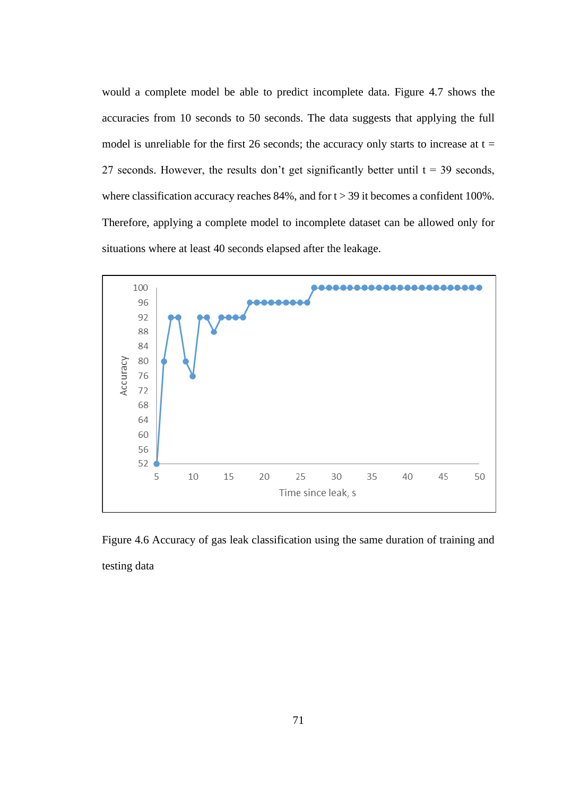would a complete model be able to predict incomplete data. Figure 4.7 shows the accuracies from 10 seconds to 50 seconds. The data suggests that applying the full model is unreliable for the first 26 seconds; the accuracy only starts to increase at  $t =$ 27 seconds. However, the results don't get significantly better until  $t = 39$  seconds, where classification accuracy reaches  $84\%$ , and for  $t > 39$  it becomes a confident 100%. Therefore, applying a complete model to incomplete dataset can be allowed only for situations where at least 40 seconds elapsed after the leakage.



Figure 4.6 Accuracy of gas leak classification using the same duration of training and testing data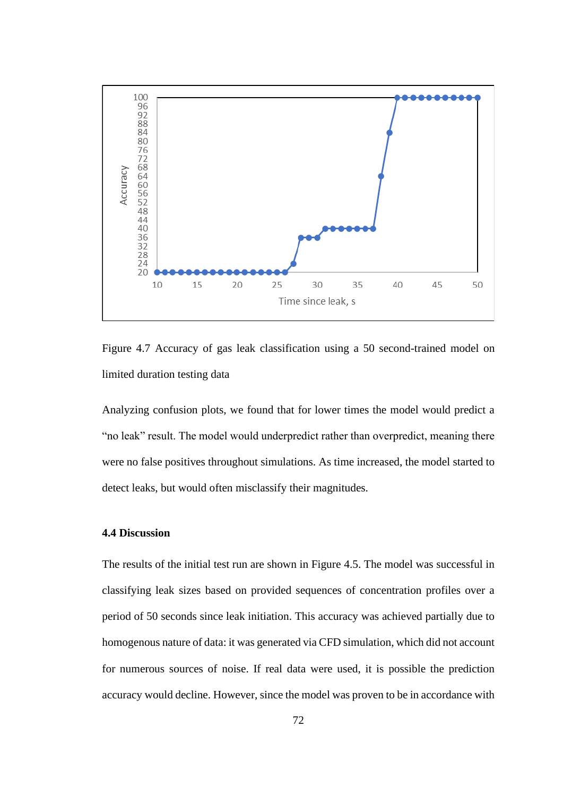

Figure 4.7 Accuracy of gas leak classification using a 50 second-trained model on limited duration testing data

Analyzing confusion plots, we found that for lower times the model would predict a "no leak" result. The model would underpredict rather than overpredict, meaning there were no false positives throughout simulations. As time increased, the model started to detect leaks, but would often misclassify their magnitudes.

### **4.4 Discussion**

The results of the initial test run are shown in Figure 4.5. The model was successful in classifying leak sizes based on provided sequences of concentration profiles over a period of 50 seconds since leak initiation. This accuracy was achieved partially due to homogenous nature of data: it was generated via CFD simulation, which did not account for numerous sources of noise. If real data were used, it is possible the prediction accuracy would decline. However, since the model was proven to be in accordance with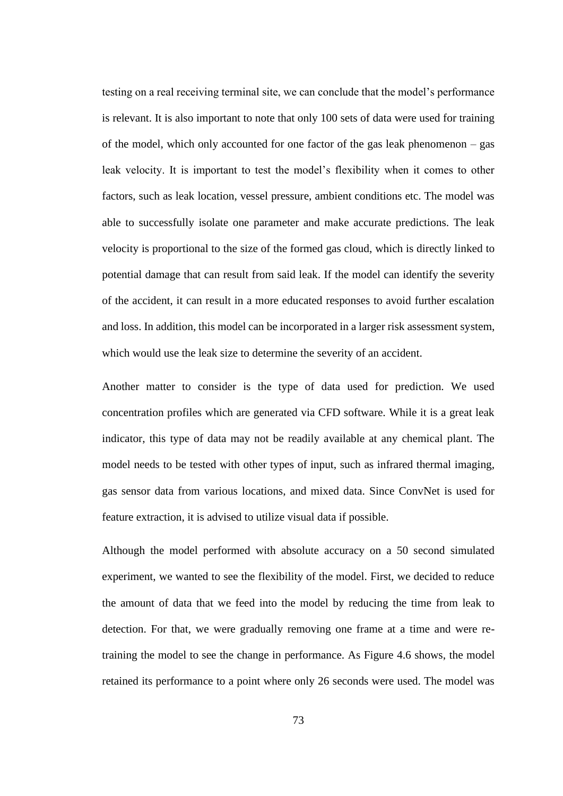testing on a real receiving terminal site, we can conclude that the model's performance is relevant. It is also important to note that only 100 sets of data were used for training of the model, which only accounted for one factor of the gas leak phenomenon – gas leak velocity. It is important to test the model's flexibility when it comes to other factors, such as leak location, vessel pressure, ambient conditions etc. The model was able to successfully isolate one parameter and make accurate predictions. The leak velocity is proportional to the size of the formed gas cloud, which is directly linked to potential damage that can result from said leak. If the model can identify the severity of the accident, it can result in a more educated responses to avoid further escalation and loss. In addition, this model can be incorporated in a larger risk assessment system, which would use the leak size to determine the severity of an accident.

Another matter to consider is the type of data used for prediction. We used concentration profiles which are generated via CFD software. While it is a great leak indicator, this type of data may not be readily available at any chemical plant. The model needs to be tested with other types of input, such as infrared thermal imaging, gas sensor data from various locations, and mixed data. Since ConvNet is used for feature extraction, it is advised to utilize visual data if possible.

Although the model performed with absolute accuracy on a 50 second simulated experiment, we wanted to see the flexibility of the model. First, we decided to reduce the amount of data that we feed into the model by reducing the time from leak to detection. For that, we were gradually removing one frame at a time and were retraining the model to see the change in performance. As Figure 4.6 shows, the model retained its performance to a point where only 26 seconds were used. The model was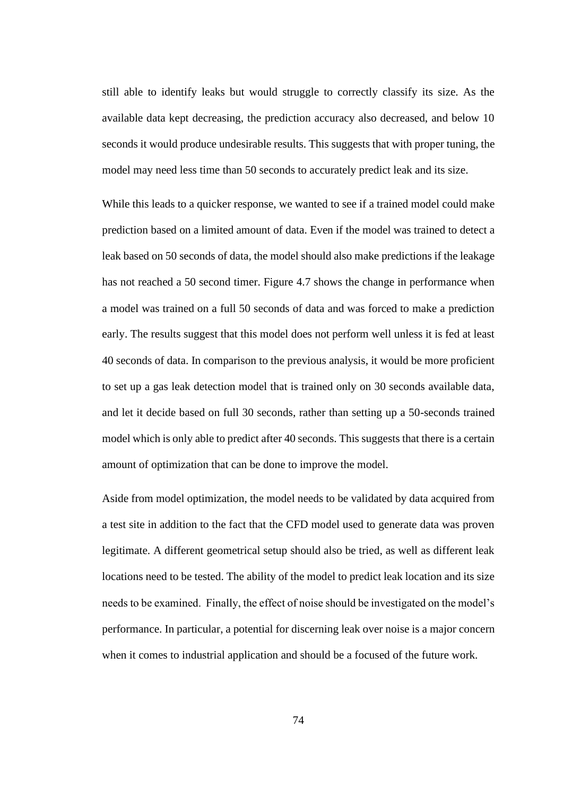still able to identify leaks but would struggle to correctly classify its size. As the available data kept decreasing, the prediction accuracy also decreased, and below 10 seconds it would produce undesirable results. This suggests that with proper tuning, the model may need less time than 50 seconds to accurately predict leak and its size.

While this leads to a quicker response, we wanted to see if a trained model could make prediction based on a limited amount of data. Even if the model was trained to detect a leak based on 50 seconds of data, the model should also make predictions if the leakage has not reached a 50 second timer. Figure 4.7 shows the change in performance when a model was trained on a full 50 seconds of data and was forced to make a prediction early. The results suggest that this model does not perform well unless it is fed at least 40 seconds of data. In comparison to the previous analysis, it would be more proficient to set up a gas leak detection model that is trained only on 30 seconds available data, and let it decide based on full 30 seconds, rather than setting up a 50-seconds trained model which is only able to predict after 40 seconds. This suggests that there is a certain amount of optimization that can be done to improve the model.

Aside from model optimization, the model needs to be validated by data acquired from a test site in addition to the fact that the CFD model used to generate data was proven legitimate. A different geometrical setup should also be tried, as well as different leak locations need to be tested. The ability of the model to predict leak location and its size needs to be examined. Finally, the effect of noise should be investigated on the model's performance. In particular, a potential for discerning leak over noise is a major concern when it comes to industrial application and should be a focused of the future work.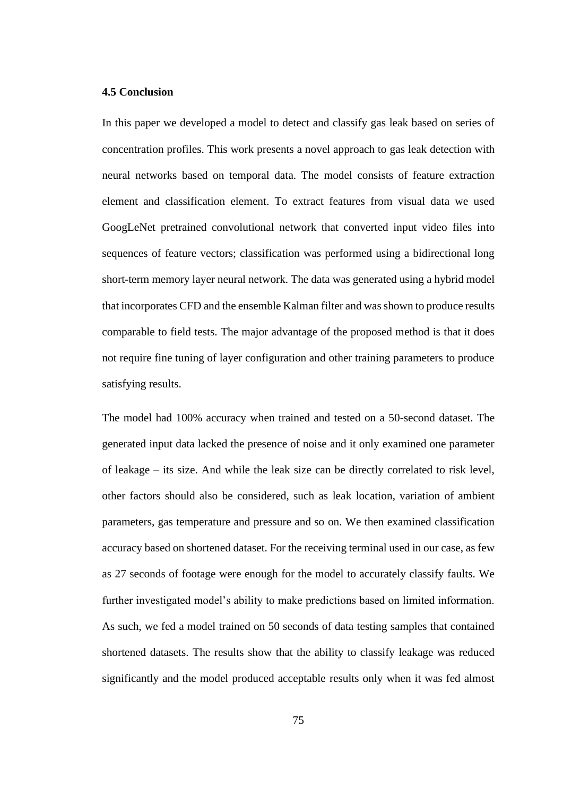### **4.5 Conclusion**

In this paper we developed a model to detect and classify gas leak based on series of concentration profiles. This work presents a novel approach to gas leak detection with neural networks based on temporal data. The model consists of feature extraction element and classification element. To extract features from visual data we used GoogLeNet pretrained convolutional network that converted input video files into sequences of feature vectors; classification was performed using a bidirectional long short-term memory layer neural network. The data was generated using a hybrid model that incorporates CFD and the ensemble Kalman filter and was shown to produce results comparable to field tests. The major advantage of the proposed method is that it does not require fine tuning of layer configuration and other training parameters to produce satisfying results.

The model had 100% accuracy when trained and tested on a 50-second dataset. The generated input data lacked the presence of noise and it only examined one parameter of leakage – its size. And while the leak size can be directly correlated to risk level, other factors should also be considered, such as leak location, variation of ambient parameters, gas temperature and pressure and so on. We then examined classification accuracy based on shortened dataset. For the receiving terminal used in our case, as few as 27 seconds of footage were enough for the model to accurately classify faults. We further investigated model's ability to make predictions based on limited information. As such, we fed a model trained on 50 seconds of data testing samples that contained shortened datasets. The results show that the ability to classify leakage was reduced significantly and the model produced acceptable results only when it was fed almost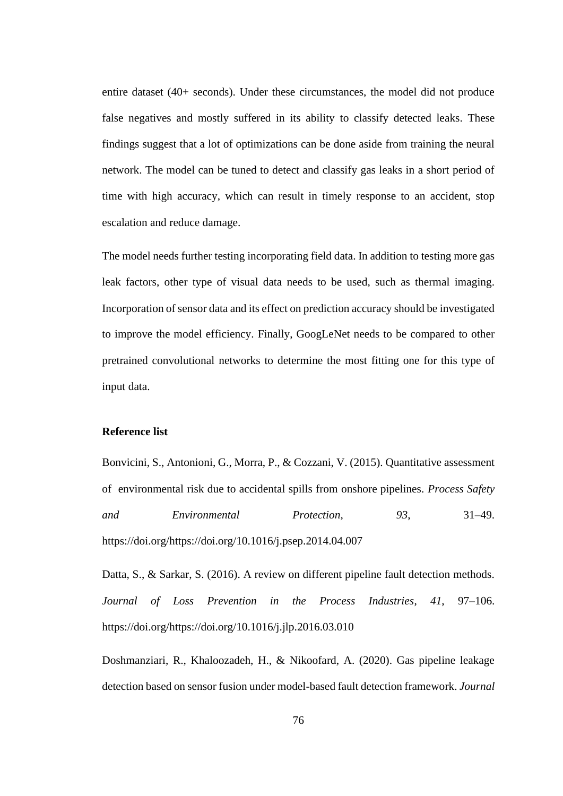entire dataset (40+ seconds). Under these circumstances, the model did not produce false negatives and mostly suffered in its ability to classify detected leaks. These findings suggest that a lot of optimizations can be done aside from training the neural network. The model can be tuned to detect and classify gas leaks in a short period of time with high accuracy, which can result in timely response to an accident, stop escalation and reduce damage.

The model needs further testing incorporating field data. In addition to testing more gas leak factors, other type of visual data needs to be used, such as thermal imaging. Incorporation of sensor data and its effect on prediction accuracy should be investigated to improve the model efficiency. Finally, GoogLeNet needs to be compared to other pretrained convolutional networks to determine the most fitting one for this type of input data.

# **Reference list**

Bonvicini, S., Antonioni, G., Morra, P., & Cozzani, V. (2015). Quantitative assessment of environmental risk due to accidental spills from onshore pipelines. *Process Safety and Environmental Protection*, *93*, 31–49. https://doi.org/https://doi.org/10.1016/j.psep.2014.04.007

Datta, S., & Sarkar, S. (2016). A review on different pipeline fault detection methods. *Journal of Loss Prevention in the Process Industries*, *41*, 97–106. https://doi.org/https://doi.org/10.1016/j.jlp.2016.03.010

Doshmanziari, R., Khaloozadeh, H., & Nikoofard, A. (2020). Gas pipeline leakage detection based on sensor fusion under model-based fault detection framework. *Journal*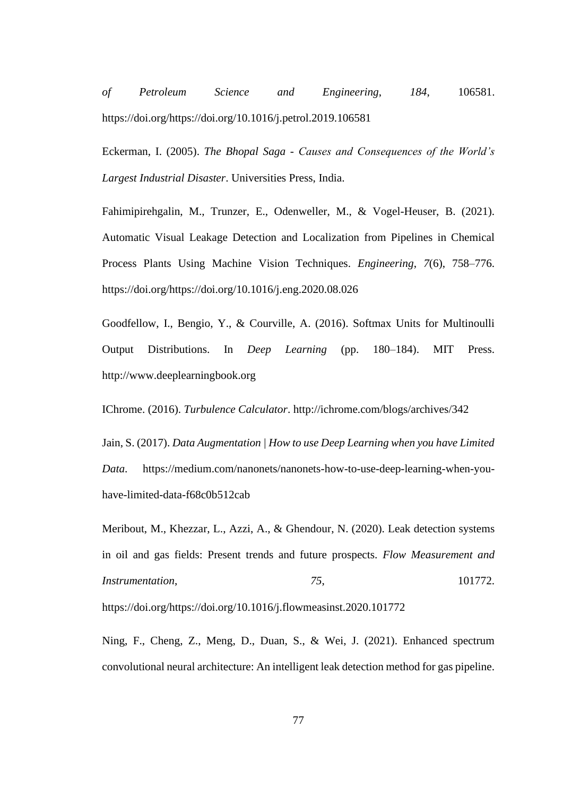*of Petroleum Science and Engineering*, *184*, 106581. https://doi.org/https://doi.org/10.1016/j.petrol.2019.106581

Eckerman, I. (2005). *The Bhopal Saga - Causes and Consequences of the World's Largest Industrial Disaster*. Universities Press, India.

Fahimipirehgalin, M., Trunzer, E., Odenweller, M., & Vogel-Heuser, B. (2021). Automatic Visual Leakage Detection and Localization from Pipelines in Chemical Process Plants Using Machine Vision Techniques. *Engineering*, *7*(6), 758–776. https://doi.org/https://doi.org/10.1016/j.eng.2020.08.026

Goodfellow, I., Bengio, Y., & Courville, A. (2016). Softmax Units for Multinoulli Output Distributions. In *Deep Learning* (pp. 180–184). MIT Press. http://www.deeplearningbook.org

IChrome. (2016). *Turbulence Calculator*. http://ichrome.com/blogs/archives/342

Jain, S. (2017). *Data Augmentation | How to use Deep Learning when you have Limited Data*. https://medium.com/nanonets/nanonets-how-to-use-deep-learning-when-youhave-limited-data-f68c0b512cab

Meribout, M., Khezzar, L., Azzi, A., & Ghendour, N. (2020). Leak detection systems in oil and gas fields: Present trends and future prospects. *Flow Measurement and Instrumentation*, *75*, 101772.

https://doi.org/https://doi.org/10.1016/j.flowmeasinst.2020.101772

Ning, F., Cheng, Z., Meng, D., Duan, S., & Wei, J. (2021). Enhanced spectrum convolutional neural architecture: An intelligent leak detection method for gas pipeline.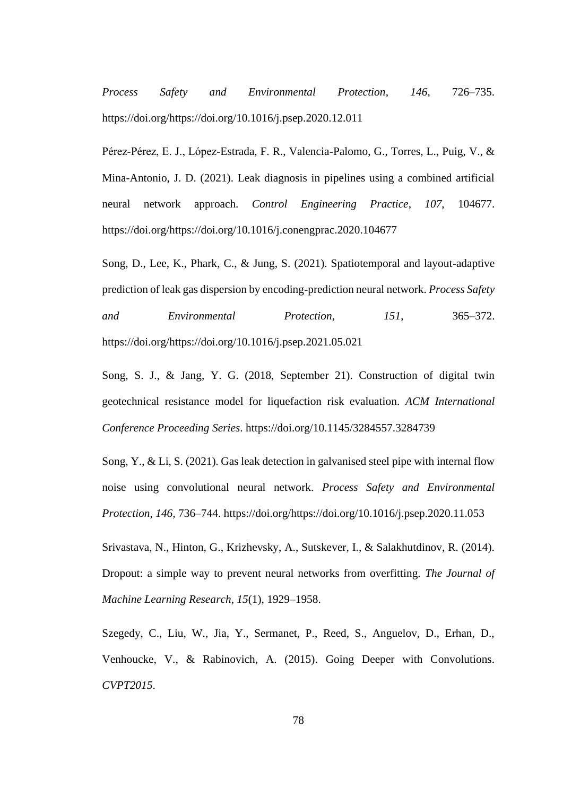*Process Safety and Environmental Protection*, *146*, 726–735. https://doi.org/https://doi.org/10.1016/j.psep.2020.12.011

Pérez-Pérez, E. J., López-Estrada, F. R., Valencia-Palomo, G., Torres, L., Puig, V., & Mina-Antonio, J. D. (2021). Leak diagnosis in pipelines using a combined artificial neural network approach. *Control Engineering Practice*, *107*, 104677. https://doi.org/https://doi.org/10.1016/j.conengprac.2020.104677

Song, D., Lee, K., Phark, C., & Jung, S. (2021). Spatiotemporal and layout-adaptive prediction of leak gas dispersion by encoding-prediction neural network. *Process Safety and Environmental Protection*, *151*, 365–372. https://doi.org/https://doi.org/10.1016/j.psep.2021.05.021

Song, S. J., & Jang, Y. G. (2018, September 21). Construction of digital twin geotechnical resistance model for liquefaction risk evaluation. *ACM International Conference Proceeding Series*. https://doi.org/10.1145/3284557.3284739

Song, Y., & Li, S. (2021). Gas leak detection in galvanised steel pipe with internal flow noise using convolutional neural network. *Process Safety and Environmental Protection*, *146*, 736–744. https://doi.org/https://doi.org/10.1016/j.psep.2020.11.053

Srivastava, N., Hinton, G., Krizhevsky, A., Sutskever, I., & Salakhutdinov, R. (2014). Dropout: a simple way to prevent neural networks from overfitting. *The Journal of Machine Learning Research*, *15*(1), 1929–1958.

Szegedy, C., Liu, W., Jia, Y., Sermanet, P., Reed, S., Anguelov, D., Erhan, D., Venhoucke, V., & Rabinovich, A. (2015). Going Deeper with Convolutions. *CVPT2015*.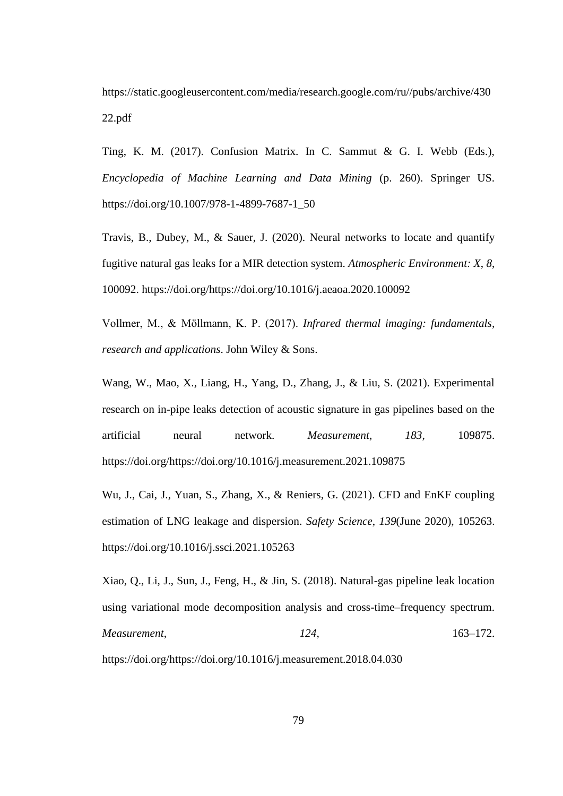https://static.googleusercontent.com/media/research.google.com/ru//pubs/archive/430 22.pdf

Ting, K. M. (2017). Confusion Matrix. In C. Sammut & G. I. Webb (Eds.), *Encyclopedia of Machine Learning and Data Mining* (p. 260). Springer US. https://doi.org/10.1007/978-1-4899-7687-1\_50

Travis, B., Dubey, M., & Sauer, J. (2020). Neural networks to locate and quantify fugitive natural gas leaks for a MIR detection system. *Atmospheric Environment: X*, *8*, 100092. https://doi.org/https://doi.org/10.1016/j.aeaoa.2020.100092

Vollmer, M., & Möllmann, K. P. (2017). *Infrared thermal imaging: fundamentals, research and applications*. John Wiley & Sons.

Wang, W., Mao, X., Liang, H., Yang, D., Zhang, J., & Liu, S. (2021). Experimental research on in-pipe leaks detection of acoustic signature in gas pipelines based on the artificial neural network. *Measurement*, *183*, 109875. https://doi.org/https://doi.org/10.1016/j.measurement.2021.109875

Wu, J., Cai, J., Yuan, S., Zhang, X., & Reniers, G. (2021). CFD and EnKF coupling estimation of LNG leakage and dispersion. *Safety Science*, *139*(June 2020), 105263. https://doi.org/10.1016/j.ssci.2021.105263

Xiao, Q., Li, J., Sun, J., Feng, H., & Jin, S. (2018). Natural-gas pipeline leak location using variational mode decomposition analysis and cross-time–frequency spectrum. *Measurement*, *124*, 163–172.

https://doi.org/https://doi.org/10.1016/j.measurement.2018.04.030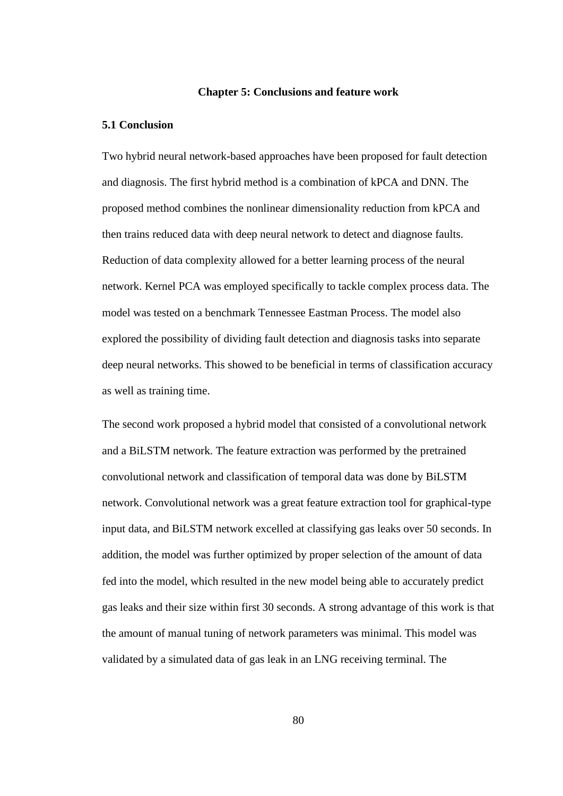#### **Chapter 5: Conclusions and feature work**

### **5.1 Conclusion**

Two hybrid neural network-based approaches have been proposed for fault detection and diagnosis. The first hybrid method is a combination of kPCA and DNN. The proposed method combines the nonlinear dimensionality reduction from kPCA and then trains reduced data with deep neural network to detect and diagnose faults. Reduction of data complexity allowed for a better learning process of the neural network. Kernel PCA was employed specifically to tackle complex process data. The model was tested on a benchmark Tennessee Eastman Process. The model also explored the possibility of dividing fault detection and diagnosis tasks into separate deep neural networks. This showed to be beneficial in terms of classification accuracy as well as training time.

The second work proposed a hybrid model that consisted of a convolutional network and a BiLSTM network. The feature extraction was performed by the pretrained convolutional network and classification of temporal data was done by BiLSTM network. Convolutional network was a great feature extraction tool for graphical-type input data, and BiLSTM network excelled at classifying gas leaks over 50 seconds. In addition, the model was further optimized by proper selection of the amount of data fed into the model, which resulted in the new model being able to accurately predict gas leaks and their size within first 30 seconds. A strong advantage of this work is that the amount of manual tuning of network parameters was minimal. This model was validated by a simulated data of gas leak in an LNG receiving terminal. The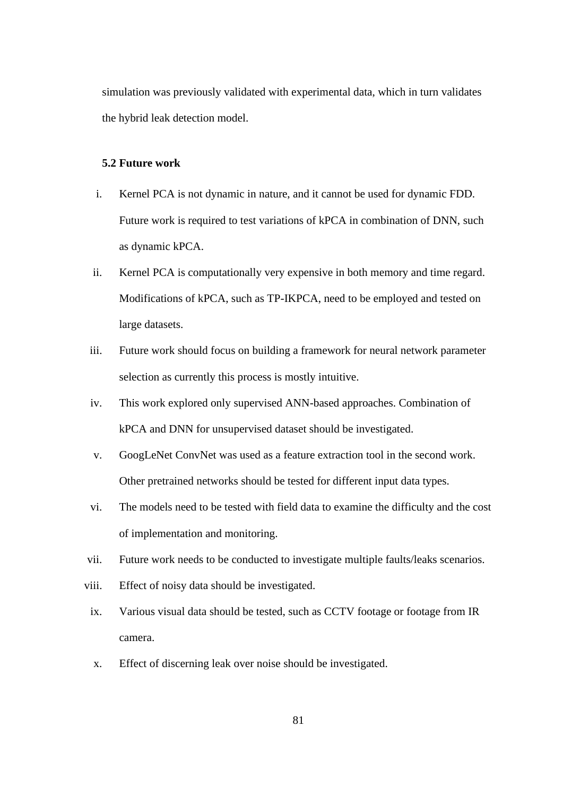simulation was previously validated with experimental data, which in turn validates the hybrid leak detection model.

## **5.2 Future work**

- i. Kernel PCA is not dynamic in nature, and it cannot be used for dynamic FDD. Future work is required to test variations of kPCA in combination of DNN, such as dynamic kPCA.
- ii. Kernel PCA is computationally very expensive in both memory and time regard. Modifications of kPCA, such as TP-IKPCA, need to be employed and tested on large datasets.
- iii. Future work should focus on building a framework for neural network parameter selection as currently this process is mostly intuitive.
- iv. This work explored only supervised ANN-based approaches. Combination of kPCA and DNN for unsupervised dataset should be investigated.
- v. GoogLeNet ConvNet was used as a feature extraction tool in the second work. Other pretrained networks should be tested for different input data types.
- vi. The models need to be tested with field data to examine the difficulty and the cost of implementation and monitoring.
- vii. Future work needs to be conducted to investigate multiple faults/leaks scenarios.
- viii. Effect of noisy data should be investigated.
- ix. Various visual data should be tested, such as CCTV footage or footage from IR camera.
- x. Effect of discerning leak over noise should be investigated.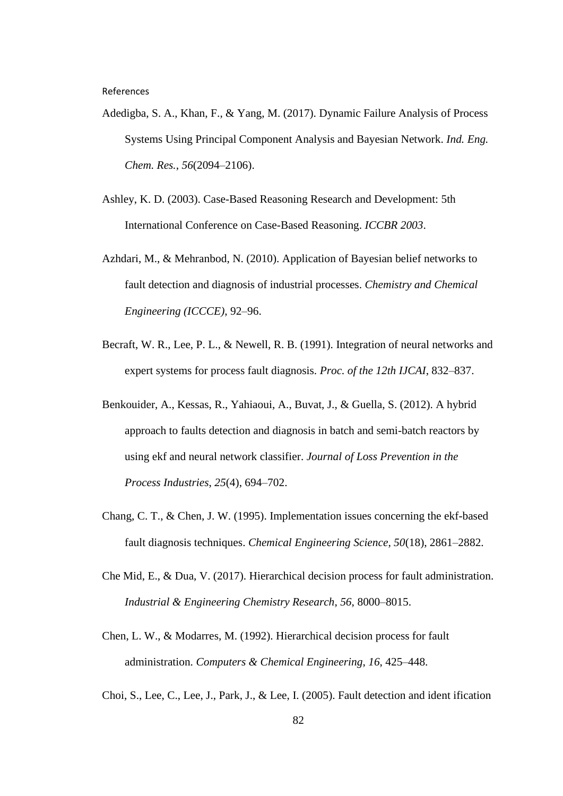References

- Adedigba, S. A., Khan, F., & Yang, M. (2017). Dynamic Failure Analysis of Process Systems Using Principal Component Analysis and Bayesian Network. *Ind. Eng. Chem. Res.*, *56*(2094–2106).
- Ashley, K. D. (2003). Case-Based Reasoning Research and Development: 5th International Conference on Case-Based Reasoning. *ICCBR 2003*.
- Azhdari, M., & Mehranbod, N. (2010). Application of Bayesian belief networks to fault detection and diagnosis of industrial processes. *Chemistry and Chemical Engineering (ICCCE)*, 92–96.
- Becraft, W. R., Lee, P. L., & Newell, R. B. (1991). Integration of neural networks and expert systems for process fault diagnosis. *Proc. of the 12th IJCAI*, 832–837.
- Benkouider, A., Kessas, R., Yahiaoui, A., Buvat, J., & Guella, S. (2012). A hybrid approach to faults detection and diagnosis in batch and semi-batch reactors by using ekf and neural network classifier. *Journal of Loss Prevention in the Process Industries*, *25*(4), 694–702.
- Chang, C. T., & Chen, J. W. (1995). Implementation issues concerning the ekf-based fault diagnosis techniques. *Chemical Engineering Science*, *50*(18), 2861–2882.
- Che Mid, E., & Dua, V. (2017). Hierarchical decision process for fault administration. *Industrial & Engineering Chemistry Research*, *56*, 8000–8015.
- Chen, L. W., & Modarres, M. (1992). Hierarchical decision process for fault administration. *Computers & Chemical Engineering*, *16*, 425–448.
- Choi, S., Lee, C., Lee, J., Park, J., & Lee, I. (2005). Fault detection and ident ification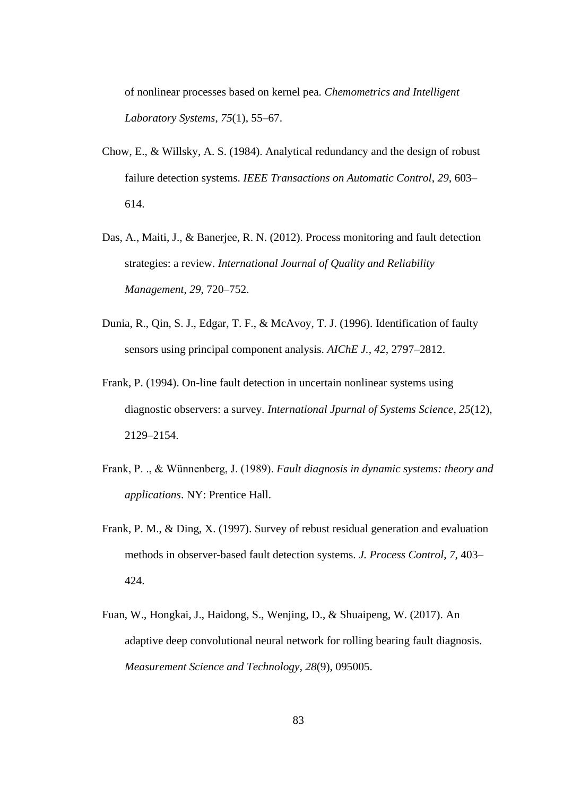of nonlinear processes based on kernel pea. *Chemometrics and Intelligent Laboratory Systems*, *75*(1), 55–67.

- Chow, E., & Willsky, A. S. (1984). Analytical redundancy and the design of robust failure detection systems. *IEEE Transactions on Automatic Control*, *29*, 603– 614.
- Das, A., Maiti, J., & Banerjee, R. N. (2012). Process monitoring and fault detection strategies: a review. *International Journal of Quality and Reliability Management*, *29*, 720–752.
- Dunia, R., Qin, S. J., Edgar, T. F., & McAvoy, T. J. (1996). Identification of faulty sensors using principal component analysis. *AIChE J.*, *42*, 2797–2812.
- Frank, P. (1994). On-line fault detection in uncertain nonlinear systems using diagnostic observers: a survey. *International Jpurnal of Systems Science*, *25*(12), 2129–2154.
- Frank, P. ., & Wünnenberg, J. (1989). *Fault diagnosis in dynamic systems: theory and applications*. NY: Prentice Hall.
- Frank, P. M., & Ding, X. (1997). Survey of rebust residual generation and evaluation methods in observer-based fault detection systems. *J. Process Control*, *7*, 403– 424.
- Fuan, W., Hongkai, J., Haidong, S., Wenjing, D., & Shuaipeng, W. (2017). An adaptive deep convolutional neural network for rolling bearing fault diagnosis. *Measurement Science and Technology*, *28*(9), 095005.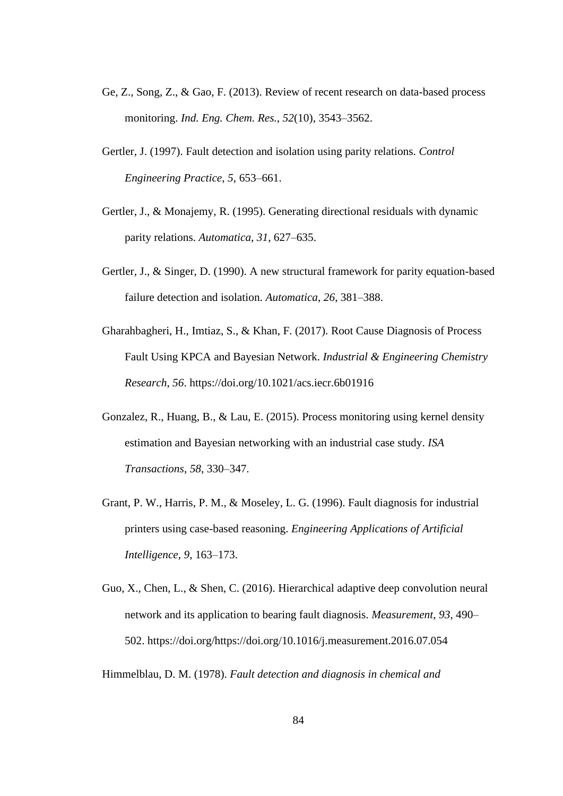- Ge, Z., Song, Z., & Gao, F. (2013). Review of recent research on data-based process monitoring. *Ind. Eng. Chem. Res.*, *52*(10), 3543–3562.
- Gertler, J. (1997). Fault detection and isolation using parity relations. *Control Engineering Practice*, *5*, 653–661.
- Gertler, J., & Monajemy, R. (1995). Generating directional residuals with dynamic parity relations. *Automatica*, *31*, 627–635.
- Gertler, J., & Singer, D. (1990). A new structural framework for parity equation-based failure detection and isolation. *Automatica*, *26*, 381–388.
- Gharahbagheri, H., Imtiaz, S., & Khan, F. (2017). Root Cause Diagnosis of Process Fault Using KPCA and Bayesian Network. *Industrial & Engineering Chemistry Research*, *56*. https://doi.org/10.1021/acs.iecr.6b01916
- Gonzalez, R., Huang, B., & Lau, E. (2015). Process monitoring using kernel density estimation and Bayesian networking with an industrial case study. *ISA Transactions*, *58*, 330–347.
- Grant, P. W., Harris, P. M., & Moseley, L. G. (1996). Fault diagnosis for industrial printers using case-based reasoning. *Engineering Applications of Artificial Intelligence*, *9*, 163–173.
- Guo, X., Chen, L., & Shen, C. (2016). Hierarchical adaptive deep convolution neural network and its application to bearing fault diagnosis. *Measurement*, *93*, 490– 502. https://doi.org/https://doi.org/10.1016/j.measurement.2016.07.054

Himmelblau, D. M. (1978). *Fault detection and diagnosis in chemical and*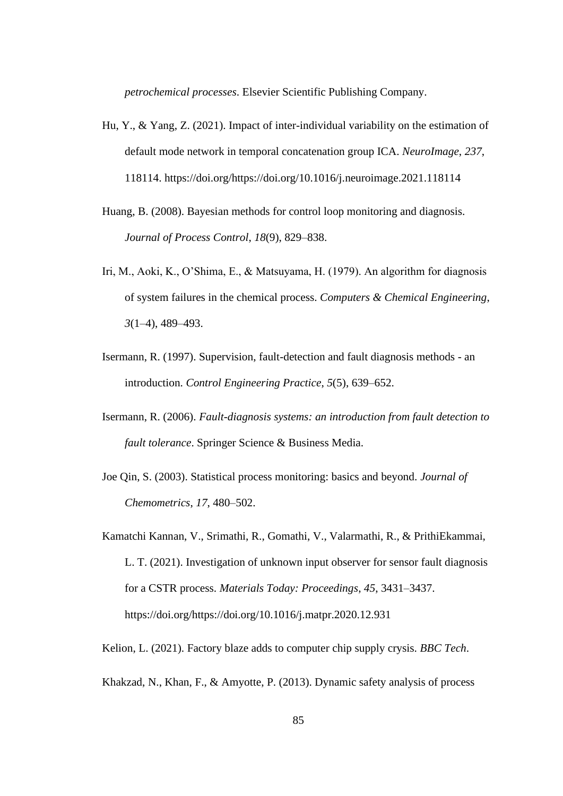*petrochemical processes*. Elsevier Scientific Publishing Company.

- Hu, Y., & Yang, Z. (2021). Impact of inter-individual variability on the estimation of default mode network in temporal concatenation group ICA. *NeuroImage*, *237*, 118114. https://doi.org/https://doi.org/10.1016/j.neuroimage.2021.118114
- Huang, B. (2008). Bayesian methods for control loop monitoring and diagnosis. *Journal of Process Control*, *18*(9), 829–838.
- Iri, M., Aoki, K., O'Shima, E., & Matsuyama, H. (1979). An algorithm for diagnosis of system failures in the chemical process. *Computers & Chemical Engineering*, *3*(1–4), 489–493.
- Isermann, R. (1997). Supervision, fault-detection and fault diagnosis methods an introduction. *Control Engineering Practice*, *5*(5), 639–652.
- Isermann, R. (2006). *Fault-diagnosis systems: an introduction from fault detection to fault tolerance*. Springer Science & Business Media.
- Joe Qin, S. (2003). Statistical process monitoring: basics and beyond. *Journal of Chemometrics*, *17*, 480–502.
- Kamatchi Kannan, V., Srimathi, R., Gomathi, V., Valarmathi, R., & PrithiEkammai, L. T. (2021). Investigation of unknown input observer for sensor fault diagnosis for a CSTR process. *Materials Today: Proceedings*, *45*, 3431–3437. https://doi.org/https://doi.org/10.1016/j.matpr.2020.12.931
- Kelion, L. (2021). Factory blaze adds to computer chip supply crysis. *BBC Tech*.
- Khakzad, N., Khan, F., & Amyotte, P. (2013). Dynamic safety analysis of process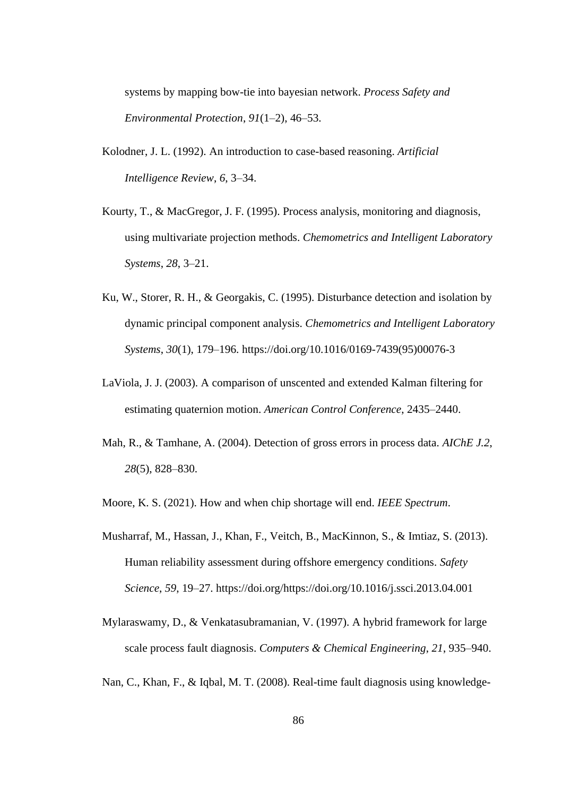systems by mapping bow-tie into bayesian network. *Process Safety and Environmental Protection*, *91*(1–2), 46–53.

- Kolodner, J. L. (1992). An introduction to case-based reasoning. *Artificial Intelligence Review*, *6*, 3–34.
- Kourty, T., & MacGregor, J. F. (1995). Process analysis, monitoring and diagnosis, using multivariate projection methods. *Chemometrics and Intelligent Laboratory Systems*, *28*, 3–21.
- Ku, W., Storer, R. H., & Georgakis, C. (1995). Disturbance detection and isolation by dynamic principal component analysis. *Chemometrics and Intelligent Laboratory Systems*, *30*(1), 179–196. https://doi.org/10.1016/0169-7439(95)00076-3
- LaViola, J. J. (2003). A comparison of unscented and extended Kalman filtering for estimating quaternion motion. *American Control Conference*, 2435–2440.
- Mah, R., & Tamhane, A. (2004). Detection of gross errors in process data. *AIChE J.2*, *28*(5), 828–830.
- Moore, K. S. (2021). How and when chip shortage will end. *IEEE Spectrum*.
- Musharraf, M., Hassan, J., Khan, F., Veitch, B., MacKinnon, S., & Imtiaz, S. (2013). Human reliability assessment during offshore emergency conditions. *Safety Science*, *59*, 19–27. https://doi.org/https://doi.org/10.1016/j.ssci.2013.04.001
- Mylaraswamy, D., & Venkatasubramanian, V. (1997). A hybrid framework for large scale process fault diagnosis. *Computers & Chemical Engineering*, *21*, 935–940.
- Nan, C., Khan, F., & Iqbal, M. T. (2008). Real-time fault diagnosis using knowledge-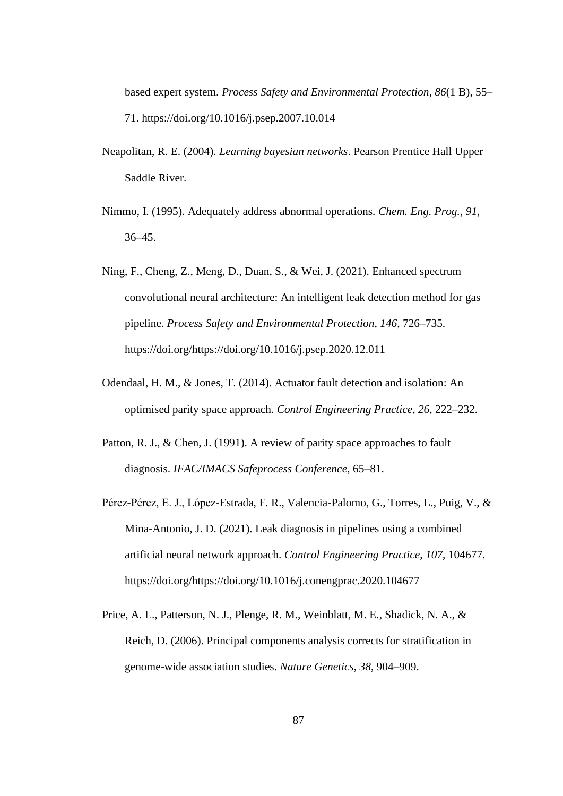based expert system. *Process Safety and Environmental Protection*, *86*(1 B), 55– 71. https://doi.org/10.1016/j.psep.2007.10.014

- Neapolitan, R. E. (2004). *Learning bayesian networks*. Pearson Prentice Hall Upper Saddle River.
- Nimmo, I. (1995). Adequately address abnormal operations. *Chem. Eng. Prog.*, *91*, 36–45.
- Ning, F., Cheng, Z., Meng, D., Duan, S., & Wei, J. (2021). Enhanced spectrum convolutional neural architecture: An intelligent leak detection method for gas pipeline. *Process Safety and Environmental Protection*, *146*, 726–735. https://doi.org/https://doi.org/10.1016/j.psep.2020.12.011
- Odendaal, H. M., & Jones, T. (2014). Actuator fault detection and isolation: An optimised parity space approach. *Control Engineering Practice*, *26*, 222–232.
- Patton, R. J., & Chen, J. (1991). A review of parity space approaches to fault diagnosis. *IFAC/IMACS Safeprocess Conference*, 65–81.
- Pérez-Pérez, E. J., López-Estrada, F. R., Valencia-Palomo, G., Torres, L., Puig, V., & Mina-Antonio, J. D. (2021). Leak diagnosis in pipelines using a combined artificial neural network approach. *Control Engineering Practice*, *107*, 104677. https://doi.org/https://doi.org/10.1016/j.conengprac.2020.104677
- Price, A. L., Patterson, N. J., Plenge, R. M., Weinblatt, M. E., Shadick, N. A., & Reich, D. (2006). Principal components analysis corrects for stratification in genome-wide association studies. *Nature Genetics*, *38*, 904–909.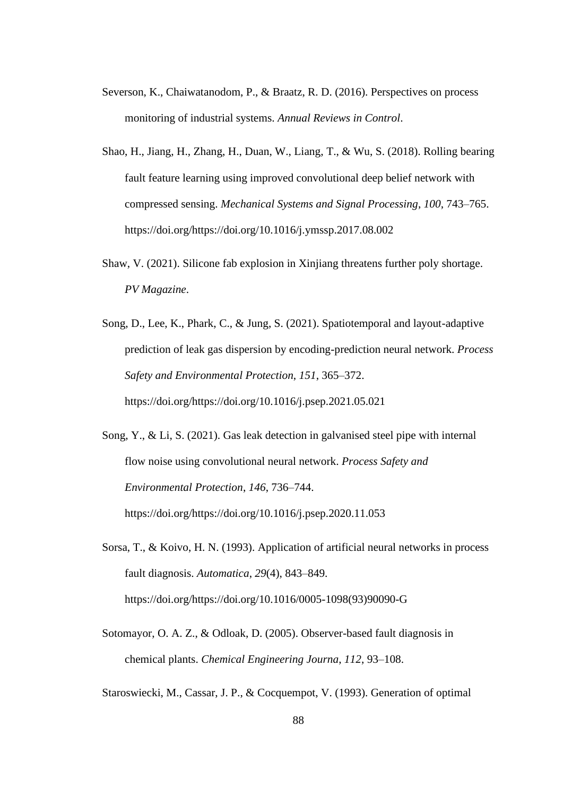- Severson, K., Chaiwatanodom, P., & Braatz, R. D. (2016). Perspectives on process monitoring of industrial systems. *Annual Reviews in Control*.
- Shao, H., Jiang, H., Zhang, H., Duan, W., Liang, T., & Wu, S. (2018). Rolling bearing fault feature learning using improved convolutional deep belief network with compressed sensing. *Mechanical Systems and Signal Processing*, *100*, 743–765. https://doi.org/https://doi.org/10.1016/j.ymssp.2017.08.002
- Shaw, V. (2021). Silicone fab explosion in Xinjiang threatens further poly shortage. *PV Magazine*.
- Song, D., Lee, K., Phark, C., & Jung, S. (2021). Spatiotemporal and layout-adaptive prediction of leak gas dispersion by encoding-prediction neural network. *Process Safety and Environmental Protection*, *151*, 365–372. https://doi.org/https://doi.org/10.1016/j.psep.2021.05.021
- Song, Y., & Li, S. (2021). Gas leak detection in galvanised steel pipe with internal flow noise using convolutional neural network. *Process Safety and Environmental Protection*, *146*, 736–744. https://doi.org/https://doi.org/10.1016/j.psep.2020.11.053
- Sorsa, T., & Koivo, H. N. (1993). Application of artificial neural networks in process fault diagnosis. *Automatica*, *29*(4), 843–849. https://doi.org/https://doi.org/10.1016/0005-1098(93)90090-G
- Sotomayor, O. A. Z., & Odloak, D. (2005). Observer-based fault diagnosis in chemical plants. *Chemical Engineering Journa*, *112*, 93–108.

Staroswiecki, M., Cassar, J. P., & Cocquempot, V. (1993). Generation of optimal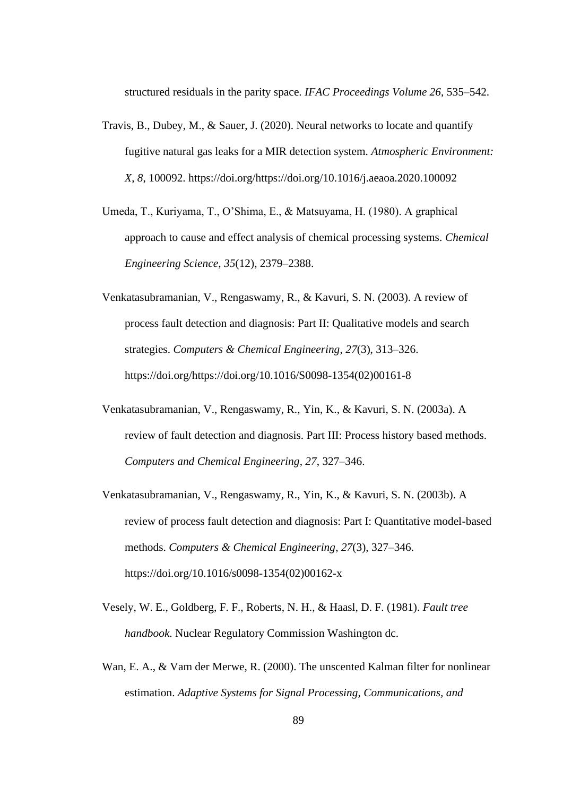structured residuals in the parity space. *IFAC Proceedings Volume 26*, 535–542.

- Travis, B., Dubey, M., & Sauer, J. (2020). Neural networks to locate and quantify fugitive natural gas leaks for a MIR detection system. *Atmospheric Environment: X*, *8*, 100092. https://doi.org/https://doi.org/10.1016/j.aeaoa.2020.100092
- Umeda, T., Kuriyama, T., O'Shima, E., & Matsuyama, H. (1980). A graphical approach to cause and effect analysis of chemical processing systems. *Chemical Engineering Science*, *35*(12), 2379–2388.
- Venkatasubramanian, V., Rengaswamy, R., & Kavuri, S. N. (2003). A review of process fault detection and diagnosis: Part II: Qualitative models and search strategies. *Computers & Chemical Engineering*, *27*(3), 313–326. https://doi.org/https://doi.org/10.1016/S0098-1354(02)00161-8
- Venkatasubramanian, V., Rengaswamy, R., Yin, K., & Kavuri, S. N. (2003a). A review of fault detection and diagnosis. Part III: Process history based methods. *Computers and Chemical Engineering*, *27*, 327–346.
- Venkatasubramanian, V., Rengaswamy, R., Yin, K., & Kavuri, S. N. (2003b). A review of process fault detection and diagnosis: Part I: Quantitative model-based methods. *Computers & Chemical Engineering*, *27*(3), 327–346. https://doi.org/10.1016/s0098-1354(02)00162-x
- Vesely, W. E., Goldberg, F. F., Roberts, N. H., & Haasl, D. F. (1981). *Fault tree handbook*. Nuclear Regulatory Commission Washington dc.
- Wan, E. A., & Vam der Merwe, R. (2000). The unscented Kalman filter for nonlinear estimation. *Adaptive Systems for Signal Processing, Communications, and*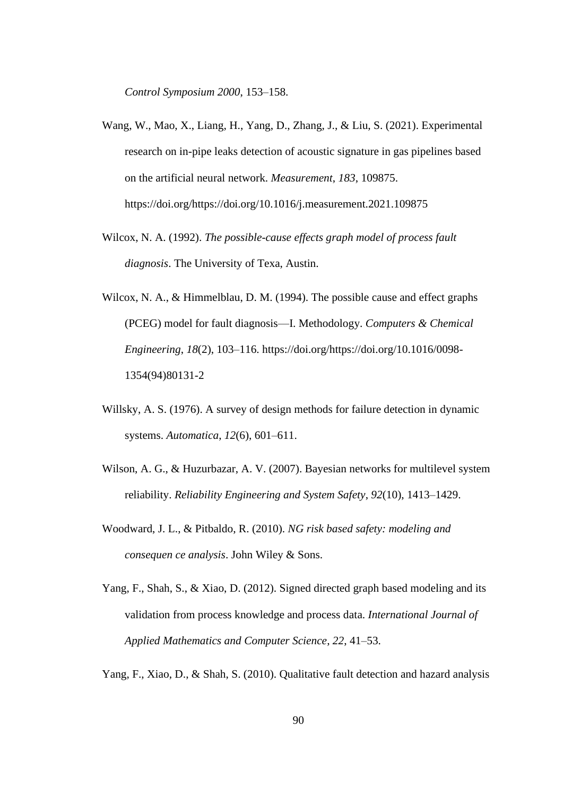*Control Symposium 2000*, 153–158.

- Wang, W., Mao, X., Liang, H., Yang, D., Zhang, J., & Liu, S. (2021). Experimental research on in-pipe leaks detection of acoustic signature in gas pipelines based on the artificial neural network. *Measurement*, *183*, 109875. https://doi.org/https://doi.org/10.1016/j.measurement.2021.109875
- Wilcox, N. A. (1992). *The possible-cause effects graph model of process fault diagnosis*. The University of Texa, Austin.
- Wilcox, N. A., & Himmelblau, D. M. (1994). The possible cause and effect graphs (PCEG) model for fault diagnosis—I. Methodology. *Computers & Chemical Engineering*, *18*(2), 103–116. https://doi.org/https://doi.org/10.1016/0098- 1354(94)80131-2
- Willsky, A. S. (1976). A survey of design methods for failure detection in dynamic systems. *Automatica*, *12*(6), 601–611.
- Wilson, A. G., & Huzurbazar, A. V. (2007). Bayesian networks for multilevel system reliability. *Reliability Engineering and System Safety*, *92*(10), 1413–1429.
- Woodward, J. L., & Pitbaldo, R. (2010). *NG risk based safety: modeling and consequen ce analysis*. John Wiley & Sons.
- Yang, F., Shah, S., & Xiao, D. (2012). Signed directed graph based modeling and its validation from process knowledge and process data. *International Journal of Applied Mathematics and Computer Science*, *22*, 41–53.

Yang, F., Xiao, D., & Shah, S. (2010). Qualitative fault detection and hazard analysis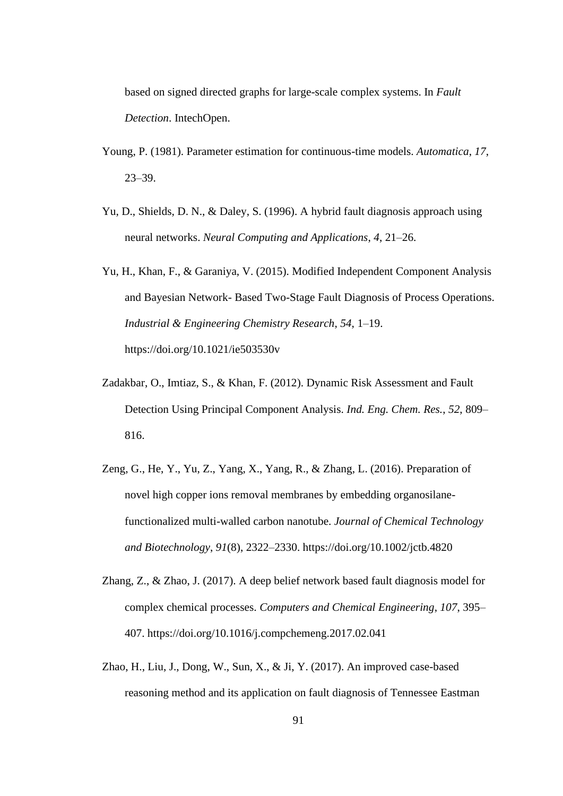based on signed directed graphs for large-scale complex systems. In *Fault Detection*. IntechOpen.

- Young, P. (1981). Parameter estimation for continuous-time models. *Automatica*, *17*, 23–39.
- Yu, D., Shields, D. N., & Daley, S. (1996). A hybrid fault diagnosis approach using neural networks. *Neural Computing and Applications*, *4*, 21–26.
- Yu, H., Khan, F., & Garaniya, V. (2015). Modified Independent Component Analysis and Bayesian Network- Based Two-Stage Fault Diagnosis of Process Operations. *Industrial & Engineering Chemistry Research*, *54*, 1–19. https://doi.org/10.1021/ie503530v
- Zadakbar, O., Imtiaz, S., & Khan, F. (2012). Dynamic Risk Assessment and Fault Detection Using Principal Component Analysis. *Ind. Eng. Chem. Res.*, *52*, 809– 816.
- Zeng, G., He, Y., Yu, Z., Yang, X., Yang, R., & Zhang, L. (2016). Preparation of novel high copper ions removal membranes by embedding organosilanefunctionalized multi-walled carbon nanotube. *Journal of Chemical Technology and Biotechnology*, *91*(8), 2322–2330. https://doi.org/10.1002/jctb.4820
- Zhang, Z., & Zhao, J. (2017). A deep belief network based fault diagnosis model for complex chemical processes. *Computers and Chemical Engineering*, *107*, 395– 407. https://doi.org/10.1016/j.compchemeng.2017.02.041
- Zhao, H., Liu, J., Dong, W., Sun, X., & Ji, Y. (2017). An improved case-based reasoning method and its application on fault diagnosis of Tennessee Eastman